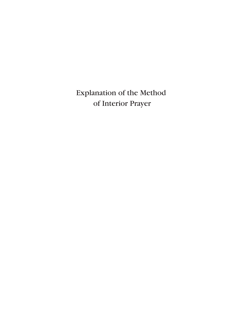# Explanation of the Method of Interior Prayer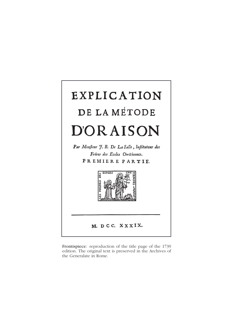

Frontispiece: reproduction of the title page of the 1739 edition. The original text is preserved in the Archives of the Generalate in Rome.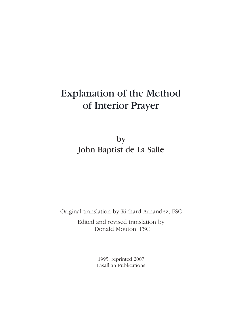# Explanation of the Method of Interior Prayer

# by John Baptist de La Salle

Original translation by Richard Arnandez, FSC

Edited and revised translation by Donald Mouton, FSC

> 1995, reprinted 2007 Lasallian Publications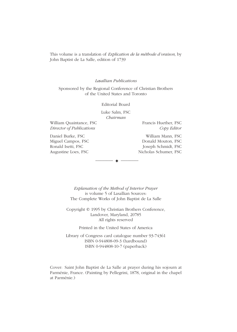This volume is a translation of *Explication de la méthode d'oraison,* by John Baptist de La Salle, edition of 1739

#### *Lasallian Publications*

Sponsored by the Regional Conference of Christian Brothers of the United States and Toronto

Editorial Board

Luke Salm, FSC *Chairman*

William Quaintance, FSC Francis Huether, FSC *Director of Publications Copy Editor*

Daniel Burke, FSC William Mann, FSC

Miguel Campos, FSC Donald Mouton, FSC Ronald Isetti, FSC Joseph Schmidt, FSC Augustine Loes, FSC Nicholas Schumer, FSC

> *Explanation of the Method of Interior Prayer* is volume 5 of Lasallian Sources: The Complete Works of John Baptist de La Salle

 $\overline{\phantom{a}}$   $\overline{\phantom{a}}$   $\overline{\phantom{a}}$   $\overline{\phantom{a}}$   $\overline{\phantom{a}}$   $\overline{\phantom{a}}$   $\overline{\phantom{a}}$   $\overline{\phantom{a}}$   $\overline{\phantom{a}}$   $\overline{\phantom{a}}$   $\overline{\phantom{a}}$   $\overline{\phantom{a}}$   $\overline{\phantom{a}}$   $\overline{\phantom{a}}$   $\overline{\phantom{a}}$   $\overline{\phantom{a}}$   $\overline{\phantom{a}}$   $\overline{\phantom{a}}$   $\overline{\$ 

Copyright © 1995 by Christian Brothers Conference, Landover, Maryland, 20785 All rights reserved

Printed in the United States of America

Library of Congress card catalogue number 93-74361 ISBN 0-944808-09-3 (hardbound) ISBN 0-944808-10-7 (paperback)

Cover: Saint John Baptist de La Salle at prayer during his sojourn at Parménie, France. (Painting by Pellegrini, 1878, original in the chapel at Parménie.)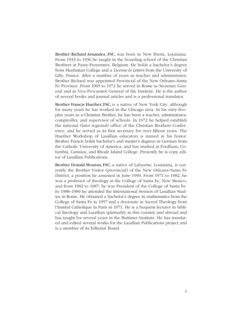Brother Richard Arnandez, FSC, was born in New Iberia, Louisiana. From 1933 to 1936 he taught in the boarding school of the Christian Brothers at Passy-Froyennes, Belgium. He holds a bachelor's degree from Manhattan College and a *License ès Letters* from the University of Lille, France. After a number of years as teacher and administrator, Brother Richard was appointed Provincial of the New Orleans–Santa Fe Province. From 1969 to 1972 he served in Rome as Secretary General and as Vice-Procurator General of the Institute. He is the author of several books and journal articles and is a professional translator.

Brother Francis Huether, FSC, is a native of New York City, although for many years he has worked in the Chicago area. In his sixty-fiveplus years as a Christian Brother, he has been a teacher, administrator, comptroller, and supervisor of schools. In 1972 he helped establish the national (later regional) office of the Christian Brothers Conference, and he served as its first secretary for over fifteen years. The Huether Workshop of Lasallian educators is named in his honor. Brother Francis holds bachelor's and master's degrees in German from the Catholic University of America, and has studied at Fordham, Columbia, Canisius, and Rhode Island College. Presently he is copy editor of Lasallian Publications.

Brother Donald Mouton, FSC, a native of Lafayette, Louisiana, is currently the Brother Visitor (provincial) of the New Orleans–Santa Fe District, a position he assumed in June 1990. From 1971 to 1982, he was a professor of theology at the College of Santa Fe, New Mexico, and from 1982 to 1987, he was President of the College of Santa Fe. In 1988–1989 he attended the International Session of Lasallian Studies in Rome. He obtained a bachelor's degree in mathematics from the College of Santa Fe in 1957 and a doctorate in Sacred Theology from l'Institut Catholique in Paris in 1971. He is a frequent lecturer in biblical theology and Lasallian spirituality in this country and abroad and has taught for several years in the Buttimer Institute. He has translated and edited several works for the Lasallian Publications project and is a member of its Editorial Board.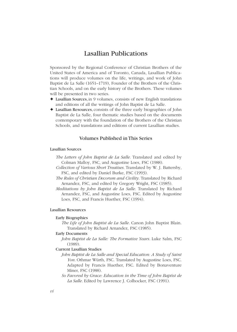## Lasallian Publications

Sponsored by the Regional Conference of Christian Brothers of the United States of America and of Toronto, Canada, Lasallian Publications will produce volumes on the life, writings, and work of John Baptist de La Salle (1651–1719), Founder of the Brothers of the Christian Schools, and on the early history of the Brothers. These volumes will be presented in two series.

- ✦ Lasallian Sources, in 9 volumes, consists of new English translations and editions of all the writings of John Baptist de La Salle.
- ✦ Lasallian Resources, consists of the three early biographies of John Baptist de La Salle, four thematic studies based on the documents contemporary with the foundation of the Brothers of the Christian Schools, and translations and editions of current Lasallian studies.

### Volumes Published in This Series

#### Lasallian Sources

- *The Letters of John Baptist de La Salle.* Translated and edited by Colman Malloy, FSC, and Augustine Loes, FSC (1988).
- *Collection of Various Short Treatises.* Translated by W. J. Battersby, FSC, and edited by Daniel Burke, FSC (1993).
- *The Rules of Christian Decorum and Civility.* Translated by Richard Arnandez, FSC, and edited by Gregory Wright, FSC (1985).
- *Meditations by John Baptist de La Salle.* Translated by Richard Arnandez, FSC, and Augustine Loes, FSC. Edited by Augustine Loes, FSC, and Francis Huether, FSC (1994).

#### Lasallian Resources

#### Early Biographies

*The Life of John Baptist de La Salle.* Canon John Baptist Blain. Translated by Richard Arnandez, FSC (1985).

#### Early Documents

*John Baptist de La Salle: The Formative Years.* Luke Salm, FSC (1989).

#### Current Lasallian Studies

- *John Baptist de La Salle and Special Education: A Study of Saint Yon.* Othmar Würth, FSC. Translated by Augustine Loes, FSC. Adapted by Francis Huether, FSC. Edited by Bonaventure Miner, FSC (1988).
- *So Favored by Grace: Education in the Time of John Baptist de* La Salle. Edited by Lawrence J. Colhocker, FSC (1991).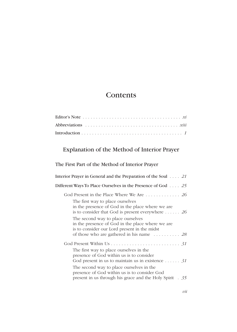# **Contents**

# Explanation of the Method of Interior Prayer

# The First Part of the Method of Interior Prayer

| Interior Prayer in General and the Preparation of the Soul $\ldots$ 21                                                                                                                                   |
|----------------------------------------------------------------------------------------------------------------------------------------------------------------------------------------------------------|
| Different Ways To Place Ourselves in the Presence of God $\ldots$ . 25                                                                                                                                   |
| God Present in the Place Where We Are  26                                                                                                                                                                |
| The first way to place ourselves<br>in the presence of God in the place where we are<br>is to consider that God is present everywhere $\dots \dots 26$                                                   |
| The second way to place ourselves<br>in the presence of God in the place where we are<br>is to consider our Lord present in the midst<br>of those who are gathered in his name $\ldots \ldots \ldots$ 28 |
|                                                                                                                                                                                                          |
| The first way to place ourselves in the<br>presence of God within us is to consider<br>God present in us to maintain us in existence $31$                                                                |
| The second way to place ourselves in the<br>presence of God within us is to consider God<br>present in us through his grace and the Holy Spirit . 35                                                     |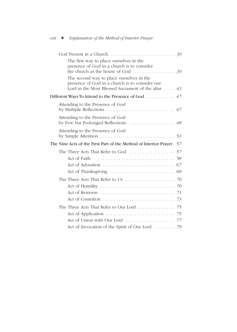| The first way to place ourselves in the<br>presence of God in a church is to consider<br>the church as the house of God 39                                |  |
|-----------------------------------------------------------------------------------------------------------------------------------------------------------|--|
| The second way to place ourselves in the<br>presence of God in a church is to consider our<br>Lord in the Most Blessed Sacrament of the altar $\ldots$ 43 |  |
| Different Ways To Attend to the Presence of God 47                                                                                                        |  |
| Attending to the Presence of God                                                                                                                          |  |
| Attending to the Presence of God<br>by Few but Prolonged Reflections  48                                                                                  |  |
| Attending to the Presence of God<br>by Simple Attention $\dots \dots \dots \dots \dots \dots \dots \dots \dots \dots 51$                                  |  |
|                                                                                                                                                           |  |
| The Nine Acts of the First Part of the Method of Interior Prayer 57                                                                                       |  |
| The Three Acts That Refer to God $\ldots \ldots \ldots \ldots \ldots 57$                                                                                  |  |
|                                                                                                                                                           |  |
|                                                                                                                                                           |  |
|                                                                                                                                                           |  |
|                                                                                                                                                           |  |
|                                                                                                                                                           |  |
|                                                                                                                                                           |  |
|                                                                                                                                                           |  |
|                                                                                                                                                           |  |
|                                                                                                                                                           |  |
|                                                                                                                                                           |  |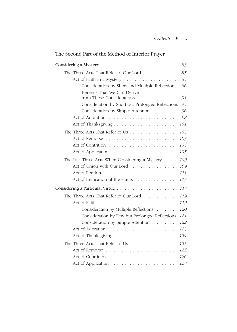## The Second Part of the Method of Interior Prayer

| The Three Acts That Refer to Our Lord                  | 85  |
|--------------------------------------------------------|-----|
| Act of Faith in a Mystery                              | 85  |
| Consideration by Short and Multiple Reflections        | 86  |
| Benefits That We Can Derive                            |     |
| from These Considerations<br>.                         | 91  |
| Consideration by Short but Prolonged Reflections       | 95  |
| Consideration by Simple Attention                      | 96  |
|                                                        | 98  |
|                                                        | 101 |
|                                                        | 103 |
|                                                        | 103 |
|                                                        | 105 |
|                                                        | 105 |
| The Last Three Acts When Considering a Mystery $\dots$ | 109 |
| Act of Union with Our Lord                             | 109 |
|                                                        | 111 |
| Act of Invocation of the Saints                        | 113 |
|                                                        |     |
| The Three Acts That Refer to Our Lord                  | 119 |
| Act of Faith                                           | 119 |
| Consideration by Multiple Reflections                  | 120 |
| Consideration by Few but Prolonged Reflections         | 121 |
| Consideration by Simple Attention                      | 122 |
| Act of Adoration                                       | 123 |
|                                                        | 124 |
| The Three Acts That Refer to Us                        | 125 |
| Act of Remorse                                         | 125 |
|                                                        |     |
|                                                        |     |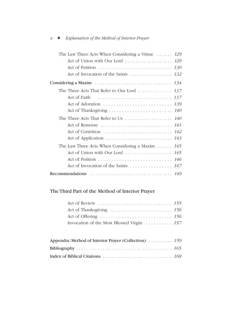| The Last Three Acts When Considering a Virtue $\ldots$ . 129                             |  |
|------------------------------------------------------------------------------------------|--|
| Act of Union with Our Lord 129                                                           |  |
|                                                                                          |  |
|                                                                                          |  |
| Considering a Maxim $\ldots \ldots \ldots \ldots \ldots \ldots \ldots \ldots \ldots 134$ |  |
| The Three Acts That Refer to Our Lord 137                                                |  |
|                                                                                          |  |
|                                                                                          |  |
|                                                                                          |  |
| The Three Acts That Refer to Us $\ldots \ldots \ldots \ldots \ldots 140$                 |  |
| Act of Remorse  141                                                                      |  |
|                                                                                          |  |
|                                                                                          |  |
| The Last Three Acts When Considering a Maxim $\dots \dots$ 145                           |  |
| Act of Union with Our Lord 145                                                           |  |
|                                                                                          |  |
|                                                                                          |  |
|                                                                                          |  |

## The Third Part of the Method of Interior Prayer

| Invocation of the Most Blessed Virgin  157 |  |
|--------------------------------------------|--|

| Appendix: Method of Interior Prayer <i>(Collection)</i> 159 |  |
|-------------------------------------------------------------|--|
|                                                             |  |
|                                                             |  |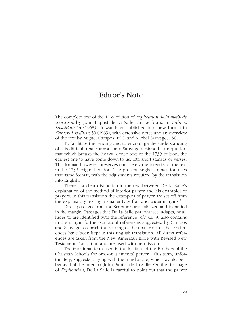## Editor's Note

The complete text of the 1739 edition of *Explication de la méthode d'oraison* by John Baptist de La Salle can be found in *Cahiers* Lasalliens 14 (1963).<sup>1</sup> It was later published in a new format in *Cahiers Lasalliens* 50 (1989), with extensive notes and an overview of the text by Miguel Campos, FSC, and Michel Sauvage, FSC.

To facilitate the reading and to encourage the understanding of this difficult text, Campos and Sauvage designed a unique format which breaks the heavy, dense text of the 1739 edition, the earliest one to have come down to us, into short stanzas or verses. This format, however, preserves completely the integrity of the text in the 1739 original edition. The present English translation uses that same format, with the adjustments required by the translation into English.

There is a clear distinction in the text between De La Salle's explanation of the method of interior prayer and his examples of prayers. In this translation the examples of prayer are set off from the explanatory text by a smaller type font and wider margins.<sup>2</sup>

Direct passages from the Scriptures are italicized and identified in the margin. Passages that De La Salle paraphrases, adapts, or alludes to are identified with the reference "cf." CL 50 also contains in the margin further scriptural references suggested by Campos and Sauvage to enrich the reading of the text. Most of these references have been kept in this English translation. All direct references are taken from the New American Bible with Revised New Testament Translation and are used with permission.

The traditional term used in the Institute of the Brothers of the Christian Schools for *oraison* is "mental prayer." This term, unfortunately, suggests praying with the mind alone, which would be a betrayal of the intent of John Baptist de La Salle. On the first page of *Explication,* De La Salle is careful to point out that the prayer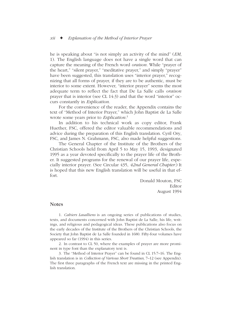he is speaking about "is not simply an activity of the mind" (*EM*, 1). The English language does not have a single word that can capture the meaning of the French word *oraison.* While "prayer of the heart," "silent prayer," "meditative prayer," and simply "prayer" have been suggested, this translation uses "interior prayer," recognizing that all forms of prayer, if they are to be authentic, must be interior to some extent. However, "interior prayer" seems the most adequate term to reflect the fact that De La Salle calls *oraison* prayer that is interior (see CL 14:3) and that the word "interior" occurs constantly in *Explication.* 

For the convenience of the reader, the Appendix contains the text of "Method of Interior Prayer," which John Baptist de La Salle wrote some years prior to *Explication.*<sup>3</sup>

In addition to his technical work as copy editor, Frank Huether, FSC, offered the editor valuable recommendations and advice during the preparation of this English translation. Cyril Ory, FSC, and James N. Grahmann, FSC, also made helpful suggestions.

The General Chapter of the Institute of the Brothers of the Christian Schools held from April 5 to May 15, 1993, designated 1995 as a year devoted specifically to the prayer life of the Brother. It suggested programs for the renewal of our prayer life, especially interior prayer. (See Circular 435, *42nd General Chapter.*) It is hoped that this new English translation will be useful in that effort.

> Donald Mouton, FSC Editor August 1994

### **Notes**

1. *Cahiers Lasalliens* is an ongoing series of publications of studies, texts, and documents concerned with John Baptist de La Salle, his life, writings, and religious and pedagogical ideas. These publications also focus on the early decades of the Institute of the Brothers of the Christian Schools, the Society that John Baptist de La Salle founded in 1680. Fifty-four volumes have appeared so far (1994) in this series.

2. In contrast to CL 50, where the examples of prayer are more prominent in type font than the explanatory text is.

3. The "Method of Interior Prayer" can be found in CL 15:7–16. The English translation is in *Collection of Various Short Treatises,* 7–12 (see Appendix). The first three paragraphs of the French text are missing in the printed English translation.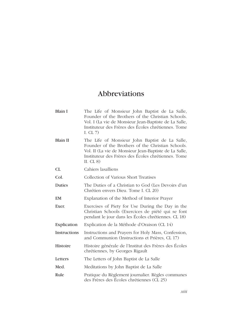# Abbreviations

| Blain I             | The Life of Monsieur John Baptist de La Salle,<br>Founder of the Brothers of the Christian Schools.<br>Vol. I (La vie de Monsieur Jean-Baptiste de La Salle,<br>Instituteur des Frères des Écoles chrétiennes. Tome<br>I. CL $7$ )   |
|---------------------|--------------------------------------------------------------------------------------------------------------------------------------------------------------------------------------------------------------------------------------|
| <b>Blain II</b>     | The Life of Monsieur John Baptist de La Salle,<br>Founder of the Brothers of the Christian Schools.<br>Vol. II (La vie de Monsieur Jean-Baptiste de La Salle,<br>Instituteur des Frères des Écoles chrétiennes. Tome<br>II. CL $8$ ) |
| CL                  | Cahiers lasalliens                                                                                                                                                                                                                   |
| Col.                | Collection of Various Short Treatises                                                                                                                                                                                                |
| <b>Duties</b>       | The Duties of a Christian to God (Les Devoirs d'un<br>Chrétien envers Dieu. Tome I. CL 20)                                                                                                                                           |
| EM                  | Explanation of the Method of Interior Prayer                                                                                                                                                                                         |
| Exer.               | Exercises of Piety for Use During the Day in the<br>Christian Schools (Exercices de piété qui se font<br>pendant le jour dans les Écoles chrétiennes. CL 18)                                                                         |
| Explication         | Explication de la Méthode d'Oraison (CL 14)                                                                                                                                                                                          |
| <b>Instructions</b> | Instructions and Prayers for Holy Mass, Confession,<br>and Communion (Instructions et Prières, CL 17)                                                                                                                                |
| <b>Histoire</b>     | Histoire générale de l'Institut des Frères des Écoles<br>chrétiennes, by Georges Rigault                                                                                                                                             |
| Letters             | The Letters of John Baptist de La Salle                                                                                                                                                                                              |
| Med.                | Meditations by John Baptist de La Salle                                                                                                                                                                                              |
| Rule                | Pratique du Règlement journalier. Règles communes<br>des Frères des Écoles chrétiennes (CL 25)                                                                                                                                       |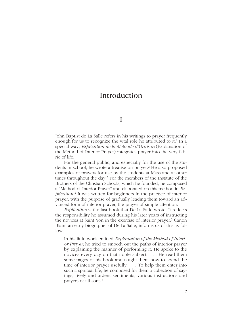# Introduction

I

John Baptist de La Salle refers in his writings to prayer frequently enough for us to recognize the vital role he attributed to it.<sup>1</sup> In a special way, *Explication de la Méthode d'Oraison* (Explanation of the Method of Interior Prayer) integrates prayer into the very fabric of life.

For the general public, and especially for the use of the students in school, he wrote a treatise on prayer.<sup>2</sup> He also proposed examples of prayers for use by the students at Mass and at other times throughout the day. $3$  For the members of the Institute of the Brothers of the Christian Schools, which he founded, he composed a "Method of Interior Prayer" and elaborated on this method in *Explication.*<sup>4</sup> It was written for beginners in the practice of interior prayer, with the purpose of gradually leading them toward an advanced form of interior prayer, the prayer of simple attention.

*Explication* is the last book that De La Salle wrote. It reflects the responsibility he assumed during his later years of instructing the novices at Saint Yon in the exercise of interior prayer.<sup>5</sup> Canon Blain, an early biographer of De La Salle, informs us of this as follows:

In his little work entitled *Explanation of the Method of Interior Prayer,* he tried to smooth out the paths of interior prayer by explaining the manner of performing it. He spoke to the novices every day on that noble subject. . . . He read them some pages of his book and taught them how to spend the time of interior prayer usefully. . . . To help them enter into such a spiritual life, he composed for them a collection of sayings, lively and ardent sentiments, various instructions and prayers of all sorts.6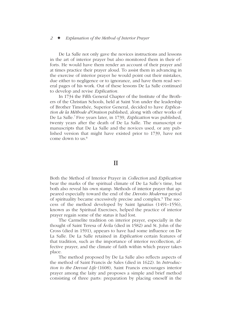De La Salle not only gave the novices instructions and lessons in the art of interior prayer but also monitored them in their efforts. He would have them render an account of their prayer and at times practice their prayer aloud. To assist them in advancing in the exercise of interior prayer he would point out their mistakes, due either to negligence or to ignorance, and have them read several pages of his work. Out of these lessons De La Salle continued to develop and revise *Explication.*

In 1734 the Fifth General Chapter of the Institute of the Brothers of the Christian Schools, held at Saint Yon under the leadership of Brother Timothée, Superior General, decided to have *Explication de la Méthode d'Oraison* published, along with other works of De La Salle.7 Five years later, in 1739, *Explication* was published, twenty years after the death of De La Salle. The manuscript or manuscripts that De La Salle and the novices used, or any published version that might have existed prior to 1739, have not come down to us $<sup>8</sup>$ </sup>

### II

Both the Method of Interior Prayer in *Collection* and *Explication* bear the marks of the spiritual climate of De La Salle's time, but both also reveal his own stamp. Methods of interior prayer that appeared especially toward the end of the *Devotio Moderna* period of spirituality became excessively precise and complex.9 The success of the method developed by Saint Ignatius (1491–1556), known as the Spiritual Exercises, helped the practice of interior prayer regain some of the status it had lost.

The Carmelite tradition on interior prayer, especially in the thought of Saint Teresa of Ávila (died in 1582) and St. John of the Cross (died in 1591), appears to have had some influence on De La Salle. De La Salle retained in *Explication* certain features of that tradition, such as the importance of interior recollection, affective prayer, and the climate of faith within which prayer takes place.

The method proposed by De La Salle also reflects aspects of the method of Saint Francis de Sales (died in 1622). In *Introduction to the Devout Life* (1608), Saint Francis encourages interior prayer among the laity and proposes a simple and brief method consisting of three parts: preparation by placing oneself in the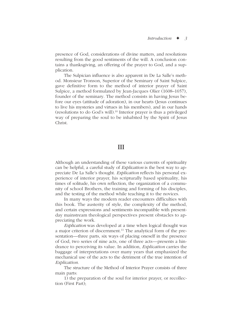presence of God, considerations of divine matters, and resolutions resulting from the good sentiments of the will. A conclusion contains a thanksgiving, an offering of the prayer to God, and a supplication.

The Sulpician influence is also apparent in De La Salle's method. Monsieur Tronson, Superior of the Seminary of Saint Sulpice, gave definitive form to the method of interior prayer of Saint Sulpice, a method formulated by Jean-Jacques Olier (1608–1657), founder of the seminary. The method consists in having Jesus before our eyes (attitude of adoration), in our hearts (Jesus continues to live his mysteries and virtues in his members), and in our hands (resolutions to do God's will).10 Interior prayer is thus a privileged way of preparing the soul to be inhabited by the Spirit of Jesus Christ.

## III

Although an understanding of these various currents of spirituality can be helpful, a careful study of *Explication* is the best way to appreciate De La Salle's thought. *Explication* reflects his personal experience of interior prayer, his scripturally based spirituality, his times of solitude, his own reflection, the organization of a community of school Brothers, the training and forming of his disciples, and the testing of the method while teaching it to the novices.

In many ways the modern reader encounters difficulties with this book. The austerity of style, the complexity of the method, and certain expressions and sentiments incompatible with presentday mainstream theological perspectives present obstacles to appreciating the work.

*Explication* was developed at a time when logical thought was a major criterion of discernment.<sup>11</sup> The analytical form of the presentation—three parts, six ways of placing oneself in the presence of God, two series of nine acts, one of three acts—presents a hindrance to perceiving its value. In addition, *Explication* carries the baggage of interpretations over many years that emphasized the mechanical use of the acts to the detriment of the true intention of *Explication.*

The structure of the Method of Interior Prayer consists of three main parts:

1) the preparation of the soul for interior prayer, or recollection (First Part);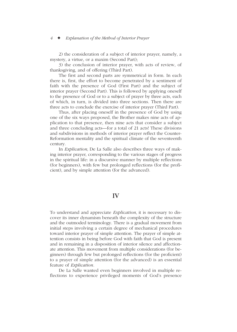2) the consideration of a subject of interior prayer, namely, a mystery, a virtue, or a maxim (Second Part);

3) the conclusion of interior prayer, with acts of review, of thanksgiving, and of offering (Third Part).

The first and second parts are symmetrical in form. In each there is, first, the effort to become penetrated by a sentiment of faith with the presence of God (First Part) and the subject of interior prayer (Second Part). This is followed by applying oneself to the presence of God or to a subject of prayer by three acts, each of which, in turn, is divided into three sections. Then there are three acts to conclude the exercise of interior prayer (Third Part).

Thus, after placing oneself in the presence of God by using one of the six ways proposed, the Brother makes nine acts of application to that presence, then nine acts that consider a subject and three concluding acts—for a total of 21 acts! These divisions and subdivisions in methods of interior prayer reflect the Counter-Reformation mentality and the spiritual climate of the seventeenth century.

In *Explication,* De La Salle also describes three ways of making interior prayer, corresponding to the various stages of progress in the spiritual life: in a discursive manner by multiple reflections (for beginners), with few but prolonged reflections (for the proficient), and by simple attention (for the advanced).

### IV

To understand and appreciate *Explication,* it is necessary to discover its inner dynamism beneath the complexity of the structure and the outmoded terminology. There is a gradual movement from initial steps involving a certain degree of mechanical procedures toward interior prayer of simple attention. The prayer of simple attention consists in being before God with faith that God is present and in remaining in a disposition of interior silence and affectionate attention. This movement from multiple considerations (for beginners) through few but prolonged reflections (for the proficient) to a prayer of simple attention (for the advanced) is an essential feature of *Explication.* 

De La Salle wanted even beginners involved in multiple reflections to experience privileged moments of God's presence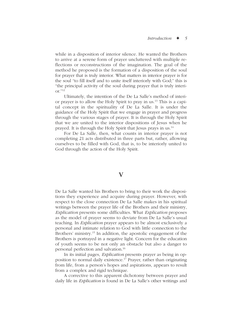while in a disposition of interior silence. He wanted the Brothers to arrive at a serene form of prayer uncluttered with multiple reflections or reconstructions of the imagination. The goal of the method he proposed is the formation of a disposition of the soul for prayer that is truly interior. What matters in interior prayer is for the soul "to fill itself and to unite itself interiorly with God;" this is "the principal activity of the soul during prayer that is truly interi- $\alpha^{r}}$ .  $12$ 

Ultimately, the intention of the De La Salle's method of interior prayer is to allow the Holy Spirit to pray in us.13 This is a capital concept in the spirituality of De La Salle. It is under the guidance of the Holy Spirit that we engage in prayer and progress through the various stages of prayer. It is through the Holy Spirit that we are united to the interior dispositions of Jesus when he prayed. It is through the Holy Spirit that Jesus prays in us.14

For De La Salle, then, what counts in interior prayer is not completing 21 acts distributed in three parts but, rather, allowing ourselves to be filled with God, that is, to be interiorly united to God through the action of the Holy Spirit.

### $\mathbf{V}$

De La Salle wanted his Brothers to bring to their work the dispositions they experience and acquire during prayer. However, with respect to the close connection De La Salle makes in his spiritual writings between the prayer life of the Brothers and their ministry, *Explication* presents some difficulties. What *Explication* proposes as the model of prayer seems to deviate from De La Salle's usual teaching. In *Explication* prayer appears to be almost exclusively a personal and intimate relation to God with little connection to the Brothers' ministry.<sup>15</sup> In addition, the apostolic engagement of the Brothers is portrayed in a negative light. Concern for the education of youth seems to be not only an obstacle but also a danger to personal perfection and salvation.16

In its initial pages, *Explication* presents prayer as being in opposition to normal daily existence.<sup>17</sup> Prayer, rather than originating from life, from a person's hopes and aspirations, appears to result from a complex and rigid technique.

A corrective to this apparent dichotomy between prayer and daily life in *Explication* is found in De La Salle's other writings and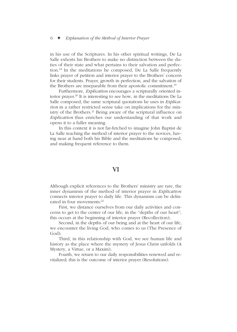in his use of the Scriptures. In his other spiritual writings, De La Salle exhorts his Brothers to make no distinction between the duties of their state and what pertains to their salvation and perfection.18 In the meditations he composed, De La Salle frequently links prayer of petition and interior prayer to the Brothers' concern for their students. Prayer, growth in perfection, and the salvation of the Brothers are inseparable from their apostolic commitment.<sup>19</sup>

Furthermore, *Explication* encourages a scripturally oriented interior prayer.<sup>20</sup> It is interesting to see how, in the meditations De La Salle composed, the same scriptural quotations he uses in *Explication* in a rather restricted sense take on implications for the ministry of the Brothers.<sup>21</sup> Being aware of the scriptural influence on *Explication* thus enriches our understanding of that work and opens it to a fuller meaning.

In this context it is not far-fetched to imagine John Baptist de La Salle teaching the method of interior prayer to the novices, having near at hand both his Bible and the meditations he composed, and making frequent reference to them.

### VI

Although explicit references to the Brothers' ministry are rare, the inner dynamism of the method of interior prayer in *Explication* connects interior prayer to daily life. This dynamism can be delineated in four movements:<sup>22</sup>

First, we distance ourselves from our daily activities and concerns to get to the center of our life, in the "depths of our heart"; this occurs at the beginning of interior prayer (Recollection);

Second, in the depths of our being and at the heart of our life, we encounter the living God, who comes to us (The Presence of God);

Third, in this relationship with God, we see human life and history as the place where the mystery of Jesus Christ unfolds (A Mystery, a Virtue, or a Maxim);

Fourth, we return to our daily responsibilities renewed and revitalized; this is the outcome of interior prayer (Resolutions).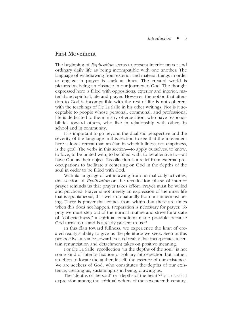### First Movement

The beginning of *Explication* seems to present interior prayer and ordinary daily life as being incompatible with one another. The language of withdrawing from exterior and material things in order to engage in prayer is stark at times. The created world is pictured as being an obstacle in our journey to God. The thought expressed here is filled with oppositions: exterior and interior, material and spiritual, life and prayer. However, the notion that attention to God is incompatible with the rest of life is not coherent with the teachings of De La Salle in his other writings. Nor is it acceptable to people whose personal, communal, and professional life is dedicated to the ministry of education, who have responsibilities toward others, who live in relationship with others in school and in community.

It is important to go beyond the dualistic perspective and the severity of the language in this section to see that the movement here is less a retreat than an élan in which fullness, not emptiness, is the goal. The verbs in this section—to apply ourselves, to know, to love, to be united with, to be filled with, to be attentive to—all have God as their object. Recollection is a relief from external preoccupations to facilitate a centering on God in the depths of the soul in order to be filled with God.

With its language of withdrawing from normal daily activities, this section of *Explication* on the recollection phase of interior prayer reminds us that prayer takes effort. Prayer must be willed and practiced. Prayer is not merely an expression of the inner life that is spontaneous, that wells up naturally from our innermost being. There is prayer that comes from within, but there are times when this does not happen. Preparation is necessary for prayer. To pray we must step out of the normal routine and strive for a state of "collectedness," a spiritual condition made possible because God turns to us and is already present to us.<sup>23</sup>

In this élan toward fullness, we experience the limit of created reality's ability to give us the plenitude we seek. Seen in this perspective, a stance toward created reality that incorporates a certain renunciation and detachment takes on positive meaning.

For De La Salle, recollection "in the depths of the soul" is not some kind of interior fixation or solitary introspection but, rather, an effort to locate the authentic self, the essence of our existence. We are seekers of God, who constitutes the depths of our existence, creating us, sustaining us in being, drawing us.

The "depths of the soul" or "depths of the heart"<sup>24</sup> is a classical expression among the spiritual writers of the seventeenth century.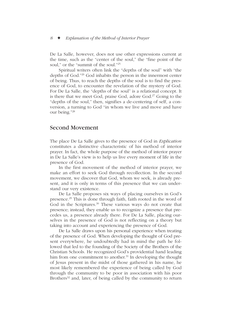De La Salle, however, does not use other expressions current at the time, such as the "center of the soul," the "fine point of the soul," or the "summit of the soul."25

Spiritual writers often link the "depths of the soul" with "the depths of God."26 God inhabits the person in the innermost center of being. Thus, to reach the depths of the soul is to find the presence of God, to encounter the revelation of the mystery of God. For De La Salle, the "depths of the soul" is a relational concept. It is there that we meet God, praise God, adore  $God<sup>27</sup> Going to the$ "depths of the soul," then, signifies a de-centering of self, a conversion, a turning to God "in whom we live and move and have our being."28

### Second Movement

The place De La Salle gives to the presence of God in *Explication* constitutes a distinctive characteristic of his method of interior prayer. In fact, the whole purpose of the method of interior prayer in De La Salle's view is to help us live every moment of life in the presence of God.

In the first movement of the method of interior prayer, we make an effort to seek God through recollection. In the second movement, we discover that God, whom we seek, is already present, and it is only in terms of this presence that we can understand our very existence.

De La Salle proposes six ways of placing ourselves in God's presence.29 This is done through faith, faith rooted in the word of God in the Scriptures. $30$  These various ways do not create that presence; instead, they enable us to recognize a presence that precedes us, a presence already there. For De La Salle, placing ourselves in the presence of God is not reflecting on a theory but taking into account and experiencing the presence of God.

De La Salle draws upon his personal experience when treating of the presence of God. When developing the thought of God present everywhere, he undoubtedly had in mind the path he followed that led to the founding of the Society of the Brothers of the Christian Schools. He recognized God's providential hand leading him from one commitment to another.<sup>31</sup> In developing the thought of Jesus present in the midst of those gathered in his name, he most likely remembered the experience of being called by God through the community to be poor in association with his poor Brothers<sup>32</sup> and, later, of being called by the community to return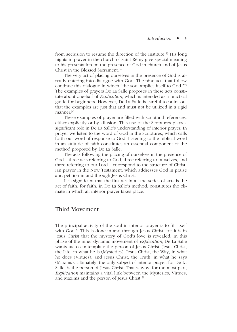from seclusion to resume the direction of the Institute.<sup>33</sup> His long nights in prayer in the church of Saint Rémy give special meaning to his presentation on the presence of God in church and of Jesus Christ in the Blessed Sacrament  $34$ 

The very act of placing ourselves in the presence of God is already entering into dialogue with God. The nine acts that follow continue this dialogue in which "the soul applies itself to God."35 The examples of prayers De La Salle proposes in these acts constitute about one-half of *Explication,* which is intended as a practical guide for beginners. However, De La Salle is careful to point out that the examples are just that and must not be utilized in a rigid manner  $36$ 

These examples of prayer are filled with scriptural references, either explicitly or by allusion. This use of the Scriptures plays a significant role in De La Salle's understanding of interior prayer. In prayer we listen to the word of God in the Scriptures, which calls forth our word of response to God. Listening to the biblical word in an attitude of faith constitutes an essential component of the method proposed by De La Salle.

The acts following the placing of ourselves in the presence of God—three acts referring to God, three referring to ourselves, and three referring to our Lord—correspond to the structure of Christian prayer in the New Testament, which addresses God in praise and petition in and through Jesus Christ.

It is significant that the first act in all the series of acts is the act of faith, for faith, in De La Salle's method, constitutes the climate in which all interior prayer takes place.

### Third Movement

The principal activity of the soul in interior prayer is to fill itself with God.<sup>37</sup> This is done in and through Jesus Christ, for it is in Jesus Christ that the mystery of God's love is revealed. In this phase of the inner dynamic movement of *Explication,* De La Salle wants us to contemplate the person of Jesus Christ; Jesus Christ, the Life, in what he is (Mysteries), Jesus Christ, the Way, in what he does (Virtues), and Jesus Christ, the Truth, in what he says (Maxims). Ultimately, the only subject of interior prayer, for De La Salle, is the person of Jesus Christ. That is why, for the most part, *Explication* maintains a vital link between the Mysteries, Virtues, and Maxims and the person of Jesus Christ.<sup>38</sup>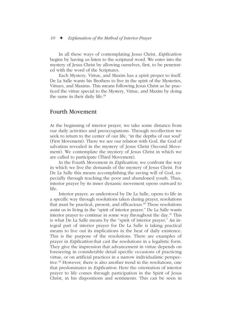In all these ways of contemplating Jesus Christ, *Explication* begins by having us listen to the scriptural word. We enter into the mystery of Jesus Christ by allowing ourselves, first, to be penetrated with the word of the Scriptures.

Each Mystery, Virtue, and Maxim has a spirit proper to itself. De La Salle wants his Brothers to live in the spirit of the Mysteries, Virtues, and Maxims. This means following Jesus Christ as he practiced the virtue special to the Mystery, Virtue, and Maxim by doing the same in their daily life.<sup>39</sup>

### Fourth Movement

At the beginning of interior prayer, we take some distance from our daily activities and preoccupations. Through recollection we seek to return to the center of our life, "in the depths of our soul" (First Movement). There we see our relation with God, the God of salvation revealed in the mystery of Jesus Christ (Second Movement). We contemplate the mystery of Jesus Christ in which we are called to participate (Third Movement).

In the Fourth Movement in *Explication,* we confront the way in which we live the demands of the mystery of Jesus Christ. For De La Salle this means accomplishing the saving will of God, especially through teaching the poor and abandoned youth. Thus, interior prayer by its inner dynamic movement opens outward to life.

Interior prayer, as understood by De La Salle, opens to life in a specific way through resolutions taken during prayer, resolutions that must be practical, present, and efficacious. $40$  These resolutions assist us in living in the "spirit of interior prayer." De La Salle wants interior prayer to continue in some way throughout the day. $41$  This is what De La Salle means by the "spirit of interior prayer." An integral part of interior prayer for De La Salle is taking practical means to live out its implications in the heat of daily existence. This is the purpose of the resolutions. There are examples of prayer in *Explication* that cast the resolutions in a legalistic form. They give the impression that advancement in virtue depends on foreseeing in considerable detail specific occasions of practicing virtue, or on artificial practices in a narrow individualistic perspective.<sup>42</sup> However, there is also another trend in the resolutions, one that predominates in *Explication.* Here the orientation of interior prayer to life comes through participation in the Spirit of Jesus Christ, in his dispositions and sentiments. This can be seen in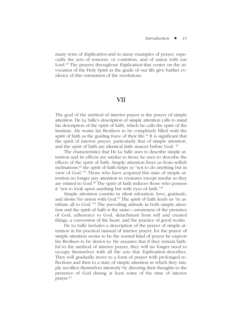many texts of *Explication* and in many examples of prayer, especially the acts of remorse, or contrition, and of union with our Lord.<sup>43</sup> The prayers throughout *Explication* that center on the invocation of the Holy Spirit as the guide of our life give further evidence of this orientation of the resolutions.

## VII

The goal of the method of interior prayer is the prayer of simple attention. De La Salle's description of simple attention calls to mind his description of the spirit of faith, which he calls the spirit of the Institute. He wants his Brothers to be completely filled with the spirit of faith as the guiding force of their life.<sup>44</sup> It is significant that the spirit of interior prayer, particularly that of simple attention, and the spirit of faith are identical faith stances before God. 45

The characteristics that De La Salle uses to describe simple attention and its effects are similar to those he uses to describe the effects of the spirit of faith. Simple attention frees us from selfish  $inclinations$ ;<sup>46</sup> the spirit of faith helps us "not to do anything but in view of God."47 Those who have acquired this state of simple attention no longer pay attention to creatures except insofar as they are related to God.<sup>48</sup> The spirit of faith induces those who possess it "not to look upon anything but with eyes of faith."49

Simple attention consists in silent adoration, love, gratitude, and desire for union with God.<sup>50</sup> The spirit of faith leads us "to attribute all to God."51 The prevailing attitude in both simple attention and the spirit of faith is the same—awareness of the presence of God, adherence to God, detachment from self and created things, a conversion of the heart, and the practice of good works.

De La Salle includes a description of the prayer of simple attention in his practical manual of interior prayer, for the prayer of simple attention seems to be the normal kind of prayer he expects his Brothers to be drawn to. He assumes that if they remain faithful to the method of interior prayer, they will no longer need to occupy themselves with all the acts that *Explication* describes. They will gradually move to a form of prayer with prolonged reflections and then to a state of simple attention in which they simply recollect themselves interiorly by directing their thoughts to the presence of God during at least some of the time of interior prayer.52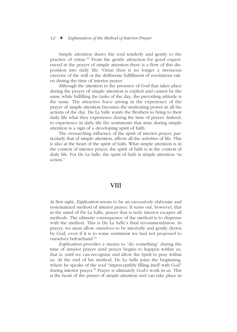Simple attention draws the soul tenderly and gently to the practice of virtue.53 From the gentle attraction for good experienced in the prayer of simple attention there is a flow of this disposition into daily life. Virtue then is no longer a strenuous exercise of the will or the deliberate fulfillment of resolutions taken during the time of interior prayer.

Although the attention to the presence of God that takes place during the prayer of simple attention is explicit and cannot be the same while fulfilling the tasks of the day, the prevailing attitude is the same. The attractive force arising in the experience of the prayer of simple attention becomes the motivating power in all the actions of the day. De La Salle wants the Brothers to bring to their daily life what they experience during the time of prayer. Indeed, to experience in daily life the sentiments that arise during simple attention is a sign of a developing spirit of faith.

The overarching influence of the spirit of interior prayer, particularly that of simple attention, affects all the activities of life. This is also at the heart of the spirit of faith. What simple attention is in the context of interior prayer, the spirit of faith is in the context of daily life. For De La Salle, the spirit of faith is simple attention "in action<sup>"</sup>

## **VIII**

At first sight, *Explication* seems to be an excessively elaborate and systematized method of interior prayer. It turns out, however, that in the mind of De La Salle, prayer that is truly interior escapes all methods. The ultimate consequence of the method is to dispense with the method. This is De La Salle's final recommendation. In prayer, we must allow ourselves to be interiorly and gently drawn by God, even if it is to some sentiment we had not proposed to ourselves beforehand.54

*Explication* provides a means to "do something" during the time of interior prayer until prayer begins to happen within us, that is, until we can recognize and allow the Spirit to pray within us. At the end of his method, De La Salle joins the beginning, where he speaks of the soul "imperceptibly filling itself with God" during interior prayer.<sup>55</sup> Prayer is ultimately God's work in us. This is the heart of the prayer of simple attention and can take place in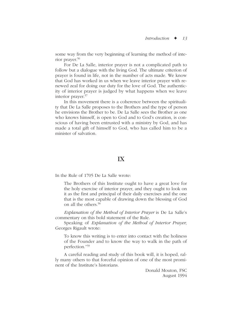some way from the very beginning of learning the method of interior prayer.56

For De La Salle, interior prayer is not a complicated path to follow but a dialogue with the living God. The ultimate criterion of prayer is found in life, not in the number of acts made. We know that God has worked in us when we leave interior prayer with renewed zeal for doing our duty for the love of God. The authenticity of interior prayer is judged by what happens when we leave interior prayer.<sup>57</sup>

In this movement there is a coherence between the spirituality that De La Salle proposes to the Brothers and the type of person he envisions the Brother to be. De La Salle sees the Brother as one who knows himself, is open to God and to God's creation, is conscious of having been entrusted with a ministry by God, and has made a total gift of himself to God, who has called him to be a minister of salvation.

## IX

In the Rule of 1705 De La Salle wrote:

The Brothers of this Institute ought to have a great love for the holy exercise of interior prayer, and they ought to look on it as the first and principal of their daily exercises and the one that is the most capable of drawing down the blessing of God on all the others<sup>58</sup>

*Explanation of the Method of Interior Prayer* is De La Salle's commentary on this bold statement of the Rule.

Speaking of *Explanation of the Method of Interior Prayer,* Georges Rigault wrote:

To know this writing is to enter into contact with the holiness of the Founder and to know the way to walk in the path of perfection."59

A careful reading and study of this book will, it is hoped, rally many others to that forceful opinion of one of the most prominent of the Institute's historians.

> Donald Mouton, FSC August 1994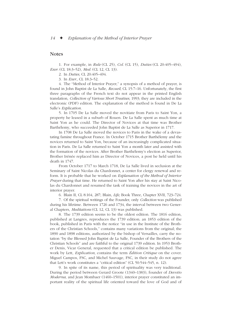### **Notes**

1. For example, in *Rule* (CL 25), *Col.* (CL 15), *Duties* (CL 20:405–494), *Exer.* (CL 18:3–52), *Med.* (CL 12, CL 13).

2. In *Duties,* CL 20:405–494.

3. In *Exer.,* CL 18:3–52.

4. The "Method of Interior Prayer," a synopsis of a method of prayer, is found in John Baptist de La Salle, *Recueil,* CL 15:7–16. Unfortunately, the first three paragraphs of the French text do not appear in the printed English translation, *Collection of Various Short Treatises,* 1993; they are included in the electronic (PDF) edition. The explanation of the method is found in De La Salle's *Explication.*

5. In 1705 De La Salle moved the novitiate from Paris to Saint Yon, a property he leased in a suburb of Rouen. De La Salle spent as much time at Saint Yon as he could. The Director of Novices at that time was Brother Barthélemy, who succeeded John Baptist de La Salle as Superior in 1717.

In 1708 De La Salle moved the novices to Paris in the wake of a devastating famine throughout France. In October 1715 Brother Barthélemy and the novices returned to Saint Yon, because of an increasingly complicated situation in Paris. De La Salle returned to Saint Yon a month later and assisted with the formation of the novices. After Brother Barthélemy's election as Superior, Brother Irénée replaced him as Director of Novices, a post he held until his death in 1747.

From October 1717 to March 1718, De La Salle lived in seclusion at the Seminary of Saint Nicolas du Chardonnet, a center for clergy renewal and reform. It is probable that he worked on *Explanation of the Method of Interior Prayer* during that time. He returned to Saint Yon after his stay at Saint Nicolas du Chardonnet and resumed the task of training the novices in the art of interior prayer.

6. Blain II, CL 8:164, 287; Blain, *Life,* Book Three, Chapter XVII, 723–724.

7. Of the spiritual writings of the Founder, only *Collection* was published during his lifetime. Between 1726 and 1734, the interval between two General Chapters, *Meditations* (CL 12, CL 13) was published.

8. The 1739 edition seems to be the oldest edition. The 1816 edition, published at Langres, reproduces the 1739 edition; an 1853 edition of the book, published in Paris with the notice "in use in the Institute of the Brothers of the Christian Schools," contains many variations from the original; the 1890 and 1898 editions, authorized by the bishop of Versailles, carry the notation "by the Blessed John Baptist de La Salle, Founder of the Brothers of the Christian Schools" and are faithful to the original 1739 edition. In 1953 Brother Denis, Vicar General, requested that a critical edition be published. The work by Lett, *Explication,* contains the term *Édition Critique* on the cover. Miguel Campos, FSC, and Michel Sauvage, FSC, in their study do not agree that Lett's work constitutes a "critical edition" (CL 50:544–545, n. 12).

9. In spite of its name, this period of spirituality was very traditional. During the period between Gerard Groote (1340–1383), founder of *Devotio Moderna,* and Jean Mombaer (1460–1501), interior prayer constituted an important reality of the spiritual life oriented toward the love of God and of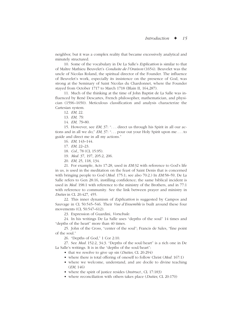neighbor, but it was a complex reality that became excessively analytical and minutely structured.

10. Some of the vocabulary in De La Salle's *Explication* is similar to that of Maître Mathieu Beuvelet's *Conduite de l'Oraison* (1654). Beuvelet was the uncle of Nicolas Roland, the spiritual director of the Founder. The influence of Beuvelet's work, especially its insistence on the presence of God, was strong at the Seminary of Saint Nicolas du Chardonnet, where the Founder stayed from October 1717 to March 1718 (Blain II, 164,287).

11. Much of the thinking at the time of John Baptist de La Salle was influenced by René Descartes, French philosopher, mathematician, and physician (1596–1650). Meticulous classification and analysis characterize the Cartesian system.

12. *EM,* 22.

13. *EM, 79*.

14. *EM, 79*–80.

15. However, see *EM,* 37: ". . . direct us through his Spirit in all our actions and in all we do;" *EM,* 37: ". . . pour out your Holy Spirit upon me . . . to guide and direct me in all my actions."

16. *EM,* 143–144.

17. *EM,* 22–23.

18. *Col.,* 78 (CL 15:95).

19. *Med.* 37, 197, 205:2, 206.

20. *EM,* 25, 118, 134.

21. For example, Acts 17:28, used in *EM:*32 with reference to God's life in us, is used in the meditation on the feast of Saint Denis that is concerned with bringing people to God (*Med.* 175:1; see also 70:2.) In *EM:*58–59, De La Salle refers to Gen 28:16, instilling confidence; the same biblical incident is used in *Med.* 198:1 with reference to the ministry of the Brothers, and in 77:1 with reference to community. See the link between prayer and ministry in *Duties* in CL 20:427, 455.

22. This inner dynamism of *Explication* is suggested by Campos and Sauvage in CL 50:545–546. Their *Vue d'Ensemble* is built around these four movements (CL 50:547–612).

23. Expression of Guardini, *Vorschule.*

24. In his writings De La Salle uses "depths of the soul" 14 times and "depths of the heart" more than 40 times.

25. John of the Cross, "center of the soul"; Francis de Sales, "fine point of the soul."

26. "Depths of God," 1 Cor 2:10.

27. See *Med.* 152:2, 34:3. "Depths of the soul/heart" is a rich one in De La Salle's writings. It is in the "depths of the soul/heart":

- that we resolve to give up sin (*Duties,* CL 20:294)
- where there is total offering of oneself to follow Christ (*Med.* 167:1)
- where we welcome, understand, and are docile to divine teaching (*EM,* 146)

• where the spirit of justice resides (*Instruct.,* CL 17:183)

• where reconciliation with others takes place (*Duties,* CL 20:170)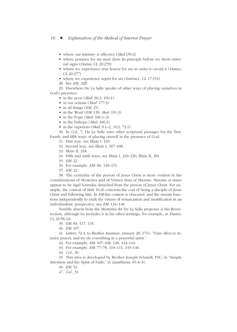- where our ministry is effective (*Med* 159:2)
- where penance for sin must draw its principle before we show external signs (*Duties,* CL 20:279)
- where we experience true horror for sin in order to avoid it (*Duties,* CL 20:277)
- where we experience regret for sin (*Instruct.,* CL 17:154)
- 28. See *EM, 3*2ff.

29. Elsewhere De La Salle speaks of other ways of placing ourselves in God's presence:

- in the poor (*Med.* 96:3; 160:1)
- in our actions (*Med.* 177:3)
- in all things (*EM,* 25)
- in the Word (*EM,* 139; *Med.* 191:3)
- in the Pope (*Med.* 106:1–2)
- in the bishops (*Med.* 106:3)
- in the superiors (*Med.* 9:1–2, 10:2, 73:1)

30. In *Col.,* 7, De La Salle uses other scriptural passages for the first, fourth, and fifth ways of placing oneself in the presence of God.

- 31. First way, see Blain I, 169.
- 32. Second way, see Blain I, 187–188.
- 33. Blain II, 218.
- 34. Fifth and sixth ways, see Blain I, 229–230; Blain II, 281.
- 35. *EM:* 22.
- 36. For example, *EM:* 80, 149–151.
- 37. *EM:* 22.

38. The centrality of the person of Jesus Christ is more evident in the considerations of Mysteries and of Virtues than of Maxims. Maxims at times appear to be rigid formulas detached from the person of Jesus Christ. For example, the context of Matt 16:26 concerns the cost of being a disciple of Jesus Christ and following him. In *EM* this context is obscured, and the maxim functions independently to exalt the virtues of renunciation and mortification in an individualistic perspective; see *EM:* 134–148.

Notably absent from the Mysteries tht De La Salle proposes is the Resurrection, although he includes it in his other writings, for example, in *Duties,* CL 20:58–62.

- 39. *EM:* 83, 117, 135.
- 40. *EM:* 107.

41. *Letters,* 72.4, to Brother Anastase, January 28, 1711: "Turn often to interior prayer, and try do everything in a prayerful spirit."

42. For example, *EM:* 107–108, 128, 143–144.

43. For example, *EM:* 77–78, 110–111, 145–146.

44. *Col.,* 30.

45. This idea is developed by Brother Joseph Schmidt, FSC, in "Simple Attention and the Spirit of Faith," in *Lasalliana,* 05-A-31.

46. *EM:* 52.

47. *Col.,* 31.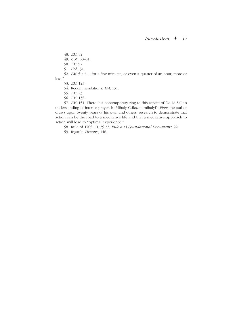48. *EM:* 52.

- 49. *Col.,* 30–31.
- 50. *EM:* 97.
- 51. *Col.,* 31.

52. *EM:* 51: ". . . for a few minutes, or even a quarter of an hour, more or less."

- 53. *EM:* 123.
- 54. Recommendations, *EM,* 151.
- 55. *EM:* 23.
- 56. *EM:* 135.

57. *EM:* 151. There is a contemporary ring to this aspect of De La Salle's understanding of interior prayer. In Mihaly Csikszentmihalyi's *Flow,* the author draws upon twenty years of his own and others' research to demonstrate that action can be the road to a meditative life and that a meditative approach to action will lead to "optimal experience."

58. Rule of 1705, CL 25:22; *Rule and Foundational Documents,* 22.

59. Rigault, *Histoire,* 148.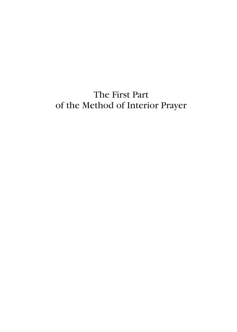# The First Part of the Method of Interior Prayer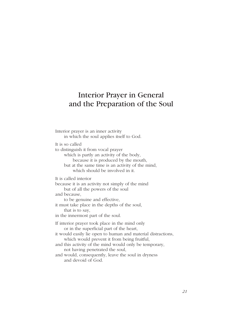# Interior Prayer in General and the Preparation of the Soul

Interior prayer is an inner activity in which the soul applies itself to God. It is so called to distinguish it from vocal prayer which is partly an activity of the body, because it is produced by the mouth, but at the same time is an activity of the mind, which should be involved in it. It is called interior because it is an activity not simply of the mind but of all the powers of the soul and because, to be genuine and effective, it must take place in the depths of the soul, that is to say, in the innermost part of the soul. If interior prayer took place in the mind only or in the superficial part of the heart, it would easily lie open to human and material distractions, which would prevent it from being fruitful, and this activity of the mind would only be temporary, not having penetrated the soul, and would, consequently, leave the soul in dryness and devoid of God.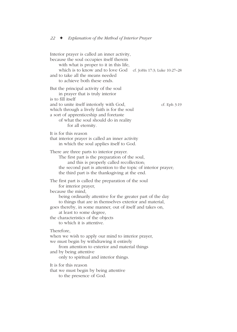Interior prayer is called an inner activity, because the soul occupies itself therein with what is proper to it in this life, which is to know and to love God cf. JoHn 17:3; Luke 10:27–28 and to take all the means needed to achieve both these ends. But the principal activity of the soul in prayer that is truly interior is to fill itself and to unite itself interiorly with God, ef. Eph 3:19 which through a lively faith is for the soul a sort of apprenticeship and foretaste of what the soul should do in reality for all eternity. It is for this reason that interior prayer is called an inner activity in which the soul applies itself to God. There are three parts to interior prayer. The first part is the preparation of the soul, and this is properly called recollection; the second part is attention to the topic of interior prayer; the third part is the thanksgiving at the end. The first part is called the preparation of the soul for interior prayer, because the mind, being ordinarily attentive for the greater part of the day to things that are in themselves exterior and material, goes thereby, in some manner, out of itself and takes on, at least to some degree, the characteristics of the objects to which it is attentive. Therefore, when we wish to apply our mind to interior prayer, we must begin by withdrawing it entirely from attention to exterior and material things and by being attentive only to spiritual and interior things. It is for this reason that we must begin by being attentive to the presence of God.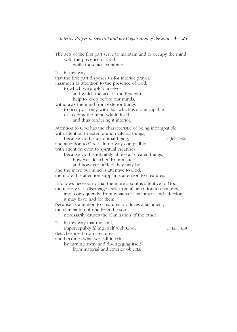The acts of the first part serve to maintain and to occupy the mind with the presence of God while these acts continue. It is in this way that the first part disposes us for interior prayer, inasmuch as attention to the presence of God, to which we apply ourselves and which the acts of the first part help to keep before our minds, withdraws the mind from exterior things to occupy it only with that which is alone capable of keeping the mind within itself and thus rendering it interior. Attention to God has the characteristic of being incompatible with attention to exterior and material things, because God is a spiritual being, ef. John 4:24 and attention to God is in no way compatible with attention even to spiritual creatures, because God is infinitely above all created things, however detached from matter and however perfect they may be, and the more our mind is attentive to God, the more this attention supplants attention to creatures. It follows necessarily that the more a soul is attentive to God, the more will it disengage itself from all attention to creatures and, consequently, from whatever attachment and affection it may have had for them, because as attention to creatures produces attachment, the elimination of one from the soul necessarily causes the elimination of the other. It is in this way that the soul, imperceptibly filling itself with God, cf. Eph 3:19 detaches itself from creatures and becomes what we call interior by turning away and disengaging itself from material and exterior objects.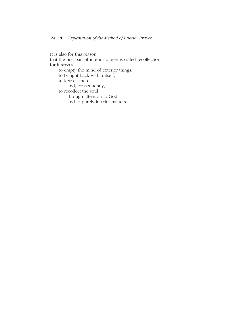It is also for this reason

that the first part of interior prayer is called recollection, for it serves

to empty the mind of exterior things,

to bring it back within itself,

to keep it there,

and, consequently,

to recollect the soul

through attention to God

and to purely interior matters.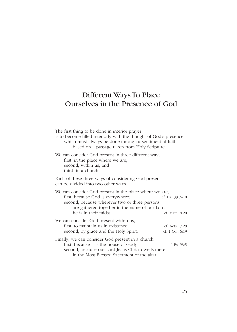# Different Ways To Place Ourselves in the Presence of God

| The first thing to be done in interior prayer<br>is to become filled interiorly with the thought of God's presence,<br>which must always be done through a sentiment of faith<br>based on a passage taken from Holy Scripture. |                                   |
|--------------------------------------------------------------------------------------------------------------------------------------------------------------------------------------------------------------------------------|-----------------------------------|
| We can consider God present in three different ways:<br>first, in the place where we are,<br>second, within us, and<br>third, in a church.                                                                                     |                                   |
| Each of these three ways of considering God present<br>can be divided into two other ways.                                                                                                                                     |                                   |
| We can consider God present in the place where we are,<br>first, because God is everywhere;<br>second, because wherever two or three persons<br>are gathered together in the name of our Lord,<br>he is in their midst.        | cf. Ps 139:7-10<br>cf. Matt 18:20 |
| We can consider God present within us,<br>first, to maintain us in existence;<br>second, by grace and the Holy Spirit.                                                                                                         | cf. Acts 17:28<br>cf. 1 Cor. 6:19 |
| Finally, we can consider God present in a church,<br>first, because it is the house of God;<br>second, because our Lord Jesus Christ dwells there<br>in the Most Blessed Sacrament of the altar.                               | cf. Ps. 93:5                      |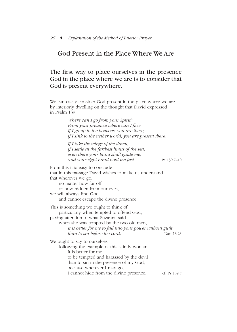## God Present in the Place Where We Are

### The first way to place ourselves in the presence God in the place where we are is to consider that God is present everywhere.

We can easily consider God present in the place where we are by interiorly dwelling on the thought that David expressed in Psalm 139:

> *Where can I go from your Spirit? From your presence where can I flee? If I go up to the heavens, you are there; if I sink to the nether world, you are present there.*

*If I take the wings of the dawn, if I settle at the farthest limits of the sea, even there your hand shall guide me, and your right hand hold me fast.* Ps 139:7–10

From this it is easy to conclude that in this passage David wishes to make us understand that wherever we go, no matter how far off or how hidden from our eyes, we will always find God and cannot escape the divine presence. This is something we ought to think of, particularly when tempted to offend God, paying attention to what Suzanna said when she was tempted by the two old men, *It is better for me to fall into your power without guilt than to sin before the Lord.* Dan 13:23 We ought to say to ourselves, following the example of this saintly woman, It is better for me to be tempted and harassed by the devil than to sin in the presence of my God, because wherever I may go, I cannot hide from the divine presence. cf. Ps 139:7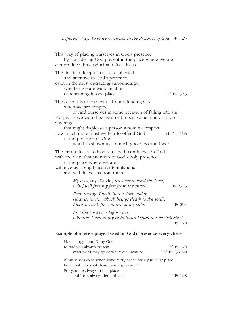| This way of placing ourselves in God's presence<br>by considering God present in the place where we are<br>can produce three principal effects in us.                                                                                                                                                                                                                            |                                                            |              |
|----------------------------------------------------------------------------------------------------------------------------------------------------------------------------------------------------------------------------------------------------------------------------------------------------------------------------------------------------------------------------------|------------------------------------------------------------|--------------|
| The first is to keep us easily recollected<br>and attentive to God's presence,<br>even in the most distracting surroundings,<br>whether we are walking about<br>or remaining in one place.                                                                                                                                                                                       |                                                            | cf. Ps 139:3 |
| The second is to prevent us from offending God<br>when we are tempted<br>or find ourselves in some occasion of falling into sin.<br>For just as we would be ashamed to say something or to do<br>anything<br>that might displease a person whom we respect,<br>how much more must we fear to offend God<br>in the presence of One<br>who has shown us so much goodness and love? |                                                            | cf. Dan 13:3 |
| The third effect is to inspire us with confidence in God,<br>with the view that attention to God's holy presence<br>in the place where we are<br>will give us strength against temptations<br>and will deliver us from them.                                                                                                                                                     |                                                            |              |
| My eyes, says David, are ever toward the Lord,<br>[who] will free my feet from the snare.                                                                                                                                                                                                                                                                                        |                                                            | Ps 25:15     |
| Even though I walk in the dark valley<br>I fear no evil, for you are at my side.                                                                                                                                                                                                                                                                                                 | (that is, in sin, which brings death to the soul),         | Ps 23:4      |
| I set the Lord ever before me;                                                                                                                                                                                                                                                                                                                                                   | with [the Lord] at my right hand I shall not be disturbed. | Ps 16:8      |
|                                                                                                                                                                                                                                                                                                                                                                                  |                                                            |              |

#### Example of interior prayer based on God's presence everywhere

| How happy I am, O my God,                                       |                |
|-----------------------------------------------------------------|----------------|
| to find you always present                                      | cf. Ps $16:8$  |
| wherever I may go or wherever I may be.                         | cf. Ps 139:7-8 |
| If my senses experience some repugnance for a particular place, |                |
| how could my soul share their displeasure?                      |                |
| For you are always in that place,                               |                |
| and I can always think of you.                                  | cf. Ps $16:8$  |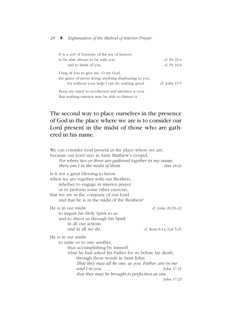| It is a sort of foretaste of the joy of heaven                                                                                              |                 |
|---------------------------------------------------------------------------------------------------------------------------------------------|-----------------|
| to be able always to be with you                                                                                                            | cf. Ps $23:4$   |
| and to think of you.                                                                                                                        | cf. Ps $16:8$   |
| I beg of you to give me, O my God,<br>the grace of never doing anything displeasing to you,<br>for without your help I can do nothing good. | cf. John $15:5$ |
| Keep my mind so recollected and attentive to you                                                                                            |                 |

that nothing exterior may be able to distract it.

## The second way to place ourselves in the presence of God in the place where we are is to consider our Lord present in the midst of those who are gathered in his name.

| We can consider God present in the place where we are,<br>because our Lord says in Saint Matthew's Gospel,<br>For where two or three are gathered together in my name,<br>there am I in the midst of them.                                                                                                 | Matt 18:20                                  |
|------------------------------------------------------------------------------------------------------------------------------------------------------------------------------------------------------------------------------------------------------------------------------------------------------------|---------------------------------------------|
| Is it not a great blessing to know<br>when we are together with our Brothers,<br>whether to engage in interior prayer<br>or to perform some other exercise,<br>that we are in the company of our Lord<br>and that he is in the midst of the Brothers?                                                      |                                             |
| He is in our midst<br>to impart his Holy Spirit to us<br>and to direct us through his Spirit<br>in all our actions<br>and in all we do.                                                                                                                                                                    | cf. John 20:19–22<br>cf. Rom 8:14; Gal 5:25 |
| He is in our midst<br>to unite us to one another,<br>thus accomplishing by himself<br>what he had asked his Father for us before his death,<br>through these words in Saint John:<br>That they may all be one, as you, Father, are in me<br>and I in you,<br>that they may be brought to perfection as one | John 17:21<br>John 17:23                    |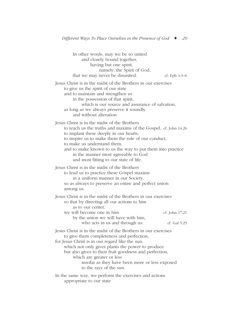In other words, may we be so united and closely bound together, having but one spirit, namely, the Spirit of God, that we may never be disunited.  $cf.$  Eph  $4:3-6$ Jesus Christ is in the midst of the Brothers in our exercises to give us the spirit of our state and to maintain and strengthen us in the possession of that spirit, which is our source and assurance of salvation, as long as we always preserve it soundly and without alteration. Jesus Christ is in the midst of the Brothers to teach us the truths and maxims of the Gospel, cf. John 14:26 to implant these deeply in our hearts, to inspire us to make them the rule of our conduct, to make us understand them, and to make known to us the way to put them into practice in the manner most agreeable to God and most fitting to our state of life. Jesus Christ is in the midst of the Brothers to lead us to practice these Gospel maxims in a uniform manner in our Society, so as always to preserve an entire and perfect union among us. Jesus Christ is in the midst of the Brothers in our exercises so that by directing all our actions to him as to our center we will become one in him cf. John 17:21 by the union we will have with him, who acts in us and through us. cf. Gal 5:25 Jesus Christ is in the midst of the Brothers in our exercises to give them completeness and perfection, for Jesus Christ is in our regard like the sun, which not only gives plants the power to produce but also gives to their fruit goodness and perfection, which are greater or less insofar as they have been more or less exposed to the rays of the sun. In the same way, we perform the exercises and actions appropriate to our state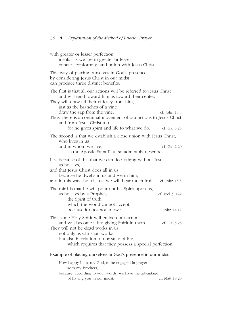| with greater or lesser perfection<br>insofar as we are in greater or lesser<br>contact, conformity, and union with Jesus Christ.                                                                                                                                                                                                             |                                 |
|----------------------------------------------------------------------------------------------------------------------------------------------------------------------------------------------------------------------------------------------------------------------------------------------------------------------------------------------|---------------------------------|
| This way of placing ourselves in God's presence<br>by considering Jesus Christ in our midst<br>can produce three distinct benefits.                                                                                                                                                                                                          |                                 |
| The first is that all our actions will be referred to Jesus Christ<br>and will tend toward him as toward their center.<br>They will draw all their efficacy from him,<br>just as the branches of a vine<br>draw the sap from the vine.<br>Thus, there is a continual movement of our actions to Jesus Christ<br>and from Jesus Christ to us, | cf. John 15:5                   |
| for he gives spirit and life to what we do.                                                                                                                                                                                                                                                                                                  | cf. Gal 5:25                    |
| The second is that we establish a close union with Jesus Christ,                                                                                                                                                                                                                                                                             |                                 |
| who lives in us<br>and in whom we live,<br>as the Apostle Saint Paul so admirably describes.                                                                                                                                                                                                                                                 | cf. Gal 2:20                    |
| It is because of this that we can do nothing without Jesus,<br>as he says,<br>and that Jesus Christ does all in us,<br>because he dwells in us and we in him,<br>and in this way, he tells us, we will bear much fruit.                                                                                                                      | cf. John 15:5                   |
| The third is that he will pour out his Spirit upon us,<br>as he says by a Prophet,<br>the Spirit of truth,<br>which the world cannot accept,<br>because it does not know it.                                                                                                                                                                 | cf. Joel $3: 1-2$<br>John 14:17 |
| This same Holy Spirit will enliven our actions<br>and will become a life-giving Spirit in them.<br>They will not be dead works in us,                                                                                                                                                                                                        | cf. Gal 5:25                    |
| not only as Christian works<br>but also in relation to our state of life,<br>which requires that they possess a special perfection.                                                                                                                                                                                                          |                                 |
| Example of placing ourselves in God's presence in our midst                                                                                                                                                                                                                                                                                  |                                 |
| How happy I am, my God, to be engaged in prayer<br>with my Brothers,<br>because, according to your words, we have the advantage                                                                                                                                                                                                              |                                 |

of having you in our midst. Cf. Matt 18:20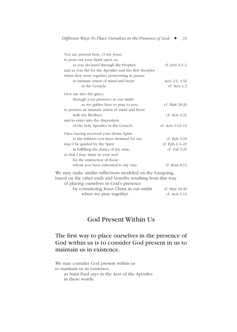| You are present here, O my Jesus,                            |                    |
|--------------------------------------------------------------|--------------------|
| to pour out your Spirit upon us,                             |                    |
| as you declared through the Prophet,                         | cf. Joel $3:1-2$   |
| and as you did for the Apostles and the first disciples      |                    |
| when they were together persevering in prayer                |                    |
| in intimate union of mind and heart                          | Acts 2:1; $4:32$   |
| in the Cenacle.                                              | $cf.$ Acts $1,3$   |
| Give me also the grace,                                      |                    |
| through your presence in our midst                           |                    |
| as we gather here to pray to you,                            | cf. Matt 18:20     |
| to possess an intimate union of mind and heart               |                    |
| with my Brothers                                             | cf. Acts $4:32$    |
| and to enter into the disposition                            |                    |
| of the holy Apostles in the Cenacle.                         | cf. Acts $1:12-14$ |
| Once having received your divine Spirit                      |                    |
| in the fullness you have destined for me,                    | $cf.$ Eph $3:19$   |
| may I be guided by the Spirit                                | cf. Eph $1:1-23$   |
| in fulfilling the duties of my state,                        | cf. Gal 5:25       |
| so that I may share in your zeal                             |                    |
| for the instruction of those                                 |                    |
| whom you have entrusted to my care.                          | $cf.$ Rom $8:14$   |
| We may make similar reflections modeled on the foregoing,    |                    |
| based on the other ends and benefits resulting from this way |                    |
| of placing ourselves in God's presence                       |                    |
| by considering Jesus Christ in our midst                     | cf. Matt 18:20     |
| when we pray together.                                       | $cf.$ Acts $1:14$  |

## God Present Within Us

### The first way to place ourselves in the presence of God within us is to consider God present in us to maintain us in existence.

We may consider God present within us to maintain us in existence, as Saint Paul says in the Acts of the Apostles in these words: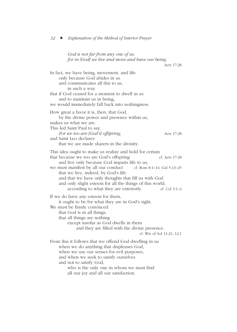*God is not far from any one of us, for in [God] we live and move and have our being.* Acts 17:28 In fact, we have being, movement, and life only because God abides in us and communicates all this to us, in such a way that if God ceased for a moment to dwell in us and to maintain us in being, we would immediately fall back into nothingness. How great a favor it is, then, that God, by the divine power and presence within us, makes us what we are. This led Saint Paul to say, *For we too are [God's] offspring,* Acts 17:28 and Saint Leo declares that we are made sharers in the divinity. This idea ought to make us realize and hold for certain that because we too are God's offspring cf. Acts 17:28 and live only because God imparts life to us, we must manifest by all our conduct cf. Rom  $8:1-14$ ; Gal  $5:13-25$ that we live, indeed, by God's life and that we have only thoughts that fill us with God and only slight esteem for all the things of this world, according to what they are exteriorly.  $\qquad \qquad$  cf. Col 3:1–2 If we do have any esteem for them, it ought to be for what they are in God's sight. We must be firmly convinced that God is in all things, that all things are nothing except insofar as God dwells in them and they are filled with the divine presence. cf. Wis of Sol 11:21; 12:1 From this it follows that we offend God dwelling in us when we do anything that displeases God, when we use our senses for evil purposes, and when we seek to satisfy ourselves and not to satisfy God, who is the only one in whom we must find all our joy and all our satisfaction,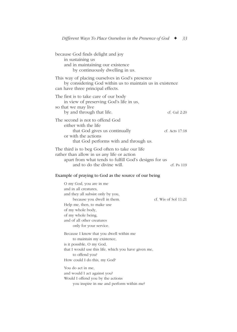| because God finds delight and joy<br>in sustaining us<br>and in maintaining our existence<br>by continuously dwelling in us.                                                        |                |
|-------------------------------------------------------------------------------------------------------------------------------------------------------------------------------------|----------------|
| This way of placing ourselves in God's presence<br>by considering God within us to maintain us in existence<br>can have three principal effects.                                    |                |
| The first is to take care of our body<br>in view of preserving God's life in us,<br>so that we may live<br>by and through that life.                                                | cf. Gal 2:20   |
| The second is not to offend God<br>either with the life<br>that God gives us continually<br>or with the actions<br>that God performs with and through us.                           | cf. Acts 17:18 |
| The third is to beg God often to take our life<br>rather than allow in us any life or action<br>apart from what tends to fulfill God's designs for us<br>and to do the divine will. | cf. Ps 119     |
| Example of praying to God as the source of our being                                                                                                                                |                |

| O my God, you are in me                              |                        |
|------------------------------------------------------|------------------------|
| and in all creatures,                                |                        |
| and they all subsist only by you,                    |                        |
| because you dwell in them.                           | cf. Wis of Sol $11:21$ |
| Help me, then, to make use                           |                        |
| of my whole body,                                    |                        |
| of my whole being.                                   |                        |
| and of all other creatures                           |                        |
| only for your service.                               |                        |
| Because I know that you dwell within me              |                        |
| to maintain my existence,                            |                        |
| is it possible, O my God,                            |                        |
| that I would use this life, which you have given me, |                        |
| to offend you?                                       |                        |
| How could I do this, my God?                         |                        |
| You do act in me,                                    |                        |
| and would I act against you?                         |                        |
| Would I offend you by the actions                    |                        |
| you inspire in me and perform within me?             |                        |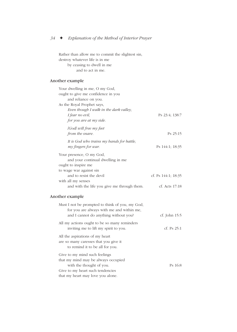Rather than allow me to commit the slightest sin, destroy whatever life is in me by ceasing to dwell in me

and to act in me.

#### Another example

| Your dwelling in me, O my God,              |                     |
|---------------------------------------------|---------------------|
| ought to give me confidence in you          |                     |
| and reliance on you.                        |                     |
| As the Royal Prophet says,                  |                     |
| Even though I walk in the dark valley,      |                     |
| I fear no evil,                             | Ps 23:4; 138:7      |
| for you are at my side.                     |                     |
| [God] will free my feet                     |                     |
| from the snare.                             | $Ps$ 25:15          |
| It is God who trains my hands for battle,   |                     |
| my fingers for war.                         | Ps 144:1; 18:35     |
| Your presence, O my God,                    |                     |
| and your continual dwelling in me           |                     |
| ought to inspire me                         |                     |
| to wage war against sin                     |                     |
| and to resist the devil                     | cf. Ps 144:1; 18:35 |
| with all my senses                          |                     |
| and with the life you give me through them. | cf. Acts 17:18      |

#### Another example

| Must I not be prompted to think of you, my God,<br>for you are always with me and within me,<br>and I cannot do anything without you? | cf. John 15:5 |
|---------------------------------------------------------------------------------------------------------------------------------------|---------------|
| All my actions ought to be so many reminders<br>inviting me to lift my spirit to you.                                                 | cf. Ps $25:1$ |
| All the aspirations of my heart<br>are so many caresses that you give it<br>to remind it to be all for you.                           |               |
| Give to my mind such feelings<br>that my mind may be always occupied                                                                  |               |
| with the thought of you.<br>Give to my heart such tendencies<br>that my heart may love you alone.                                     | Ps 16:8       |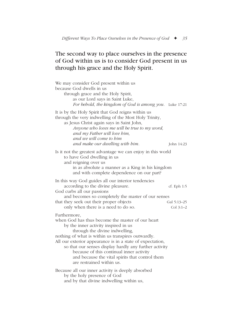## The second way to place ourselves in the presence of God within us is to consider God present in us through his grace and the Holy Spirit.

| We may consider God present within us<br>because God dwells in us<br>through grace and the Holy Spirit,<br>as our Lord says in Saint Luke,<br>For behold, the kingdom of God is among you. Luke 17:21                                                                                                                                                                                                                                               |                                           |
|-----------------------------------------------------------------------------------------------------------------------------------------------------------------------------------------------------------------------------------------------------------------------------------------------------------------------------------------------------------------------------------------------------------------------------------------------------|-------------------------------------------|
| It is by the Holy Spirit that God reigns within us<br>through the very indwelling of the Most Holy Trinity,<br>as Jesus Christ again says in Saint John,<br>Anyone who loves me will be true to my word,<br>and my Father will love him,<br>and we will come to him<br>and make our dwelling with him.                                                                                                                                              | John 14:23                                |
| Is it not the greatest advantage we can enjoy in this world<br>to have God dwelling in us<br>and reigning over us<br>in as absolute a manner as a King in his kingdom<br>and with complete dependence on our part?                                                                                                                                                                                                                                  |                                           |
| In this way God guides all our interior tendencies<br>according to the divine pleasure.<br>God curbs all our passions<br>and becomes so completely the master of our senses<br>that they seek out their proper objects<br>only when there is a need to do so.                                                                                                                                                                                       | cf. Eph 1:5<br>Gal 5:13-25<br>Col $3:1-2$ |
| Furthermore,<br>when God has thus become the master of our heart<br>by the inner activity inspired in us<br>through the divine indwelling,<br>nothing of what is within us transpires outwardly.<br>All our exterior appearance is in a state of expectation,<br>so that our senses display hardly any further activity<br>because of this continual inner activity<br>and because the vital spirits that control them<br>are restrained within us. |                                           |
| Because all our inner activity is deeply absorbed<br>by the holy presence of God<br>and by that divine indwelling within us,                                                                                                                                                                                                                                                                                                                        |                                           |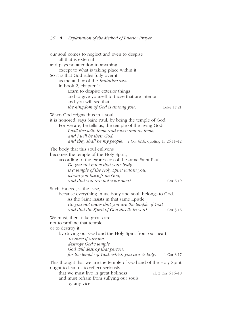our soul comes to neglect and even to despise all that is external and pays no attention to anything except to what is taking place within it. So it is that God rules fully over it, as the author of the *Imitation* says in book 2, chapter 1: Learn to despise exterior things and to give yourself to those that are interior, and you will see that *the kingdom of God is among you.* Luke 17:21 When God reigns thus in a soul, it is honored, says Saint Paul, by being the temple of God. For we are, he tells us, the temple of the living God: *I will live with them and move among them, and I will be their God, and they shall be my people.* 2 Cor 6:16, quoting Lv 26:11–12 The body that this soul enlivens becomes the temple of the Holy Spirit, according to the expression of the same Saint Paul, *Do you not know that your body is a temple of the Holy Spirit within you, whom you have from God, and that you are not your own?* 1 Cor 6:19 Such, indeed, is the case, because everything in us, body and soul, belongs to God. As the Saint insists in that same Epistle, *Do you not know that you are the temple of God and that the Spirit of God dwells in you?* 1 Cor 3:16 We must, then, take great care not to profane that temple or to destroy it by driving out God and the Holy Spirit from our heart, b*ecause if anyone destroys God's temple, God will destroy that person, for the temple of God, which you are, is holy.* 1 Cor 3:17 This thought that we are the temple of God and of the Holy Spirit ought to lead us to reflect seriously that we must live in great holiness cf. 2 Cor 6:16–18 and must refrain from sullying our souls

by any vice.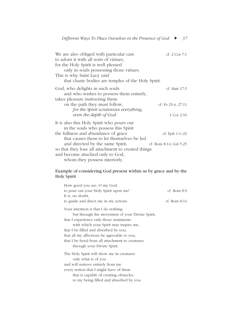| We are also obliged with particular care           | cf. $2$ Cor $7:1$       |
|----------------------------------------------------|-------------------------|
| to adorn it with all sorts of virtues,             |                         |
| for the Holy Spirit is well pleased                |                         |
| only in souls possessing those virtues.            |                         |
| This is why Saint Lucy said                        |                         |
| that chaste bodies are temples of the Holy Spirit. |                         |
| God, who delights in such souls                    | cf. Matt 17:5           |
| and who wishes to possess them entirely,           |                         |
| takes pleasure instructing them                    |                         |
| on the path they must follow,                      | cf. Ps $25:4$ ; $27:11$ |
| for the Spirit scrutinizes everything,             |                         |
| even the depth of God.                             | 1 Cor 2:10              |
| It is also this Holy Spirit who pours out          |                         |
| in the souls who possess this Spirit               |                         |
| the fullness and abundance of grace                | cf. Eph $1:1-23$        |
| that causes them to let themselves be led          |                         |
| and directed by the same Spirit,                   | cf. Rom 8:14; Gal 5:25  |
| so that they lose all attachment to created things |                         |
| and become attached only to God,                   |                         |
| whom they possess interiorly.                      |                         |

#### Example of considering God present within us by grace and by the Holy Spirit

| How good you are, O my God,                      |                 |
|--------------------------------------------------|-----------------|
| to pour out your Holy Spirit upon me!            | $cf.$ Rom $8:9$ |
| It is, no doubt,                                 |                 |
| to guide and direct me in my actions.            | cf. Rom $8:14$  |
| Your intention is that I do nothing              |                 |
| but through the movement of your Divine Spirit,  |                 |
| that I experience only those sentiments          |                 |
| with which your Spirit may inspire me,           |                 |
| that I be filled and absorbed by you,            |                 |
| that all my affections be agreeable to you,      |                 |
| that I be freed from all attachment to creatures |                 |
| through your Divine Spirit.                      |                 |
| The Holy Spirit will show me in creatures        |                 |
| only what is of you                              |                 |
| and will remove entirely from me                 |                 |
| every notion that I might have of them           |                 |
| that is capable of creating obstacles            |                 |
| to my being filled and absorbed by you.          |                 |
|                                                  |                 |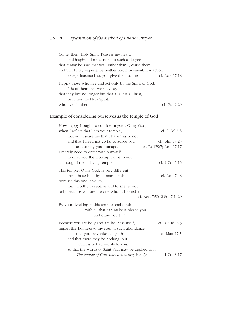| Come, then, Holy Spirit! Possess my heart,                                               |                  |
|------------------------------------------------------------------------------------------|------------------|
| and inspire all my actions to such a degree                                              |                  |
| that it may be said that you, rather than I, cause them                                  |                  |
| and that I may experience neither life, movement, nor action                             |                  |
| except inasmuch as you give them to me.                                                  | cf. Acts $17:18$ |
| Happy those who live and act only by the Spirit of God.<br>It is of them that we may say |                  |
| that they live no longer but that it is Jesus Christ,                                    |                  |
| or rather the Holy Spirit,                                                               |                  |
| who lives in them.                                                                       | $cf$ Gal 2.20    |

#### Example of considering ourselves as the temple of God

| How happy I ought to consider myself, O my God,       |                            |
|-------------------------------------------------------|----------------------------|
| when I reflect that I am your temple,                 | cf. 2 Col 6:6              |
| that you assure me that I have this honor             |                            |
| and that I need not go far to adore you               | cf. John 14:23             |
| and to pay you homage.                                | cf. Ps 139:7; Acts 17:17   |
| I merely need to enter within myself                  |                            |
| to offer you the worship I owe to you,                |                            |
| as though in your living temple.                      | cf. $2$ Col 6:16           |
| This temple, O my God, is very different              |                            |
| from those built by human hands,                      | cf. Acts $7:48$            |
| because this one is yours,                            |                            |
| truly worthy to receive and to shelter you            |                            |
| only because you are the one who fashioned it.        |                            |
|                                                       | cf. Acts 7:50; 2 Sm 7:1-29 |
| By your dwelling in this temple, embellish it         |                            |
| with all that can make it please you                  |                            |
| and draw you to it.                                   |                            |
| Because you are holy and are holiness itself,         | cf. Is $5:16; 6:3$         |
| impart this holiness to my soul in such abundance     |                            |
| that you may take delight in it                       | cf. Matt 17:5              |
| and that there may be nothing in it                   |                            |
| which is not agreeable to you,                        |                            |
| so that the words of Saint Paul may be applied to it, |                            |
| The temple of God, which you are, is holy.            | 1 Col 3:17                 |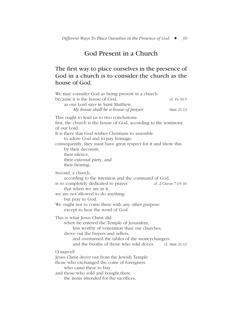## God Present in a Church

### The first way to place ourselves in the presence of God in a church is to consider the church as the house of God.

| We may consider God as being present in a church                                                                                                                                                                                                                                                                                                                                 |                     |
|----------------------------------------------------------------------------------------------------------------------------------------------------------------------------------------------------------------------------------------------------------------------------------------------------------------------------------------------------------------------------------|---------------------|
| because it is the house of God,<br>as our Lord says in Saint Matthew,                                                                                                                                                                                                                                                                                                            | cf. Ps $93:5$       |
| My house shall be a house of prayer.                                                                                                                                                                                                                                                                                                                                             | Matt 21:13          |
| This ought to lead us to two conclusions:<br>first, the church is the house of God, according to the testimony<br>of our Lord.<br>It is there that God wishes Christians to assemble<br>to adore God and to pay homage;<br>consequently, they must have great respect for it and show this<br>by their decorum,<br>their silence,<br>their external piety, and<br>their bearing. |                     |
| Second, a church,<br>according to the intention and the command of God,<br>is so completely dedicated to prayer<br>that when we are in it,<br>we are not allowed to do anything<br>but pray to God.<br>We ought not to come there with any other purpose<br>except to hear the word of God.                                                                                      | cf. 2 Chron 7:15-16 |
| This is what Jesus Christ did<br>when he entered the Temple of Jerusalem,<br>less worthy of veneration than our churches,<br>drove out the buyers and sellers,<br>and overturned the tables of the moneychangers<br>and the booths of those who sold doves.                                                                                                                      | cf. Matt 21:12      |
| O marvel!<br>Jesus Christ drove out from the Jewish Temple<br>those who exchanged the coins of foreigners<br>who came there to buy<br>and those who sold and bought there<br>the items intended for the sacrifices,                                                                                                                                                              |                     |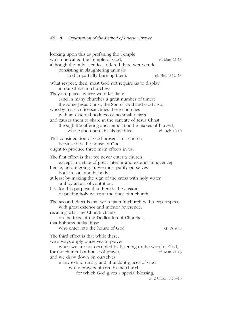| looking upon this as profaning the Temple<br>which he called the Temple of God,                                                                                                                                                                                                                                                                                                                                                                                 |                     |
|-----------------------------------------------------------------------------------------------------------------------------------------------------------------------------------------------------------------------------------------------------------------------------------------------------------------------------------------------------------------------------------------------------------------------------------------------------------------|---------------------|
| although the only sacrifices offered there were crude,                                                                                                                                                                                                                                                                                                                                                                                                          | cf. Matt 21:13      |
| consisting in slaughtering animals                                                                                                                                                                                                                                                                                                                                                                                                                              |                     |
| and in partially burning them.                                                                                                                                                                                                                                                                                                                                                                                                                                  | cf. Heb 9:12–13     |
| What respect, then, must God not require us to display<br>in our Christian churches?<br>They are places where we offer daily<br>(and in many churches a great number of times)<br>the same Jesus Christ, the Son of God and God also,<br>who by his sacrifice sanctifies these churches<br>with an external holiness of no small degree<br>and causes them to share in the sanctity of Jesus Christ<br>through the offering and immolation he makes of himself, |                     |
| whole and entire, in his sacrifice.                                                                                                                                                                                                                                                                                                                                                                                                                             | cf. Heb 10:10       |
| This consideration of God present in a church<br>because it is the house of God<br>ought to produce three main effects in us.                                                                                                                                                                                                                                                                                                                                   |                     |
| The first effect is that we never enter a church<br>except in a state of great interior and exterior innocence;<br>hence, before going in, we must purify ourselves<br>both in soul and in body,<br>at least by making the sign of the cross with holy water<br>and by an act of contrition.<br>It is for this purpose that there is the custom<br>of putting holy water at the door of a church.                                                               |                     |
| The second effect is that we remain in church with deep respect,<br>with great exterior and interior reverence,<br>recalling what the Church chants<br>on the feast of the Dedication of Churches,<br>that holiness befits those                                                                                                                                                                                                                                |                     |
| who enter into the house of God.                                                                                                                                                                                                                                                                                                                                                                                                                                | cf. Ps 93:5         |
| The third effect is that while there,<br>we always apply ourselves to prayer<br>when we are not occupied by listening to the word of God,<br>for the church is a house of prayer,                                                                                                                                                                                                                                                                               | cf. Matt 21:13      |
| and we draw down on ourselves<br>many extraordinary and abundant graces of God<br>by the prayers offered in the church,<br>for which God gives a special blessing.                                                                                                                                                                                                                                                                                              |                     |
|                                                                                                                                                                                                                                                                                                                                                                                                                                                                 | cf. 2 Chron 7:15-16 |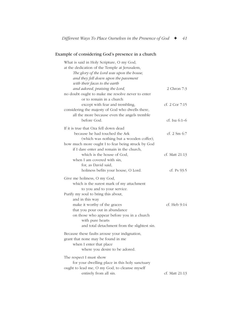#### Example of considering God's presence in a church

| What is said in Holy Scripture, O my God,<br>at the dedication of the Temple at Jerusalem,<br>The glory of the Lord was upon the house,<br>and they fell down upon the pavement                     |                             |
|-----------------------------------------------------------------------------------------------------------------------------------------------------------------------------------------------------|-----------------------------|
| with their faces to the earth<br>and adored, praising the Lord,<br>no doubt ought to make me resolve never to enter<br>or to remain in a church                                                     | 2 Chron 7:3                 |
| except with fear and trembling,<br>considering the majesty of God who dwells there,<br>all the more because even the angels tremble                                                                 | cf. $2$ Cor $7:15$          |
| before God.                                                                                                                                                                                         | cf. Isa $6:1-6$             |
| If it is true that Oza fell down dead<br>because he had touched the Ark<br>(which was nothing but a wooden coffer),<br>how much more ought I to fear being struck by God                            | cf. $2 \, \text{Sm} \, 6:7$ |
| if I dare enter and remain in the church,<br>which is the house of God,<br>when I am covered with sin.<br>for, as David said,                                                                       | cf. Matt 21:13              |
| holiness befits your house, O Lord.                                                                                                                                                                 | cf. Ps $93:5$               |
| Give me holiness, O my God,<br>which is the surest mark of my attachment<br>to you and to your service.<br>Purify my soul to bring this about,                                                      |                             |
| and in this way<br>make it worthy of the graces<br>that you pour out in abundance<br>on those who appear before you in a church<br>with pure hearts<br>and total detachment from the slightest sin. | cf. Heb 9:14                |
| Because these faults arouse your indignation,<br>grant that none may be found in me<br>when I enter that place<br>where you desire to be adored.                                                    |                             |
| The respect I must show<br>for your dwelling place in this holy sanctuary<br>ought to lead me, O my God, to cleanse myself                                                                          |                             |
| entirely from all sin.                                                                                                                                                                              | cf. Matt 21:13              |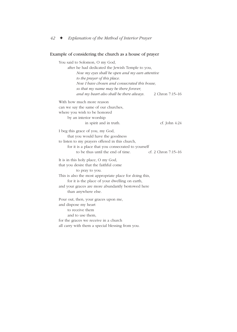#### Example of considering the church as a house of prayer

You said to Solomon, O my God, after he had dedicated the Jewish Temple to you, *Now my eyes shall be open and my ears attentive to the prayer of this place. Now I have chosen and consecrated this house, so that my name may be there forever, and my heart also shall be there always.* 2 Chron 7:15–16 With how much more reason can we say the same of our churches, where you wish to be honored by an interior worship in spirit and in truth. cf. John 4:24 I beg this grace of you, my God, that you would have the goodness to listen to my prayers offered in this church, for it is a place that you consecrated to yourself to be thus until the end of time. cf. 2 Chron 7:15–16 It is in this holy place, O my God, that you desire that the faithful come to pray to you. This is also the most appropriate place for doing this, for it is the place of your dwelling on earth, and your graces are more abundantly bestowed here than anywhere else. Pour out, then, your graces upon me, and dispose my heart to receive them and to use them, for the graces we receive in a church all carry with them a special blessing from you.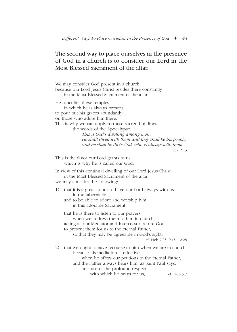### The second way to place ourselves in the presence of God in a church is to consider our Lord in the Most Blessed Sacrament of the altar.

We may consider God present in a church because our Lord Jesus Christ resides there constantly in the Most Blessed Sacrament of the altar. He sanctifies these temples in which he is always present to pour out his graces abundantly on those who adore him there. This is why we can apply to these sacred buildings the words of the Apocalypse: *This is God's dwelling among men. He shall dwell with them and they shall be his people, and he shall be their God, who is always with them.* Rev 21:3 This is the favor our Lord grants to us, which is why he is called our God. In view of this continual dwelling of our Lord Jesus Christ in the Most Blessed Sacrament of the altar, we may consider the following: 1) that it is a great honor to have our Lord always with us in the tabernacle and to be able to adore and worship him in this adorable Sacrament; that he is there to listen to our prayers when we address them to him in church. acting as our Mediator and Intercessor before God to present them for us to the eternal Father, so that they may be agreeable in God's sight; cf. Heb 7:25; 9:15; 12:28 2) that we ought to have recourse to him when we are in church, because his mediation is effective when he offers our petitions to the eternal Father, and the Father always hears him, as Saint Paul says, because of the profound respect with which he prays for us; cf. Heb 5:7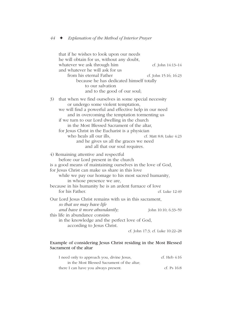that if he wishes to look upon our needs he will obtain for us, without any doubt, whatever we ask through him cf. John 14:13–14 and whatever he will ask for us from his eternal Father cf. John 15:16; 16:23 because he has dedicated himself totally to our salvation and to the good of our soul; 3) that when we find ourselves in some special necessity or undergo some violent temptation, we will find a powerful and effective help in our need and in overcoming the temptation tormenting us if we turn to our Lord dwelling in the church in the Most Blessed Sacrament of the altar, for Jesus Christ in the Eucharist is a physician who heals all our ills, et. Matt 8:8; Luke 4:23 and he gives us all the graces we need and all that our soul requires. 4) Remaining attentive and respectful before our Lord present in the church is a good means of maintaining ourselves in the love of God, for Jesus Christ can make us share in this love while we pay our homage to his most sacred humanity, in whose presence we are, because in his humanity he is an ardent furnace of love for his Father. cf. Luke 12:49 Our Lord Jesus Christ remains with us in this sacrament, *so that we may have life and have it more abundantly*: John 10:10; 6:33–59 this life in abundance consists in the knowledge and the perfect love of God, according to Jesus Christ. cf. John 17:3; cf. Luke 10:22–28

#### Example of considering Jesus Christ residing in the Most Blessed Sacrament of the altar

| I need only to approach you, divine Jesus,  | cf. Heb 4:16  |
|---------------------------------------------|---------------|
| in the Most Blessed Sacrament of the altar. |               |
| there I can have you always present.        | cf. Ps $16:8$ |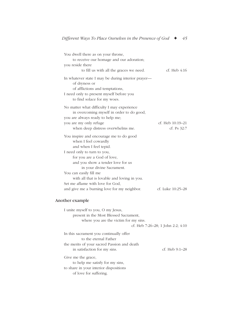| You dwell there as on your throne,                                                                                                                                                                                                                 |                                 |
|----------------------------------------------------------------------------------------------------------------------------------------------------------------------------------------------------------------------------------------------------|---------------------------------|
| to receive our homage and our adoration;                                                                                                                                                                                                           |                                 |
| you reside there                                                                                                                                                                                                                                   |                                 |
| to fill us with all the graces we need.                                                                                                                                                                                                            | cf. Heb 4:16                    |
| In whatever state I may be during interior prayer—<br>of dryness or<br>of afflictions and temptations,<br>I need only to present myself before you<br>to find solace for my woes.                                                                  |                                 |
| No matter what difficulty I may experience<br>in overcoming myself in order to do good,<br>you are always ready to help me;<br>you are my only refuge<br>when deep distress overwhelms me.                                                         | cf. Heb 10:19–21<br>cf. Ps 32:7 |
| You inspire and encourage me to do good<br>when I feel cowardly<br>and when I feel tepid.<br>I need only to turn to you,<br>for you are a God of love,<br>and you show a tender love for us<br>in your divine Sacrament.<br>You can easily fill me |                                 |
| with all that is lovable and loving in you.<br>Set me aflame with love for God,                                                                                                                                                                    |                                 |
| and give me a burning love for my neighbor.                                                                                                                                                                                                        | cf. Luke 10:25-28               |
|                                                                                                                                                                                                                                                    |                                 |

#### Another example

I unite myself to you, O my Jesus, present in the Most Blessed Sacrament, where you are the victim for my sins. cf. Heb 7:26–28; 1 John 2:2; 4:10 In this sacrament you continually offer to the eternal Father the merits of your sacred Passion and death in satisfaction for my sins. cf. Heb 9:1–28 Give me the grace, to help me satisfy for my sins, to share in your interior dispositions of love for suffering.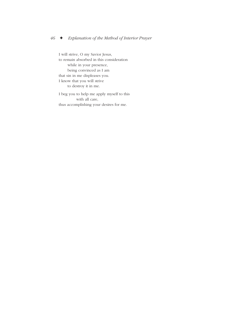I will strive, O my Savior Jesus, to remain absorbed in this consideration while in your presence, being convinced as I am that sin in me displeases you. I know that you will strive to destroy it in me.

I beg you to help me apply myself to this with all care, thus accomplishing your desires for me.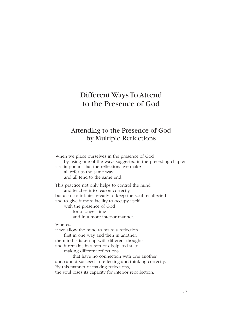# Different Ways To Attend to the Presence of God

## Attending to the Presence of God by Multiple Reflections

When we place ourselves in the presence of God by using one of the ways suggested in the preceding chapter, it is important that the reflections we make all refer to the same way and all tend to the same end. This practice not only helps to control the mind and teaches it to reason correctly but also contributes greatly to keep the soul recollected and to give it more facility to occupy itself with the presence of God for a longer time and in a more interior manner. Whereas, if we allow the mind to make a reflection first in one way and then in another, the mind is taken up with different thoughts, and it remains in a sort of dissipated state,

making different reflections

that have no connection with one another and cannot succeed in reflecting and thinking correctly. By this manner of making reflections, the soul loses its capacity for interior recollection.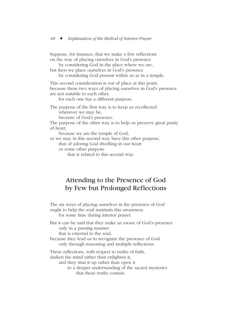Suppose, for instance, that we make a few reflections on the way of placing ourselves in God's presence

by considering God in the place where we are,

but then we place ourselves in God's presence by considering God present within us as in a temple.

This second consideration is out of place at this point, because these two ways of placing ourselves in God's presence are not suitable to each other,

for each one has a different purpose.

The purpose of the first way is to keep us recollected wherever we may be,

because of God's presence.

The purpose of the other way is to help us preserve great purity of heart,

because we are the temple of God,

or we may in this second way have this other purpose,

that of adoring God dwelling in our heart

or some other purpose

that is related to this second way.

## Attending to the Presence of God by Few but Prolonged Reflections

The six ways of placing ourselves in the presence of God ought to help the soul maintain this awareness for some time during interior prayer.

But it can be said that they make us aware of God's presence only in a passing manner

that is external to the soul,

because they lead us to recognize the presence of God only through reasoning and multiple reflections.

These reflections, with respect to truths of faith,

darken the mind rather than enlighten it,

and they shut it up rather than open it

to a deeper understanding of the sacred mysteries that these truths contain.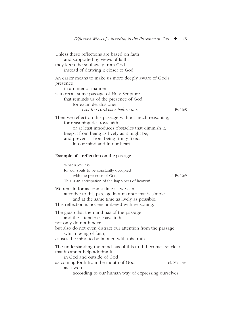Unless these reflections are based on faith and supported by views of faith, they keep the soul away from God instead of drawing it closer to God. An easier means to make us more deeply aware of God's presence in an interior manner is to recall some passage of Holy Scripture that reminds us of the presence of God, for example, this one: *I set the Lord ever before me.* Ps 16:8 Then we reflect on this passage without much reasoning, for reasoning destroys faith or at least introduces obstacles that diminish it, keep it from being as lively as it might be, and prevent it from being firmly fixed in our mind and in our heart. Example of a reflection on the passage What a joy it is for our souls to be constantly occupied with the presence of God! cf. Ps 16:9 This is an anticipation of the happiness of heaven! We remain for as long a time as we can attentive to this passage in a manner that is simple and at the same time as lively as possible. This reflection is not encumbered with reasoning. The grasp that the mind has of the passage and the attention it pays to it not only do not hinder but also do not even distract our attention from the passage, which being of faith, causes the mind to be imbued with this truth. The understanding the mind has of this truth becomes so clear that it cannot help adoring it in God and outside of God as coming forth from the mouth of God, cf. Matt 4:4 as it were, according to our human way of expressing ourselves.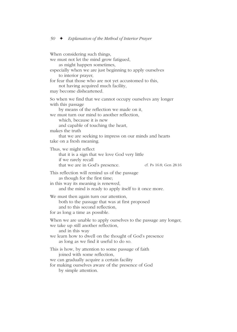When considering such things, we must not let the mind grow fatigued, as might happen sometimes, especially when we are just beginning to apply ourselves to interior prayer, for fear that those who are not yet accustomed to this, not having acquired much facility, may become disheartened. So when we find that we cannot occupy ourselves any longer with this passage by means of the reflection we made on it, we must turn our mind to another reflection, which, because it is new and capable of touching the heart, makes the truth that we are seeking to impress on our minds and hearts take on a fresh meaning. Thus, we might reflect that it is a sign that we love God very little if we rarely recall that we are in God's presence. cf. Ps 16:8; Gen 28:16 This reflection will remind us of the passage as though for the first time; in this way its meaning is renewed, and the mind is ready to apply itself to it once more. We must then again turn our attention, both to the passage that was at first proposed and to this second reflection, for as long a time as possible. When we are unable to apply ourselves to the passage any longer, we take up still another reflection, and in this way we learn how to dwell on the thought of God's presence as long as we find it useful to do so. This is how, by attention to some passage of faith joined with some reflection, we can gradually acquire a certain facility for making ourselves aware of the presence of God by simple attention.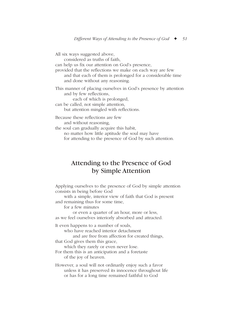All six ways suggested above, considered as truths of faith, can help us fix our attention on God's presence, provided that the reflections we make on each way are few and that each of them is prolonged for a considerable time and done without any reasoning. This manner of placing ourselves in God's presence by attention and by few reflections, each of which is prolonged, can be called, not simple attention, but attention mingled with reflections. Because these reflections are few and without reasoning, the soul can gradually acquire this habit, no matter how little aptitude the soul may have for attending to the presence of God by such attention.

## Attending to the Presence of God by Simple Attention

Applying ourselves to the presence of God by simple attention consists in being before God

with a simple, interior view of faith that God is present and remaining thus for some time,

for a few minutes

or even a quarter of an hour, more or less, as we feel ourselves interiorly absorbed and attracted.

It even happens to a number of souls,

who have reached interior detachment

and are free from affection for created things,

that God gives them this grace,

which they rarely or even never lose.

For them this is an anticipation and a foretaste of the joy of heaven.

However, a soul will not ordinarily enjoy such a favor unless it has preserved its innocence throughout life or has for a long time remained faithful to God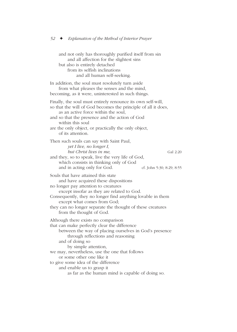and not only has thoroughly purified itself from sin and all affection for the slightest sins but also is entirely detached from its selfish inclinations and all human self-seeking. In addition, the soul must resolutely turn aside from what pleases the senses and the mind, becoming, as it were, uninterested in such things. Finally, the soul must entirely renounce its own self-will, so that the will of God becomes the principle of all it does, as an active force within the soul, and so that the presence and the action of God within this soul are the only object, or practically the only object, of its attention. Then such souls can say with Saint Paul, *yet I live, no longer I, but Christ lives in me.* Gal 2:20 and they, so to speak, live the very life of God, which consists in thinking only of God and in acting only for God. cf. John 5:30; 8:29; 8:55 Souls that have attained this state and have acquired these dispositions no longer pay attention to creatures except insofar as they are related to God. Consequently, they no longer find anything lovable in them except what comes from God; they can no longer separate the thought of these creatures from the thought of God. Although there exists no comparison that can make perfectly clear the difference between the way of placing ourselves in God's presence through reflections and reasoning and of doing so by simple attention, we may, nevertheless, use the one that follows or some other one like it to give some idea of the difference and enable us to grasp it as far as the human mind is capable of doing so.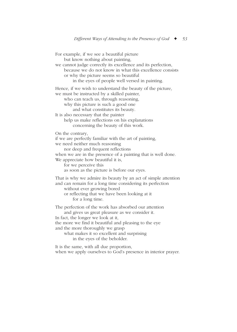For example, if we see a beautiful picture but know nothing about painting, we cannot judge correctly its excellence and its perfection, because we do not know in what this excellence consists or why the picture seems so beautiful in the eyes of people well versed in painting. Hence, if we wish to understand the beauty of the picture, we must be instructed by a skilled painter, who can teach us, through reasoning, why this picture is such a good one and what constitutes its beauty. It is also necessary that the painter help us make reflections on his explanations concerning the beauty of this work. On the contrary, if we are perfectly familiar with the art of painting, we need neither much reasoning nor deep and frequent reflections when we are in the presence of a painting that is well done. We appreciate how beautiful it is, for we perceive this as soon as the picture is before our eyes. That is why we admire its beauty by an act of simple attention and can remain for a long time considering its perfection without ever growing bored or reflecting that we have been looking at it for a long time. The perfection of the work has absorbed our attention and gives us great pleasure as we consider it. In fact, the longer we look at it, the more we find it beautiful and pleasing to the eye and the more thoroughly we grasp what makes it so excellent and surprising

in the eyes of the beholder.

It is the same, with all due proportion, when we apply ourselves to God's presence in interior prayer.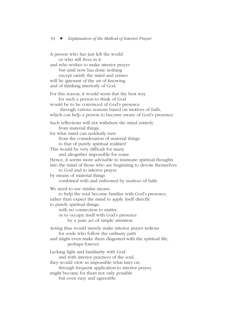A person who has just left the world or who still lives in it and who wishes to make interior prayer but until now has done nothing except satisfy the mind and senses will be ignorant of the art of knowing and of thinking interiorly of God. For this reason, it would seem that the best way for such a person to think of God would be to be convinced of God's presence through various reasons based on motives of faith, which can help a person to become aware of God's presence. Such reflections will not withdraw the mind entirely from material things, for what mind can suddenly turn from the consideration of material things to that of purely spiritual realities? This would be very difficult for many and altogether impossible for some. Hence, it seems more advisable to insinuate spiritual thoughts into the mind of those who are beginning to devote themselves to God and to interior prayer by means of material things combined with and enlivened by motives of faith. We need to use similar means to help the soul become familiar with God's presence, rather than expect the mind to apply itself directly to purely spiritual things, with no connection to matter, or to occupy itself with God's presence by a pure act of simple attention. Acting thus would merely make interior prayer tedious for souls who follow the ordinary path and might even make them disgusted with the spiritual life, perhaps forever. Lacking light and familiarity with God and with interior practices of the soul, they would view as impossible what later on, through frequent application to interior prayer, might become for them not only possible but even easy and agreeable.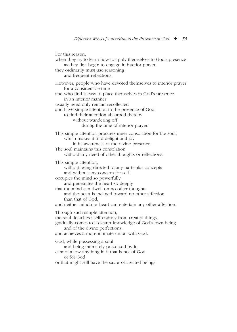For this reason, when they try to learn how to apply themselves to God's presence as they first begin to engage in interior prayer, they ordinarily must use reasoning and frequent reflections. However, people who have devoted themselves to interior prayer for a considerable time and who find it easy to place themselves in God's presence in an interior manner usually need only remain recollected and have simple attention to the presence of God to find their attention absorbed thereby without wandering off during the time of interior prayer. This simple attention procures inner consolation for the soul, which makes it find delight and joy in its awareness of the divine presence. The soul maintains this consolation without any need of other thoughts or reflections. This simple attention, without being directed to any particular concepts and without any concern for self, occupies the mind so powerfully and penetrates the heart so deeply that the mind can dwell on no other thoughts and the heart is inclined toward no other affection than that of God, and neither mind nor heart can entertain any other affection. Through such simple attention, the soul detaches itself entirely from created things, gradually comes to a clearer knowledge of God's own being and of the divine perfections, and achieves a more intimate union with God. God, while possessing a soul and being intimately possessed by it, cannot allow anything in it that is not of God or for God or that might still have the savor of created beings.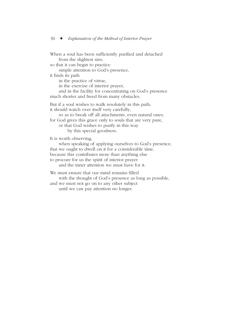When a soul has been sufficiently purified and detached from the slightest sins, so that it can begin to practice simple attention to God's presence, it finds its path in the practice of virtue, in the exercise of interior prayer, and in the facility for concentrating on God's presence much shorter and freed from many obstacles. But if a soul wishes to walk resolutely in this path, it should watch over itself very carefully, so as to break off all attachments, even natural ones; for God gives this grace only to souls that are very pure, or that God wishes to purify in this way by this special goodness. It is worth observing, when speaking of applying ourselves to God's presence, that we ought to dwell on it for a considerable time, because this contributes more than anything else to procure for us the spirit of interior prayer and the inner attention we must have for it. We must ensure that our mind remains filled with the thought of God's presence as long as possible, and we must not go on to any other subject

until we can pay attention no longer.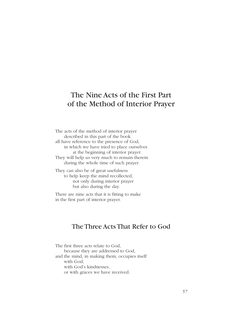# The Nine Acts of the First Part of the Method of Interior Prayer

The acts of the method of interior prayer described in this part of the book all have reference to the presence of God, in which we have tried to place ourselves at the beginning of interior prayer. They will help us very much to remain therein during the whole time of such prayer.

They can also be of great usefulness to help keep the mind recollected, not only during interior prayer but also during the day.

There are nine acts that it is fitting to make in the first part of interior prayer.

## The Three Acts That Refer to God

The first three acts relate to God, because they are addressed to God, and the mind, in making them, occupies itself with God, with God's kindnesses, or with graces we have received.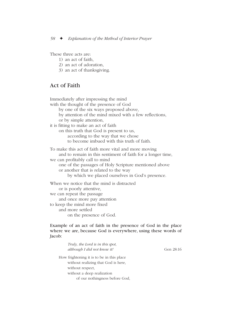These three acts are:

- 1) an act of faith,
- 2) an act of adoration,
- 3) an act of thanksgiving.

### Act of Faith

Immediately after impressing the mind with the thought of the presence of God by one of the six ways proposed above, by attention of the mind mixed with a few reflections, or by simple attention, it is fitting to make an act of faith on this truth that God is present to us, according to the way that we chose to become imbued with this truth of faith. To make this act of faith more vital and more moving and to remain in this sentiment of faith for a longer time, we can profitably call to mind one of the passages of Holy Scripture mentioned above or another that is related to the way by which we placed ourselves in God's presence. When we notice that the mind is distracted or is poorly attentive, we can repeat the passage and once more pay attention to keep the mind more fixed and more settled on the presence of God.

Example of an act of faith in the presence of God in the place where we are, because God is everywhere, using these words of Jacob:

| Truly, the Lord is in this spot,<br>although I did not know it! | Gen 28:16 |
|-----------------------------------------------------------------|-----------|
| How frightening it is to be in this place                       |           |
| without realizing that God is here,                             |           |
| without respect,                                                |           |
| without a deep realization                                      |           |
| of our nothingness before God,                                  |           |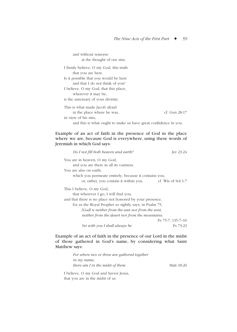| and without remorse                                             |               |
|-----------------------------------------------------------------|---------------|
| at the thought of our sins.                                     |               |
| I firmly believe, O my God, this truth                          |               |
| that you are here.                                              |               |
| Is it possible that you would be here                           |               |
| and that I do not think of you?                                 |               |
| I believe, O my God, that this place,                           |               |
| wherever it may be,                                             |               |
| is the sanctuary of your divinity.                              |               |
| This is what made Jacob afraid                                  |               |
| in the place where he was,                                      | cf. Gen 28:17 |
| in view of his sins,                                            |               |
| and this is what ought to make us have great confidence in you. |               |

Example of an act of faith in the presence of God in the place where we are, because God is everywhere, using these words of Jeremiah in which God says:

| Do I not fill both heaven and earth?                     | Jer 23:24            |
|----------------------------------------------------------|----------------------|
| You are in heaven, O my God,                             |                      |
| and you are there in all its vastness.                   |                      |
| You are also on earth,                                   |                      |
| which you permeate entirely, because it contains you,    |                      |
| or, rather, you contain it within you.                   | cf. Wis of Sol $1:7$ |
| This I believe, O my God,                                |                      |
| that wherever I go, I will find you,                     |                      |
| and that there is no place not honored by your presence, |                      |
| for as the Royal Prophet so rightly says, in Psalm 75,   |                      |
| [God] is neither from the east nor from the west,        |                      |
| neither from the desert nor from the mountains;          |                      |
|                                                          | Ps 75:7; 135:7-10    |
| Yet with you I shall always be.                          | Ps 73:23             |

Example of an act of faith in the presence of our Lord in the midst of those gathered in God's name, by considering what Saint Matthew says:

> *For where two or three are gathered together in my name, there am I in the midst of them.* Matt 18:20

I believe, O my God and Savior Jesus, that you are in the midst of us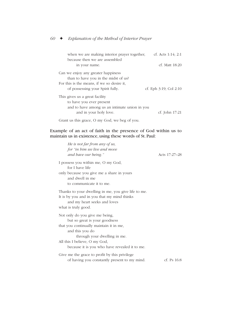| when we are making interior prayer together,  | cf. Acts 1:14; 2:1          |
|-----------------------------------------------|-----------------------------|
| because then we are assembled                 |                             |
| in your name.                                 | cf. Matt 18:20              |
| Can we enjoy any greater happiness            |                             |
| than to have you in the midst of us?          |                             |
| For this is the means, if we so desire it,    |                             |
| of possessing your Spirit fully.              | cf. Eph $3:19$ ; Col $2:10$ |
| This gives us a great facility                |                             |
| to have you ever present                      |                             |
| and to have among us an intimate union in you |                             |
| and in your holy love.                        | cf. John 17:21              |
| Grant us this grace, O my God, we beg of you. |                             |

Example of an act of faith in the presence of God within us to maintain us in existence, using these words of St. Paul:

| He is not far from any of us,                                                                                                                             |               |
|-----------------------------------------------------------------------------------------------------------------------------------------------------------|---------------|
| for "in him we live and move                                                                                                                              |               |
| and have our being."                                                                                                                                      | Acts 17:27-28 |
| I possess you within me, O my God,<br>for I have life<br>only because you give me a share in yours<br>and dwell in me<br>to communicate it to me.         |               |
| Thanks to your dwelling in me, you give life to me.<br>It is by you and in you that my mind thinks<br>and my heart seeks and loves<br>what is truly good. |               |
| Not only do you give me being,<br>but so great is your goodness                                                                                           |               |
| that you continually maintain it in me,<br>and this you do<br>through your dwelling in me.                                                                |               |
| All this I believe, O my God,<br>because it is you who have revealed it to me.                                                                            |               |
| Give me the grace to profit by this privilege<br>of having you constantly present to my mind.                                                             | cf. Ps $16.8$ |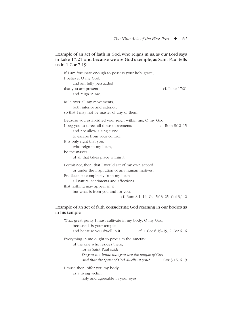#### Example of an act of faith in God, who reigns in us, as our Lord says in Luke 17:21, and because we are God's temple, as Saint Paul tells us in 1 Cor 7:19

| If I am fortunate enough to possess your holy grace,<br>I believe, O my God,<br>and am fully persuaded    |                   |
|-----------------------------------------------------------------------------------------------------------|-------------------|
| that you are present<br>and reign in me.                                                                  | cf. Luke 17:21    |
| Rule over all my movements,<br>both interior and exterior,<br>so that I may not be master of any of them. |                   |
| Because you established your reign within me, O my God,                                                   |                   |
| I beg you to direct all these movements<br>and not allow a single one<br>to escape from your control.     | cf. Rom $8:12-15$ |
| It is only right that you,                                                                                |                   |
| who reign in my heart,                                                                                    |                   |
| be the master                                                                                             |                   |
| of all that takes place within it.                                                                        |                   |
| Permit not, then, that I would act of my own accord<br>or under the inspiration of any human motives.     |                   |
| Eradicate so completely from my heart                                                                     |                   |
| all natural sentiments and affections                                                                     |                   |
| that nothing may appear in it                                                                             |                   |
| but what is from you and for you.                                                                         |                   |
| cf. Rom 8:1–14; Gal 5:13–25; Col 3,1–2                                                                    |                   |

#### Example of an act of faith considering God reigning in our bodies as in his temple

| What great purity I must cultivate in my body, O my God, |                                    |
|----------------------------------------------------------|------------------------------------|
| because it is your temple                                |                                    |
| and because you dwell in it.                             | cf. 1 Cor $6:15-19$ ; 2 Cor $6:16$ |
| Everything in me ought to proclaim the sanctity          |                                    |
| of the one who resides there,                            |                                    |
| for as Saint Paul said:                                  |                                    |
| Do you not know that you are the temple of God           |                                    |
| and that the Spirit of God dwells in you?                | 1 Cor $3:16$ ; 6:19                |
| I must, then, offer you my body                          |                                    |
| as a living victim,                                      |                                    |
| holy and agreeable in your eyes,                         |                                    |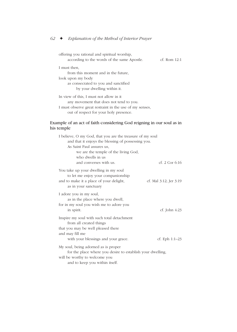out of respect for your holy presence.

offering you rational and spiritual worship, according to the words of the same Apostle. cf. Rom 12:1 I must then, from this moment and in the future, look upon my body as consecrated to you and sanctified by your dwelling within it. In view of this, I must not allow in it any movement that does not tend to you. I must observe great restraint in the use of my senses,

#### Example of an act of faith considering God reigning in our soul as in his temple

| I believe, O my God, that you are the treasure of my soul  |                        |
|------------------------------------------------------------|------------------------|
| and that it enjoys the blessing of possessing you.         |                        |
| As Saint Paul assures us,                                  |                        |
| we are the temple of the living God,                       |                        |
| who dwells in us                                           |                        |
| and converses with us.                                     | cf. $2$ Cor 6:16       |
| You take up your dwelling in my soul                       |                        |
| to let me enjoy your companionship                         |                        |
| and to make it a place of your delight,                    | cf. Mal 3:12; Jer 3:19 |
| as in your sanctuary                                       |                        |
| I adore you in my soul,                                    |                        |
| as in the place where you dwell,                           |                        |
| for in my soul you wish me to adore you                    |                        |
| in spirit.                                                 | cf. John $4:23$        |
| Inspire my soul with such total detachment                 |                        |
| from all created things                                    |                        |
| that you may be well pleased there                         |                        |
| and may fill me                                            |                        |
| with your blessings and your grace.                        | cf. Eph $1:1-23$       |
| My soul, being adorned as is proper                        |                        |
| for the place where you desire to establish your dwelling, |                        |
| will be worthy to welcome you                              |                        |
| and to keep you within itself.                             |                        |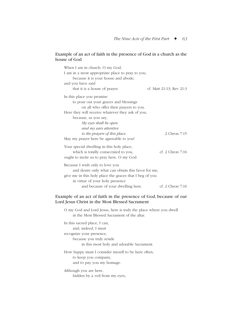#### Example of an act of faith in the presence of God in a church as the house of God

| When I am in church, O my God,                          |                          |
|---------------------------------------------------------|--------------------------|
| I am in a most appropriate place to pray to you,        |                          |
| because it is your house and abode,                     |                          |
| and you have said                                       |                          |
| that it is a house of prayer.                           | cf. Matt 21:13; Rev 21:3 |
| In this place you promise                               |                          |
| to pour out your graces and blessings                   |                          |
| on all who offer their prayers to you.                  |                          |
| Here they will receive whatever they ask of you,        |                          |
| because, as you say,                                    |                          |
| $My$ eyes shall be open                                 |                          |
| and my ears attentive                                   |                          |
| to the prayers of this place.                           | 2 Chron 7:15             |
| May my prayer here be agreeable to you!                 |                          |
| Your special dwelling in this holy place,               |                          |
| which is totally consecrated to you,                    | cf. 2 Chron 7:16         |
| ought to incite us to pray here, O my God.              |                          |
| Because I wish only to love you                         |                          |
| and desire only what can obtain this favor for me,      |                          |
| give me in this holy place the graces that I beg of you |                          |
| in virtue of your holy presence                         |                          |
| and because of your dwelling here.                      | cf. 2 Chron 7:16         |

#### Example of an act of faith in the presence of God, because of our Lord Jesus Christ in the Most Blessed Sacrament

O my God and Lord Jesus, here is truly the place where you dwell in the Most Blessed Sacrament of the altar.

In this sacred place, I can, and, indeed, I must recognize your presence, because you truly reside in this most holy and adorable Sacrament.

How happy must I consider myself to be here often, to keep you company, and to pay you my homage.

Although you are here, hidden by a veil from my eyes,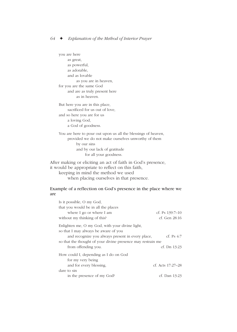you are here as great, as powerful, as adorable, and as lovable as you are in heaven, for you are the same God and are as truly present here as in heaven.

But here you are in this place, sacrificed for us out of love, and so here you are for us a loving God, a God of goodness.

You are here to pour out upon us all the blessings of heaven, provided we do not make ourselves unworthy of them by our sins and by our lack of gratitude for all your goodness.

After making or eliciting an act of faith in God's presence, it would be appropriate to reflect on this faith,

keeping in mind the method we used when placing ourselves in that presence.

#### Example of a reflection on God's presence in the place where we are

| Is it possible, O my God,                                   |                   |
|-------------------------------------------------------------|-------------------|
| that you would be in all the places                         |                   |
| where I go or where I am                                    | cf. Ps 139:7-10   |
| without my thinking of this?                                | cf. Gen 28:16     |
| Enlighten me, O my God, with your divine light,             |                   |
| so that I may always be aware of you                        |                   |
| and recognize you always present in every place,            | cf. Ps $4:7$      |
| so that the thought of your divine presence may restrain me |                   |
| from offending you.                                         | cf. Dn 13:23      |
| How could I, depending as I do on God                       |                   |
| for my very being                                           |                   |
| and for every blessing,                                     | cf. Acts 17:27-28 |
| dare to sin                                                 |                   |
| in the presence of my God?                                  | cf. Dan 13:23     |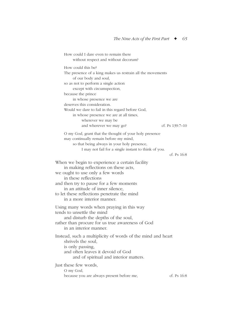How could I dare even to remain there without respect and without decorum? How could this be? The presence of a king makes us restrain all the movements of our body and soul, so as not to perform a single action except with circumspection, because the prince in whose presence we are deserves this consideration. Would we dare to fail in this regard before God, in whose presence we are at all times, wherever we may be and wherever we may go? cf. Ps 139:7–10 O my God, grant that the thought of your holy presence may continually remain before my mind, so that being always in your holy presence, I may not fail for a single instant to think of you. cf. Ps 16:8 When we begin to experience a certain facility in making reflections on these acts, we ought to use only a few words in these reflections and then try to pause for a few moments in an attitude of inner silence, to let these reflections penetrate the mind in a more interior manner. Using many words when praying in this way tends to unsettle the mind and disturb the depths of the soul, rather than procure for us true awareness of God in an interior manner. Instead, such a multiplicity of words of the mind and heart shrivels the soul, is only passing, and often leaves it devoid of God and of spiritual and interior matters. Just these few words, O my God, because you are always present before me, cf. Ps 16:8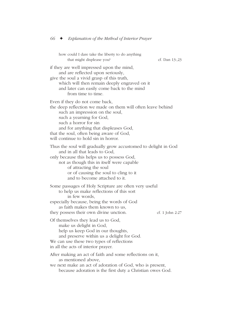how could I dare take the liberty to do anything that might displease you? cf. Dan 13:,23 if they are well impressed upon the mind, and are reflected upon seriously, give the soul a vivid grasp of this truth, which will then remain deeply engraved on it and later can easily come back to the mind from time to time. Even if they do not come back, the deep reflection we made on them will often leave behind such an impression on the soul, such a yearning for God, such a horror for sin and for anything that displeases God, that the soul, often being aware of God, will continue to hold sin in horror. Thus the soul will gradually grow accustomed to delight in God and in all that leads to God, only because this helps us to possess God, not as though this in itself were capable of attracting the soul or of causing the soul to cling to it and to become attached to it. Some passages of Holy Scripture are often very useful to help us make reflections of this sort in few words, especially because, being the words of God as faith makes them known to us, they possess their own divine unction. cf. 1 John 2:27 Of themselves they lead us to God, make us delight in God, help us keep God in our thoughts, and preserve within us a delight for God. We can use these two types of reflections in all the acts of interior prayer. After making an act of faith and some reflections on it, as mentioned above, we next make an act of adoration of God, who is present, because adoration is the first duty a Christian owes God.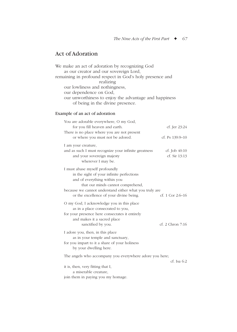# Act of Adoration

We make an act of adoration by recognizing God as our creator and our sovereign Lord, remaining in profound respect in God's holy presence and realizing our lowliness and nothingness, our dependence on God, our unworthiness to enjoy the advantage and happiness of being in the divine presence.

### Example of an act of adoration

| You are adorable everywhere, O my God,                            |                    |
|-------------------------------------------------------------------|--------------------|
| for you fill heaven and earth.                                    | cf. Jer 23:24      |
| There is no place where you are not present                       |                    |
| or where you must not be adored.                                  | cf. Ps 139:9-10    |
| I am your creature,                                               |                    |
| and as such I must recognize your infinite greatness              | cf. Job $40:10$    |
| and your sovereign majesty                                        | cf. Sir 13:13      |
| wherever I may be.                                                |                    |
|                                                                   |                    |
| I must abase myself profoundly                                    |                    |
| in the sight of your infinite perfections                         |                    |
| and of everything within you<br>that our minds cannot comprehend, |                    |
| because we cannot understand either what you truly are            |                    |
| or the excellence of your divine being.                           | cf. 1 Cor $2:6-16$ |
|                                                                   |                    |
| O my God, I acknowledge you in this place                         |                    |
| as in a place consecrated to you,                                 |                    |
| for your presence here consecrates it entirely                    |                    |
| and makes it a sacred place                                       | cf. 2 Chron 7:16   |
| sanctified by you.                                                |                    |
| I adore you, then, in this place                                  |                    |
| as in your temple and sanctuary,                                  |                    |
| for you impart to it a share of your holiness                     |                    |
| by your dwelling here.                                            |                    |
| The angels who accompany you everywhere adore you here;           |                    |
|                                                                   | $cf.$ Isa 6:2      |
| it is, then, very fitting that I,                                 |                    |
| a miserable creature,                                             |                    |
| join them in paying you my homage.                                |                    |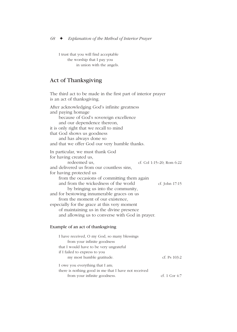I trust that you will find acceptable the worship that I pay you in union with the angels.

# Act of Thanksgiving

The third act to be made in the first part of interior prayer is an act of thanksgiving. After acknowledging God's infinite greatness and paying homage because of God's sovereign excellence and our dependence thereon, it is only right that we recall to mind that God shows us goodness and has always done so and that we offer God our very humble thanks. In particular, we must thank God for having created us, redeemed us, cf. Col 1:15–20; Rom 6:22 and delivered us from our countless sins, for having protected us from the occasions of committing them again and from the wickedness of the world cf. John 17:15 by bringing us into the community, and for bestowing innumerable graces on us from the moment of our existence, especially for the grace at this very moment of maintaining us in the divine presence and allowing us to converse with God in prayer.

#### Example of an act of thanksgiving

| I have received, O my God, so many blessings         |                 |
|------------------------------------------------------|-----------------|
| from your infinite goodness                          |                 |
| that I would have to be very ungrateful              |                 |
| if I failed to express to you                        |                 |
| my most humble gratitude.                            | cf. Ps $103:2$  |
| I owe you everything that I am;                      |                 |
| there is nothing good in me that I have not received |                 |
| from your infinite goodness.                         | cf. 1 Cor $4:7$ |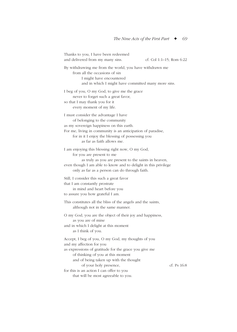Thanks to you, I have been redeemed and delivered from my many sins. cf. Col 1:1–15; Rom 6:22 By withdrawing me from the world, you have withdrawn me from all the occasions of sin I might have encountered and in which I might have committed many more sins. I beg of you, O my God, to give me the grace never to forget such a great favor, so that I may thank you for it every moment of my life. I must consider the advantage I have of belonging to the community as my sovereign happiness on this earth. For me, living in community is an anticipation of paradise, for in it I enjoy the blessing of possessing you as far as faith allows me. I am enjoying this blessing right now, O my God, for you are present to me as truly as you are present to the saints in heaven, even though I am able to know and to delight in this privilege only as far as a person can do through faith. Still, I consider this such a great favor that I am constantly prostrate in mind and heart before you to assure you how grateful I am. This constitutes all the bliss of the angels and the saints, although not in the same manner. O my God, you are the object of their joy and happiness, as you are of mine and in which I delight at this moment as I think of you. Accept, I beg of you, O my God, my thoughts of you and my affection for you as expressions of gratitude for the grace you give me of thinking of you at this moment and of being taken up with the thought of your holy presence, cf. Ps 16:8 for this is an action I can offer to you that will be most agreeable to you.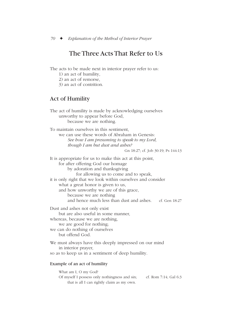# The Three Acts That Refer to Us

The acts to be made next in interior prayer refer to us:

- 1) an act of humility,
- 2) an act of remorse,
- 3) an act of contrition.

## Act of Humility

The act of humility is made by acknowledging ourselves unworthy to appear before God, because we are nothing.

To maintain ourselves in this sentiment, we can use these words of Abraham in Genesis: *See how I am presuming to speak to my Lord, though I am but dust and ashes?*

Gn 18:27; cf. Job 30:19; Ps 144:13

It is appropriate for us to make this act at this point, for after offering God our homage by adoration and thanksgiving for allowing us to come and to speak, it is only right that we look within ourselves and consider what a great honor is given to us, and how unworthy we are of this grace, because we are nothing and hence much less than dust and ashes. cf. Gen 18:27 Dust and ashes not only exist but are also useful in some manner,

whereas, because we are nothing, we are good for nothing; we can do nothing of ourselves but offend God.

We must always have this deeply impressed on our mind in interior prayer,

so as to keep us in a sentiment of deep humility.

#### Example of an act of humility

What am I, O my God? Of myself I possess only nothingness and sin; cf. Rom 7:14; Gal 6:3 that is all I can rightly claim as my own.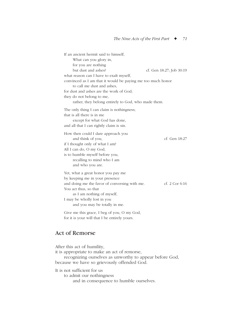If an ancient hermit said to himself, What can you glory in, for you are nothing but dust and ashes? cf. Gen 18:27; Job 30:19 what reason can I have to exalt myself, convinced as I am that it would be paying me too much honor to call me dust and ashes, for dust and ashes are the work of God; they do not belong to me, rather, they belong entirely to God, who made them. The only thing I can claim is nothingness; that is all there is in me except for what God has done, and all that I can rightly claim is sin. How then could I dare approach you and think of you, cf. Gen 18:27 if I thought only of what I am? All I can do, O my God, is to humble myself before you, recalling to mind who I am and who you are. Yet, what a great honor you pay me by keeping me in your presence and doing me the favor of conversing with me. cf. 2 Cor 6:16 You act thus, so that as I am nothing of myself, I may be wholly lost in you and you may be totally in me.

Give me this grace, I beg of you, O my God, for it is your will that I be entirely yours.

## Act of Remorse

After this act of humility, it is appropriate to make an act of remorse, recognizing ourselves as unworthy to appear before God, because we have so grievously offended God. It is not sufficient for us to admit our nothingness

and in consequence to humble ourselves.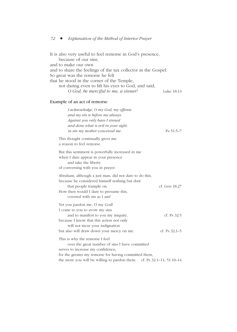It is also very useful to feel remorse in God's presence, because of our sins, and to make our own and to share the feelings of the tax collector in the Gospel. So great was the remorse he felt that he stood in the corner of the Temple, not daring even to lift his eyes to God, and said, *O God, be merciful to me, a sinner!* Luke 18:13

#### Example of an act of remorse

| I acknowledge, O my God, my offense<br>and my sin is before me always.<br>Against you only have I sinned<br>and done what is evil in your sight;<br>in sin my mother conceived me.                         | $Ps 51:5-7$              |
|------------------------------------------------------------------------------------------------------------------------------------------------------------------------------------------------------------|--------------------------|
| This thought continually gives me<br>a reason to feel remorse.                                                                                                                                             |                          |
| But this sentiment is powerfully increased in me<br>when I dare appear in your presence<br>and take the liberty<br>of conversing with you in prayer.                                                       |                          |
| Abraham, although a just man, did not dare to do this,<br>because he considered himself nothing but dust<br>that people trample on.<br>How then would I dare to presume this,<br>covered with sin as I am? | cf. Gen 18,27            |
| Yet you pardon me, O my God!<br>I come to you to avow my sins                                                                                                                                              |                          |
| and to manifest to you my iniquity,<br>because I know that this action not only<br>will not incur your indignation                                                                                         | cf. Ps $32:5$            |
| but also will draw down your mercy on me.                                                                                                                                                                  | cf. Ps $32:1-5$          |
| This is why the remorse I feel<br>over the great number of sins I have committed<br>serves to increase my confidence,<br>for the greater my remorse for having committed them,                             |                          |
| the more you will be willing to pardon them.                                                                                                                                                               | cf. Ps 32:1-11; 51:10-14 |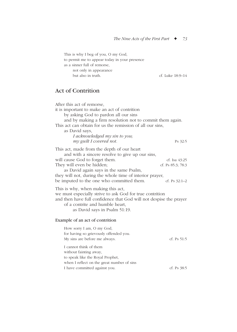This is why I beg of you, O my God, to permit me to appear today in your presence as a sinner full of remorse, not only in appearance but also in truth. cf. Luke 18:9–14

# Act of Contrition

| After this act of remorse,<br>it is important to make an act of contrition<br>by asking God to pardon all our sins<br>and by making a firm resolution not to commit them again.<br>This act can obtain for us the remission of all our sins,<br>as David says,<br>I acknowledged my sin to you;<br>my guilt I covered not. | Ps 32:5                                               |
|----------------------------------------------------------------------------------------------------------------------------------------------------------------------------------------------------------------------------------------------------------------------------------------------------------------------------|-------------------------------------------------------|
| This act, made from the depth of our heart<br>and with a sincere resolve to give up our sins,<br>will cause God to forget them.<br>They will even be hidden;<br>as David again says in the same Psalm,<br>they will not, during the whole time of interior prayer,<br>be imputed to the one who committed them.            | cf. Isa 43:25<br>cf. Ps 85:3; 78:3<br>cf. Ps $32:1-2$ |
| This is why, when making this act,<br>we must especially strive to ask God for true contrition<br>and then have full confidence that God will not despise the prayer<br>of a contrite and humble heart,<br>as David says in Psalm 51:19.                                                                                   |                                                       |
| Example of an act of contrition                                                                                                                                                                                                                                                                                            |                                                       |
| How sorry I am, O my God,<br>for having so grievously offended you.<br>My sins are before me always.                                                                                                                                                                                                                       | cf. $Ps 51:5$                                         |
| I cannot think of them<br>without fainting away,<br>to speak like the Royal Prophet,<br>when I reflect on the great number of sins                                                                                                                                                                                         |                                                       |
| I have committed against you.                                                                                                                                                                                                                                                                                              | cf. Ps 38:5                                           |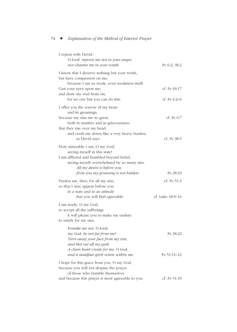| I repeat with David:<br>O Lord, reprove me not in your anger,<br>nor chastise me in your wrath.                                                                                                                                  | Ps $6:2$ ; $38:2$           |
|----------------------------------------------------------------------------------------------------------------------------------------------------------------------------------------------------------------------------------|-----------------------------|
| I know that I deserve nothing but your wrath,<br>but have compassion on me,<br>because I am so weak, even weakness itself.<br>Cast your eyes upon me,<br>and draw my soul from sin,                                              | cf. Ps $69:17$              |
| for no one but you can do this.                                                                                                                                                                                                  | cf. Ps $6:2-6$              |
| I offer you the sorrow of my heart<br>and its groanings,<br>because my sins are so great,<br>both in number and in grievousness,<br>that they rise over my head<br>and crush me down like a very heavy burden,<br>as David says. | cf. Ps $6:7$<br>cf. Ps 38:5 |
| How miserable I am, O my God,<br>seeing myself in this state!<br>I am afflicted and humbled beyond belief,<br>seeing myself overwhelmed by so many sins.<br>All my desire is before you;<br>from you my groaning is not hidden.  | Ps 38:10                    |
| Pardon me, then, for all my sins,                                                                                                                                                                                                | cf. Ps $51:3$               |
| so that I may appear before you<br>in a state and in an attitude<br>that you will find agreeable.                                                                                                                                | cf. Luke 18:9–14            |
| I am ready, O my God,<br>to accept all the sufferings<br>it will please you to make me endure<br>to satisfy for my sins.                                                                                                         |                             |
| Forsake me not, O Lord;<br>my God, be not far from me!<br>Turn away your face from my sins,<br>and blot out all my guilt.<br>A clean heart create for me, O God,<br>and a steadfast spirit renew within me.                      | Ps 38:22<br>Ps 51:11-12     |
| I hope for this grace from you, O my God,<br>because you will not despise the prayer<br>of those who humble themselves                                                                                                           |                             |
| and because this prayer is most agreeable to you.                                                                                                                                                                                | cf. Ps 51:19                |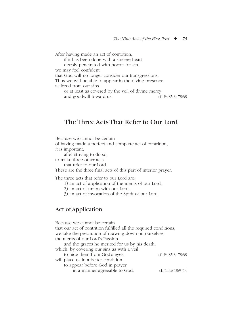After having made an act of contrition, if it has been done with a sincere heart deeply penetrated with horror for sin, we may feel confident that God will no longer consider our transgressions. Thus we will be able to appear in the divine presence as freed from our sins or at least as covered by the veil of divine mercy and goodwill toward us. ef. Ps 85:3; 78:38

# The Three Acts That Refer to Our Lord

Because we cannot be certain

of having made a perfect and complete act of contrition, it is important,

after striving to do so,

to make three other acts

that refer to our Lord.

These are the three final acts of this part of interior prayer.

The three acts that refer to our Lord are:

1) an act of application of the merits of our Lord,

2) an act of union with our Lord,

3) an act of invocation of the Spirit of our Lord.

## Act of Application

Because we cannot be certain that our act of contrition fulfilled all the required conditions, we take the precaution of drawing down on ourselves the merits of our Lord's Passion and the graces he merited for us by his death, which, by covering our sins as with a veil to hide them from God's eyes, cf. Ps 85:3; 78:38 will place us in a better condition to appear before God in prayer in a manner agreeable to God. cf. Luke 18:9–14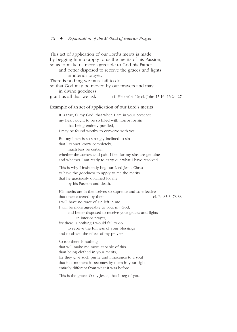This act of application of our Lord's merits is made by begging him to apply to us the merits of his Passion, so as to make us more agreeable to God his Father and better disposed to receive the graces and lights

in interior prayer. There is nothing we must fail to do,

so that God may be moved by our prayers and may

in divine goodness

grant us all that we ask. cf. Heb  $4:14-16$ ; cf. John 15:16;  $16:24-27$ 

#### Example of an act of application of our Lord's merits

It is true, O my God, that when I am in your presence, my heart ought to be so filled with horror for sin that being entirely purified, I may be found worthy to converse with you. But my heart is so strongly inclined to sin that I cannot know completely, much less be certain, whether the sorrow and pain I feel for my sins are genuine and whether I am ready to carry out what I have resolved. This is why I insistently beg our Lord Jesus Christ to have the goodness to apply to me the merits that he graciously obtained for me by his Passion and death. His merits are in themselves so supreme and so effective that once covered by them, cf. Ps 85:3; 78:38 I will have no trace of sin left in me. I will be more agreeable to you, my God, and better disposed to receive your graces and lights in interior prayer, for there is nothing I would fail to do to receive the fullness of your blessings and to obtain the effect of my prayers. So too there is nothing that will make me more capable of this than being clothed in your merits, for they give such purity and innocence to a soul that in a moment it becomes by them in your sight entirely different from what it was before. This is the grace, O my Jesus, that I beg of you.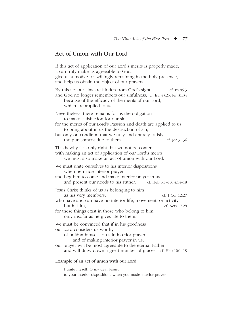# Act of Union with Our Lord

If this act of application of our Lord's merits is properly made, it can truly make us agreeable to God, give us a motive for willingly remaining in the holy presence, and help us obtain the object of our prayers. By this act our sins are hidden from God's sight, cf. Ps 85:3 and God no longer remembers our sinfulness, cf. Isa 43:25; Jer 31:34 because of the efficacy of the merits of our Lord, which are applied to us. Nevertheless, there remains for us the obligation to make satisfaction for our sins, for the merits of our Lord's Passion and death are applied to us to bring about in us the destruction of sin, but only on condition that we fully and entirely satisfy the punishment due to them.  $\qquad \qquad$  cf. Jer 31:34 This is why it is only right that we not be content with making an act of application of our Lord's merits; we must also make an act of union with our Lord. We must unite ourselves to his interior dispositions when he made interior prayer and beg him to come and make interior prayer in us and present our needs to his Father. cf. Heb 5:1–10; 4:14–18 Jesus Christ thinks of us as belonging to him as his very members, cf. 1 Cor 12:27 who have and can have no interior life, movement, or activity but in him. cf. Acts 17:28 for these things exist in those who belong to him only insofar as he gives life to them. We must be convinced that if in his goodness our Lord considers us worthy of uniting himself to us in interior prayer and of making interior prayer in us, our prayer will be most agreeable to the eternal Father and will draw down a great number of graces. cf. Heb 10:1–18 Example of an act of union with our Lord

I unite myself, O my dear Jesus, to your interior dispositions when you made interior prayer.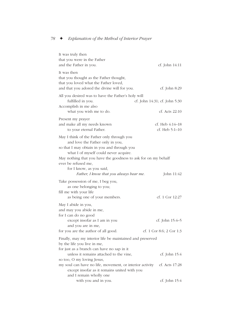| It was truly then<br>that you were in the Father<br>and the Father in you.                                                                                                                                                                                                                                                             | cf. John 14:11                                  |
|----------------------------------------------------------------------------------------------------------------------------------------------------------------------------------------------------------------------------------------------------------------------------------------------------------------------------------------|-------------------------------------------------|
| It was then<br>that you thought as the Father thought,<br>that you loved what the Father loved,<br>and that you adored the divine will for you.                                                                                                                                                                                        | cf. John 8:29                                   |
| All you desired was to have the Father's holy will<br>fulfilled in you.<br>Accomplish in me also<br>what you wish me to do.                                                                                                                                                                                                            | cf. John 14:31; cf. John 5:30<br>cf. Acts 22:10 |
| Present my prayer<br>and make all my needs known<br>to your eternal Father.                                                                                                                                                                                                                                                            | cf. Heb 4:14–18<br>cf. Heb $5:1-10$             |
| May I think of the Father only through you<br>and love the Father only in you,<br>so that I may obtain in you and through you<br>what I of myself could never acquire.<br>May nothing that you have the goodness to ask for on my behalf<br>ever be refused me,<br>for I know, as you said,<br>Father, I know that you always hear me. | John 11:42                                      |
| Take possession of me, I beg you,<br>as one belonging to you;<br>fill me with your life<br>as being one of your members.                                                                                                                                                                                                               | cf. 1 Cor 12:27                                 |
| May I abide in you,<br>and may you abide in me,<br>for I can do no good<br>except insofar as I am in you<br>and you are in me,                                                                                                                                                                                                         | cf. John 15:4–5                                 |
| for you are the author of all good.                                                                                                                                                                                                                                                                                                    | cf. 1 Cor 8:6: 2 Cor 1:3                        |
| Finally, may my interior life be maintained and preserved<br>by the life you live in me,                                                                                                                                                                                                                                               |                                                 |
| for just as a branch can have no sap in it<br>unless it remains attached to the vine,                                                                                                                                                                                                                                                  | cf. John 15:4                                   |
| so too, O my loving Jesus,<br>my soul can have no life, movement, or interior activity<br>except insofar as it remains united with you                                                                                                                                                                                                 | cf. Acts 17:28                                  |
| and I remain wholly one<br>with you and in you.                                                                                                                                                                                                                                                                                        | cf. John 15:4                                   |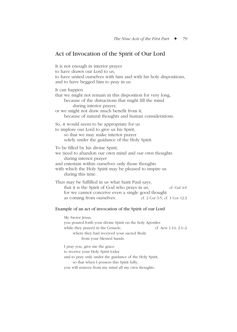# Act of Invocation of the Spirit of Our Lord

It is not enough in interior prayer to have drawn our Lord to us, to have united ourselves with him and with his holy dispositions, and to have begged him to pray in us. It can happen that we might not remain in this disposition for very long, because of the distractions that might fill the mind during interior prayer, or we might not draw much benefit from it, because of natural thoughts and human considerations. So, it would seem to be appropriate for us to implore our Lord to give us his Spirit, so that we may make interior prayer solely under the guidance of the Holy Spirit. To be filled by his divine Spirit, we need to abandon our own mind and our own thoughts during interior prayer and entertain within ourselves only those thoughts with which the Holy Spirit may be pleased to inspire us during this time. Thus may be fulfilled in us what Saint Paul says, that it is the Spirit of God who prays in us, cf. Gal 4:6 for we cannot conceive even a single good thought as coming from ourselves. cf. 2 Cor 3:5; cf. 1 Cor 12:3 Example of an act of invocation of the Spirit of our Lord My Savior Jesus, you poured forth your divine Spirit on the holy Apostles while they prayed in the Cenacle, cf. Acts 1:14; 2:1–2 where they had received your sacred Body from your blessed hands. I pray you, give me the grace to receive your Holy Spirit today and to pray only under the guidance of the Holy Spirit, so that when I possess this Spirit fully, you will remove from my mind all my own thoughts.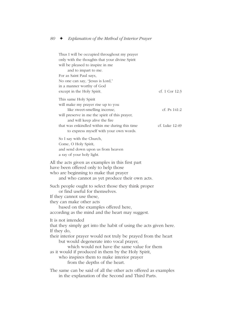Thus I will be occupied throughout my prayer only with the thoughts that your divine Spirit will be pleased to inspire in me and to impart to me. For as Saint Paul says, No one can say, "Jesus is Lord," in a manner worthy of God except in the Holy Spirit. cf. 1 Cor 12:3 This same Holy Spirit will make my prayer rise up to you like sweet-smelling incense, cf. Ps 141:2 will preserve in me the spirit of this prayer, and will keep alive the fire that was enkindled within me during this time cf. Luke 12:49 to express myself with your own words. So I say with the Church, Come, O Holy Spirit, and send down upon us from heaven a ray of your holy light. All the acts given as examples in this first part have been offered only to help those who are beginning to make that prayer and who cannot as yet produce their own acts. Such people ought to select those they think proper or find useful for themselves. If they cannot use these, they can make other acts based on the examples offered here, according as the mind and the heart may suggest. It is not intended that they simply get into the habit of using the acts given here. If they do, their interior prayer would not truly be prayed from the heart but would degenerate into vocal prayer, which would not have the same value for them as it would if produced in them by the Holy Spirit, who inspires them to make interior prayer from the depths of the heart. The same can be said of all the other acts offered as examples

in the explanation of the Second and Third Parts.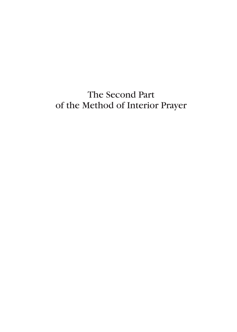# The Second Part of the Method of Interior Prayer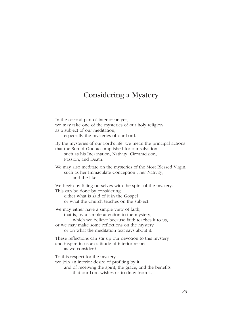# Considering a Mystery

In the second part of interior prayer, we may take one of the mysteries of our holy religion as a subject of our meditation, especially the mysteries of our Lord. By the mysteries of our Lord's life, we mean the principal actions that the Son of God accomplished for our salvation, such as his Incarnation, Nativity, Circumcision, Passion, and Death. We may also meditate on the mysteries of the Most Blessed Virgin, such as her Immaculate Conception , her Nativity, and the like. We begin by filling ourselves with the spirit of the mystery. This can be done by considering either what is said of it in the Gospel or what the Church teaches on the subject. We may either have a simple view of faith, that is, by a simple attention to the mystery, which we believe because faith teaches it to us, or we may make some reflections on the mystery or on what the meditation text says about it. These reflections can stir up our devotion to this mystery and inspire in us an attitude of interior respect as we consider it. To this respect for the mystery we join an interior desire of profiting by it and of receiving the spirit, the grace, and the benefits that our Lord wishes us to draw from it.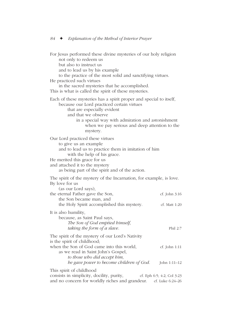For Jesus performed these divine mysteries of our holy religion not only to redeem us but also to instruct us and to lead us by his example to the practice of the most solid and sanctifying virtues. He practiced such virtues in the sacred mysteries that he accomplished. This is what is called the spirit of these mysteries. Each of these mysteries has a spirit proper and special to itself, because our Lord practiced certain virtues that are especially evident and that we observe in a special way with admiration and astonishment when we pay serious and deep attention to the mystery. Our Lord practiced these virtues to give us an example and to lead us to practice them in imitation of him with the help of his grace. He merited this grace for us and attached it to the mystery as being part of the spirit and of the action. The spirit of the mystery of the Incarnation, for example, is love. By love for us (as our Lord says), the eternal Father gave the Son, cf. John 3:16 the Son became man, and the Holy Spirit accomplished this mystery. cf. Matt 1:20 It is also humility, because, as Saint Paul says, *The Son of God emptied himself, taking the form of a slave.* Phil 2:7 The spirit of the mystery of our Lord's Nativity is the spirit of childhood; when the Son of God came into this world, ef. John 1:11 as we read in Saint John's Gospel, *to those who did accept him, he gave power to become children of God.* John 1:11–12 This spirit of childhood consists in simplicity, docility, purity, cf. Eph 6:5; 4:2; Col 3:23

and no concern for worldly riches and grandeur. cf. Luke 6:24–26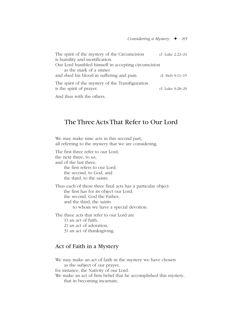| The spirit of the mystery of the Circumcision                                | cf. Luke 2:22-24 |
|------------------------------------------------------------------------------|------------------|
| is humility and mortification.                                               |                  |
| Our Lord humbled himself in accepting circumcision                           |                  |
| as the mark of a sinner                                                      |                  |
| and shed his blood in suffering and pain.                                    | cf. Heb 9:11-15  |
| The spirit of the mystery of the Transfiguration<br>is the spirit of prayer. | cf. Luke 9:28-29 |
| And thus ruth the others                                                     |                  |

And thus with the others.

# The Three Acts That Refer to Our Lord

We may make nine acts in this second part, all referring to the mystery that we are considering.

The first three refer to our Lord; the next three, to us, and of the last three, the first refers to our Lord; the second, to God, and the third, to the saints. Thus each of these three final acts has a particular object: the first has for its object our Lord; the second, God the Father, and the third, the saints to whom we have a special devotion.

The three acts that refer to our Lord are

- 1) an act of faith,
- 2) an act of adoration,
- 3) an act of thanksgiving.

## Act of Faith in a Mystery

We may make an act of faith in the mystery we have chosen as the subject of our prayer, for instance, the Nativity of our Lord. We make an act of firm belief that he accomplished this mystery,

that in becoming incarnate,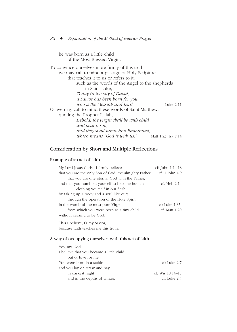he was born as a little child of the Most Blessed Virgin.

To convince ourselves more firmly of this truth, we may call to mind a passage of Holy Scripture that teaches it to us or refers to it, such as the words of the Angel to the shepherds in Saint Luke, *Today in the city of David, a Savior has been born for you, who is the Messiah and Lord.* Luke 2:11 Or we may call to mind these words of Saint Matthew, quoting the Prophet Isaiah, *Behold, the virgin shall be with child and bear a son, and they shall name him Emmanuel, which means "God is with us."* Matt 1:23; Isa 7:14

## Consideration by Short and Multiple Reflections

#### Example of an act of faith

| My Lord Jesus Christ, I firmly believe                 | cf: John $1:14,18$ |
|--------------------------------------------------------|--------------------|
| that you are the only Son of God, the almighty Father, | cf: 1 John $4.9$   |
| that you are one eternal God with the Father,          |                    |
| and that you humbled yourself to become human,         | cf. Heb 2:14       |
| clothing yourself in our flesh                         |                    |
| by taking up a body and a soul like ours,              |                    |
| through the operation of the Holy Spirit,              |                    |
| in the womb of the most pure Virgin,                   | cf: Luke 1:35:     |
| from which you were born as a tiny child               | $cf.$ Matt 1:20    |
| without ceasing to be God.                             |                    |
|                                                        |                    |

This I believe, O my Savior, because faith teaches me this truth.

#### A way of occupying ourselves with this act of faith

| I believe that you became a little child |                  |
|------------------------------------------|------------------|
| out of love for me.                      |                  |
| You were born in a stable                | cf: Luke 2:7     |
| and you lay on straw and hay             |                  |
| in darkest night                         | cf. Wis 18:14–15 |
| and in the depths of winter.             | cf. Luke 2:7     |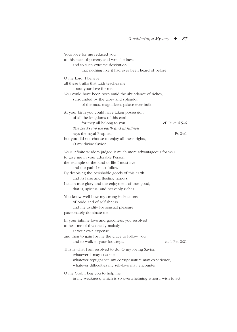Your love for me reduced you to this state of poverty and wretchedness and to such extreme destitution that nothing like it had ever been heard of before. O my Lord, I believe all these truths that faith teaches me about your love for me. You could have been born amid the abundance of riches, surrounded by the glory and splendor of the most magnificent palace ever built. At your birth you could have taken possession of all the kingdoms of this earth, for they all belong to you.  $C_1$  cf. Luke 4:5–6 *The Lord's are the earth and its fullness* says the royal Prophet, Ps 24:1 but you did not choose to enjoy all these rights, O my divine Savior. Your infinite wisdom judged it much more advantageous for you to give me in your adorable Person the example of the kind of life I must live and the path I must follow. By despising the perishable goods of this earth and its false and fleeting honors, I attain true glory and the enjoyment of true good, that is, spiritual and heavenly riches. You know well how my strong inclinations of pride and of selfishness and my avidity for sensual pleasure passionately dominate me. In your infinite love and goodness, you resolved to heal me of this deadly malady at your own expense and then to gain for me the grace to follow you and to walk in your footsteps. cf. 1 Pet 2:21 This is what I am resolved to do, O my loving Savior, whatever it may cost me, whatever repugnance my corrupt nature may experience, whatever difficulties my self-love may encounter. O my God, I beg you to help me in my weakness, which is so overwhelming when I wish to act.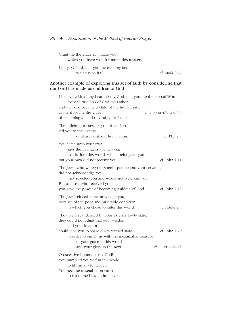| Grant me the grace to imitate you,         |  |
|--------------------------------------------|--|
| which you have won for me in this mystery, |  |

| I pray, O Lord, that you increase my faith, |               |
|---------------------------------------------|---------------|
| which is so frail.                          | cf. Mark 9:24 |

#### Another example of exploring this act of faith by considering that our Lord has made us children of God

| I believe with all my heart, O my God, that you are the eternal Word,<br>the one true Son of God the Father,<br>and that you became a child of the human race<br>to merit for me the grace<br>of becoming a child of God, your Father.                                                  | cf. 1 John 4:9; Gal 4:4           |
|-----------------------------------------------------------------------------------------------------------------------------------------------------------------------------------------------------------------------------------------------------------------------------------------|-----------------------------------|
| The infinite greatness of your love, Lord,<br>led you to this excess<br>of abasement and humiliation.                                                                                                                                                                                   | cf. Phil 2:7                      |
| You came unto your own,<br>says the Evangelist, Saint John,<br>that is, into this world, which belongs to you,<br>but your own did not receive you.                                                                                                                                     | cf. John 1:11                     |
| The Jews, who were your special people and your servants,<br>did not acknowledge you;<br>they rejected you and would not welcome you.<br>But to those who received you,<br>you gave the power of becoming children of God.                                                              | cf. John 1:12                     |
| The Jews refused to acknowledge you,<br>because of the poor and miserable condition<br>in which you chose to enter this world.                                                                                                                                                          | cf. Luke 2:7                      |
| They were scandalized by your exterior lowly state;<br>they could not admit that your wisdom<br>and your love for us<br>could lead you to share our wretched state<br>in order to enrich us with the inestimable treasure<br>of your grace in this world<br>and your glory in the next. | cf. John 1:29<br>cf 1 Cor 1:22-25 |
| O excessive bounty of my God!<br>You humbled yourself in this world<br>to lift me up to heaven.<br>You became miserable on earth<br>to make me blessed in heaven.                                                                                                                       |                                   |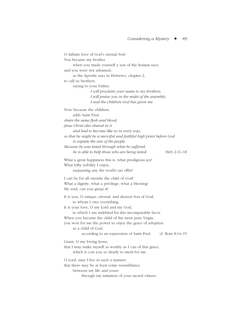O infinite love of God's eternal Son! You became my brother when you made yourself a son of the human race, and you were not ashamed, as the Apostle says in Hebrews, chapter 2, to call us brothers, saying to your Father, *I will proclaim your name to my brothers; I will praise you in the midst of the assembly, I and the children God has given me.* Now because the children, adds Saint Paul, *share the same flesh and blood, Jesus Christ also shared in it and had to become like us in every way, so that he might be a merciful and faithful high priest before God to expiate the sins of the people. Because he was tested through what he suffered, he is able to help those who are being tested.* Heb 2:11–18 What a great happiness this is, what prodigious joy! What lofty nobility I enjoy, surpassing any the world can offer! I can be for all eternity the child of God! What a dignity, what a privilege, what a blessing! My soul, can you grasp it? It is you, O unique, eternal, and dearest Son of God, to whom I owe everything. It is your love, O my Lord and my God, to which I am indebted for this incomparable favor. When you became the child of the most pure Virgin, you won for me the power to enjoy the grace of adoption as a child of God, according to an expression of Saint Paul. cf. Rom 8:14–15 Grant, O my loving Jesus, that I may make myself as worthy as I can of this grace, which it cost you so dearly to merit for me. O Lord, may I live in such a manner that there may be at least some resemblance between my life and yours through my imitation of your sacred virtues.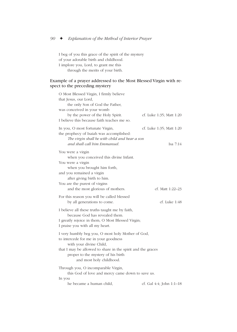I beg of you this grace of the spirit of the mystery of your adorable birth and childhood. I implore you, Lord, to grant me this through the merits of your birth.

#### Example of a prayer addressed to the Most Blessed Virgin with respect to the preceding mystery

| O Most Blessed Virgin, I firmly believe<br>that Jesus, our Lord,<br>the only Son of God the Father,<br>was conceived in your womb<br>by the power of the Holy Spirit.                                                                                 | cf. Luke 1:35; Matt 1:20               |
|-------------------------------------------------------------------------------------------------------------------------------------------------------------------------------------------------------------------------------------------------------|----------------------------------------|
| I believe this because faith teaches me so.                                                                                                                                                                                                           |                                        |
| In you, O most fortunate Virgin,<br>the prophecy of Isaiah was accomplished:<br>The virgin shall be with child and bear a son<br>and shall call him Emmanuel.                                                                                         | cf. Luke 1:35; Matt 1:20<br>Isa $7:14$ |
| You were a virgin<br>when you conceived this divine Infant.<br>You were a virgin<br>when you brought him forth,<br>and you remained a virgin<br>after giving birth to him.<br>You are the purest of virgins                                           |                                        |
| and the most glorious of mothers.                                                                                                                                                                                                                     | cf. Matt 1:22–23                       |
| For this reason you will be called blessed<br>by all generations to come.                                                                                                                                                                             | cf. Luke 1:48                          |
| I believe all these truths taught me by faith,<br>because God has revealed them.<br>I greatly rejoice in them, O Most Blessed Virgin;<br>I praise you with all my heart.                                                                              |                                        |
| I very humbly beg you, O most holy Mother of God,<br>to intercede for me in your goodness<br>with your divine Child,<br>that I may be allowed to share in the spirit and the graces<br>proper to the mystery of his birth<br>and most holy childhood. |                                        |
| Through you, O incomparable Virgin,<br>this God of love and mercy came down to save us.                                                                                                                                                               |                                        |
| In you<br>he became a human child,                                                                                                                                                                                                                    | cf. Gal 4:4; John 1:1-18               |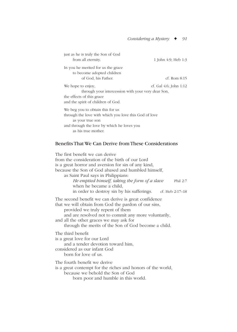| just as he is truly the Son of God                    |                        |
|-------------------------------------------------------|------------------------|
| from all eternity.                                    | 1 John 4:9; Heb 1:3    |
| In you he merited for us the grace                    |                        |
| to become adopted children                            |                        |
| of God, his Father.                                   | cf. Rom 8:15           |
| We hope to enjoy,                                     | cf. Gal 4:6; John 1:12 |
| through your intercession with your very dear Son,    |                        |
| the effects of this grace                             |                        |
| and the spirit of children of God.                    |                        |
| We beg you to obtain this for us                      |                        |
| through the love with which you love this God of love |                        |
| as your true son                                      |                        |
| and through the love by which he loves you            |                        |
| as his true mother.                                   |                        |

#### Benefits That We Can Derive from These Considerations

The first benefit we can derive from the consideration of the birth of our Lord is a great horror and aversion for sin of any kind, because the Son of God abased and humbled himself, as Saint Paul says in Philippians: *He emptied himself, taking the form of a slave* Phil 2:7 when he became a child, in order to destroy sin by his sufferings. cf. Heb 2:17–18 The second benefit we can derive is great confidence that we will obtain from God the pardon of our sins, provided we truly repent of them and are resolved not to commit any more voluntarily, and all the other graces we may ask for through the merits of the Son of God become a child. The third benefit is a great love for our Lord and a tender devotion toward him, considered as our infant God born for love of us. The fourth benefit we derive is a great contempt for the riches and honors of the world, because we behold the Son of God born poor and humble in this world.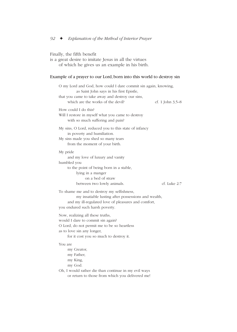## Finally, the fifth benefit

is a great desire to imitate Jesus in all the virtues of which he gives us an example in his birth.

#### Example of a prayer to our Lord, born into this world to destroy sin

| O my Lord and God, how could I dare commit sin again, knowing,<br>as Saint John says in his first Epistle,<br>that you came to take away and destroy our sins,<br>which are the works of the devil? | cf. 1 John 3,5–8 |
|-----------------------------------------------------------------------------------------------------------------------------------------------------------------------------------------------------|------------------|
| How could I do this?<br>Will I restore in myself what you came to destroy<br>with so much suffering and pain?                                                                                       |                  |
| My sins, O Lord, reduced you to this state of infancy<br>in poverty and humiliation.<br>My sins made you shed so many tears<br>from the moment of your birth.                                       |                  |
| My pride<br>and my love of luxury and vanity<br>humbled you<br>to the point of being born in a stable,<br>lying in a manger<br>on a bed of straw<br>between two lowly animals.                      | cf. Luke 2:7     |
| To shame me and to destroy my selfishness,<br>my insatiable lusting after possessions and wealth,<br>and my ill-regulated love of pleasures and comfort,<br>you endured such harsh poverty.         |                  |
| Now, realizing all these truths,<br>would I dare to commit sin again?<br>O Lord, do not permit me to be so heartless<br>as to love sin any longer,<br>for it cost you so much to destroy it.        |                  |
| You are<br>my Creator,<br>my Father,<br>my King,<br>my God.                                                                                                                                         |                  |
| Oh, I would rather die than continue in my evil ways<br>or return to those from which you delivered me!                                                                                             |                  |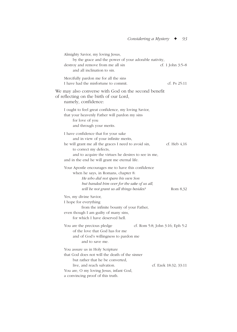| Almighty Savior, my loving Jesus,<br>by the grace and the power of your adorable nativity,<br>destroy and remove from me all sin<br>cf. 1 John 3:5–8<br>and all inclination to sin.                                                                                                      |  |
|------------------------------------------------------------------------------------------------------------------------------------------------------------------------------------------------------------------------------------------------------------------------------------------|--|
| Mercifully pardon me for all the sins<br>I have had the misfortune to commit.<br>cf. Ps $25:11$                                                                                                                                                                                          |  |
| We may also converse with God on the second benefit<br>of reflecting on the birth of our Lord,<br>namely, confidence:                                                                                                                                                                    |  |
| I ought to feel great confidence, my loving Savior,<br>that your heavenly Father will pardon my sins<br>for love of you<br>and through your merits.                                                                                                                                      |  |
| I have confidence that for your sake<br>and in view of your infinite merits,<br>he will grant me all the graces I need to avoid sin,<br>cf. Heb $4,16$<br>to correct my defects,<br>and to acquire the virtues he desires to see in me,<br>and in the end he will grant me eternal life. |  |
| Your Apostle encourages me to have this confidence<br>when he says, in Romans, chapter 8:<br>He who did not spare his own Son<br>but handed him over for the sake of us all,<br>will be not grant us all things besides?<br>Rom 8,32                                                     |  |
| Yes, my divine Savior,<br>I hope for everything<br>from the infinite bounty of your Father,<br>even though I am guilty of many sins,<br>for which I have deserved hell.                                                                                                                  |  |
| You are the precious pledge<br>cf. Rom 5:8; John 3:16; Eph 5:2<br>of the love that God has for me<br>and of God's willingness to pardon me<br>and to save me.                                                                                                                            |  |
| You assure us in Holy Scripture<br>that God does not will the death of the sinner<br>but rather that he be converted,<br>live, and reach salvation.<br>cf. Ezek 18:32; 33:11<br>You are, O my loving Jesus, infant God,<br>a convincing proof of this truth.                             |  |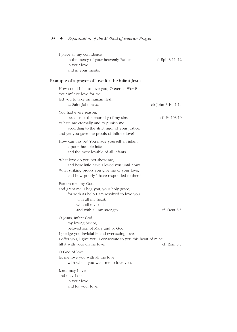| I place all my confidence             |                   |
|---------------------------------------|-------------------|
| in the mercy of your heavenly Father, | cf. Eph $3:11-12$ |
| in your love,                         |                   |
| and in your merits.                   |                   |

## Example of a prayer of love for the infant Jesus

| How could I fail to love you, O eternal Word?<br>Your infinite love for me<br>led you to take on human flesh,<br>as Saint John says.                                                                                                | cf: John 3:16; 1:14 |
|-------------------------------------------------------------------------------------------------------------------------------------------------------------------------------------------------------------------------------------|---------------------|
| You had every reason,<br>because of the enormity of my sins,<br>to hate me eternally and to punish me<br>according to the strict rigor of your justice,<br>and yet you gave me proofs of infinite love!                             | cf. Ps $103:10$     |
| How can this be? You made yourself an infant,<br>a poor, humble infant,<br>and the most lovable of all infants.                                                                                                                     |                     |
| What love do you not show me,<br>and how little have I loved you until now!<br>What striking proofs you give me of your love,<br>and how poorly I have responded to them!                                                           |                     |
| Pardon me, my God,<br>and grant me, I beg you, your holy grace,<br>for with its help I am resolved to love you<br>with all my heart,<br>with all my soul,<br>and with all my strength.                                              | $cf.$ Deut $6:5$    |
| O Jesus, infant God,<br>my loving Savior,<br>beloved son of Mary and of God,<br>I pledge you inviolable and everlasting love.<br>I offer you, I give you, I consecrate to you this heart of mine;<br>fill it with your divine love. | cf. Rom 5:5         |
| O God of love,<br>let me love you with all the love<br>with which you want me to love you.                                                                                                                                          |                     |
| Lord, may I live<br>and may I die<br>in your love<br>and for your love.                                                                                                                                                             |                     |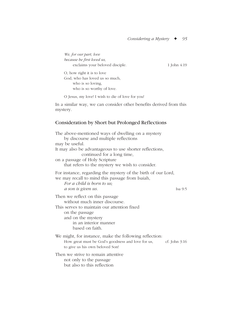|                | We, for our part, love<br>because he first loved us,                                                                                                                                                |                 |
|----------------|-----------------------------------------------------------------------------------------------------------------------------------------------------------------------------------------------------|-----------------|
|                | exclaims your beloved disciple.                                                                                                                                                                     | 1 John 4:19     |
|                | O, how right it is to love<br>God, who has loved us so much,<br>who is so loving.<br>who is so worthy of love.                                                                                      |                 |
|                | O Jesus, my love! I wish to die of love for you!                                                                                                                                                    |                 |
| mystery.       | In a similar way, we can consider other benefits derived from this                                                                                                                                  |                 |
|                | Consideration by Short but Prolonged Reflections                                                                                                                                                    |                 |
| may be useful. | The above-mentioned ways of dwelling on a mystery<br>by discourse and multiple reflections<br>It may also be advantageous to use shorter reflections,                                               |                 |
|                | continued for a long time,<br>on a passage of Holy Scripture<br>that refers to the mystery we wish to consider.                                                                                     |                 |
|                | For instance, regarding the mystery of the birth of our Lord,<br>we may recall to mind this passage from Isaiah,<br>For a child is born to us;<br>a son is given us.                                | Isa $9:5$       |
|                | Then we reflect on this passage<br>without much inner discourse.<br>This serves to maintain our attention fixed<br>on the passage<br>and on the mystery<br>in an interior manner<br>based on faith. |                 |
|                | We might, for instance, make the following reflection:<br>How great must be God's goodness and love for us,<br>to give us his own beloved Son!                                                      | cf. John $3:16$ |
|                | Then we strive to remain attentive<br>not only to the passage<br>but also to this reflection                                                                                                        |                 |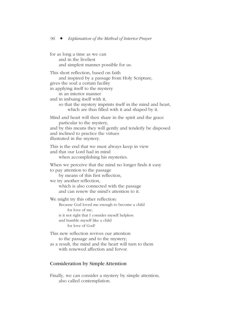for as long a time as we can and in the liveliest and simplest manner possible for us. This short reflection, based on faith and inspired by a passage from Holy Scripture, gives the soul a certain facility in applying itself to the mystery in an interior manner and in imbuing itself with it, so that the mystery imprints itself in the mind and heart, which are thus filled with it and shaped by it. Mind and heart will then share in the spirit and the grace particular to the mystery, and by this means they will gently and tenderly be disposed and inclined to practice the virtues illustrated in the mystery. This is the end that we must always keep in view and that our Lord had in mind when accomplishing his mysteries. When we perceive that the mind no longer finds it easy to pay attention to the passage by means of this first reflection, we try another reflection, which is also connected with the passage and can renew the mind's attention to it. We might try this other reflection: Because God loved me enough to become a child for love of me, is it not right that I consider myself helpless and humble myself like a child for love of God? This new reflection revives our attention to the passage and to the mystery; as a result, the mind and the heart will turn to them with renewed affection and fervor.

## Consideration by Simple Attention

Finally, we can consider a mystery by simple attention, also called contemplation.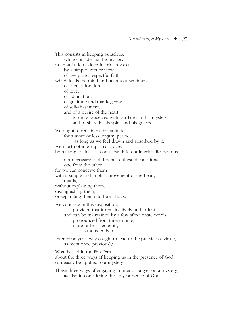This consists in keeping ourselves, while considering the mystery, in an attitude of deep interior respect by a simple interior view of lively and respectful faith, which leads the mind and heart to a sentiment of silent adoration, of love, of admiration, of gratitude and thanksgiving, of self-abasement, and of a desire of the heart to unite ourselves with our Lord in this mystery and to share in his spirit and his graces. We ought to remain in this attitude for a more or less lengthy period, as long as we feel drawn and absorbed by it. We must not interrupt this process by making distinct acts on these different interior dispositions. It is not necessary to differentiate these dispositions one from the other, for we can conceive them with a simple and implicit movement of the heart, that is, without explaining them, distinguishing them, or separating them into formal acts. We continue in this disposition, provided that it remains lively and ardent and can be maintained by a few affectionate words pronounced from time to time, more or less frequently as the need is felt. Interior prayer always ought to lead to the practice of virtue,

as mentioned previously.

What is said in the First Part

about the three ways of keeping us in the presence of God can easily be applied to a mystery.

These three ways of engaging in interior prayer on a mystery, as also in considering the holy presence of God,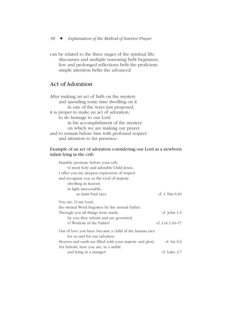can be related to the three stages of the spiritual life: discourses and multiple reasoning befit beginners; few and prolonged reflections befit the proficient; simple attention befits the advanced.

## Act of Adoration

After making an act of faith on the mystery and spending some time dwelling on it in one of the ways just proposed, it is proper to make an act of adoration, to do homage to our Lord in his accomplishment of the mystery on which we are making our prayer and to remain before him with profound respect and attention to his presence.

### Example of an act of adoration considering our Lord as a newborn infant lying in the crib

| Humbly prostrate before your crib,                       |                   |
|----------------------------------------------------------|-------------------|
| O most holy and adorable Child Jesus,                    |                   |
| I offer you my deepest expression of respect             |                   |
| and recognize you as the God of majesty                  |                   |
| dwelling in heaven                                       |                   |
| in light inaccessible,                                   |                   |
| as Saint Paul says.                                      | cf. 1 Tim $6:16$  |
| You are, O my Lord,                                      |                   |
| the eternal Word begotten by the eternal Father.         |                   |
| Through you all things were made;                        | cf. John $1:3$    |
| by you they subsist and are governed,                    |                   |
| O Wisdom of the Father!                                  | cf. Col $1:16-17$ |
| Out of love you have become a child of the human race    |                   |
| for us and for our salvation.                            |                   |
| Heaven and earth are filled with your majesty and glory. | cf. Isa $6:3$     |
| Yet behold, here you are, in a stable                    |                   |
| and lying in a manger!                                   | cf. Luke 2:7      |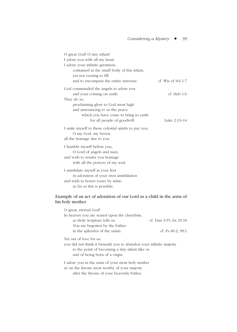| O great God! O tiny infant!<br>I adore you with all my heart.<br>I adore your infinite greatness,<br>contained in the small body of this infant,                                                                                  |                            |
|-----------------------------------------------------------------------------------------------------------------------------------------------------------------------------------------------------------------------------------|----------------------------|
| yet not ceasing to fill<br>and to encompass the entire universe.                                                                                                                                                                  | cf. Wis of Sol $1:7$       |
| God commanded the angels to adore you<br>and your coming on earth.<br>They do so,<br>proclaiming glory to God most high<br>and announcing to us the peace<br>which you have come to bring to earth<br>for all people of goodwill. | cf. Heb1:6<br>Luke 2:13–14 |
| I unite myself to these celestial spirits to pay you,<br>O my God, my Savior,<br>all the homage due to you.                                                                                                                       |                            |
| I humble myself before you,<br>O Lord of angels and men,<br>and wish to render you homage<br>with all the powers of my soul.                                                                                                      |                            |
| I annihilate myself at your feet<br>in adoration of your own annihilation<br>and wish to honor yours by mine,<br>as far as this is possible.                                                                                      |                            |

## Example of an act of adoration of our Lord as a child in the arms of his holy mother

| O great, eternal God!                                             |                        |  |
|-------------------------------------------------------------------|------------------------|--|
| In heaven you are seated upon the cherubim,                       |                        |  |
| as Holy Scripture tells us.                                       | cf. Dan 3:55; Ex 25:18 |  |
| You are begotten by the Father                                    |                        |  |
| in the splendor of the saints.                                    | cf: Ps $80:2$ ; 99:1   |  |
| Yet out of love for us.                                           |                        |  |
| you did not think it beneath you to abandon your infinite majesty |                        |  |
| to the point of becoming a tiny infant like us                    |                        |  |
| and of being born of a virgin.                                    |                        |  |
| I adore you in the arms of your most holy mother                  |                        |  |
| as on the throne most worthy of your majesty                      |                        |  |
| aftar tha thrana af vaur haevarly Dethar                          |                        |  |

after the throne of your heavenly Father.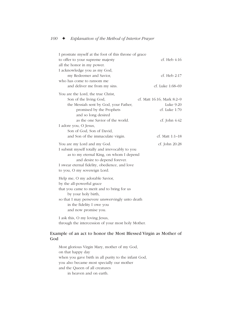| I prostrate myself at the foot of this throne of grace |                            |
|--------------------------------------------------------|----------------------------|
| to offer to your supreme majesty                       | cf. Heb $4:16$             |
| all the honor in my power.                             |                            |
| I acknowledge you as my God,                           |                            |
| my Redeemer and Savior,                                | cf. Heb 2:17               |
| who has come to ransom me                              |                            |
| and deliver me from my sins.                           | cf. Luke 1:68–69           |
| You are the Lord, the true Christ,                     |                            |
| Son of the living God,                                 | cf. Matt 16:16; Mark 8:2-9 |
| the Messiah sent by God, your Father,                  | Luke 9:20                  |
| promised by the Prophets                               | cf. Luke 1:70              |
| and so long desired                                    |                            |
| as the one Savior of the world.                        | cf. John 4:42              |
| I adore you, O Jesus,                                  |                            |
| Son of God, Son of David,                              |                            |
| and Son of the immaculate virgin.                      | cf. Matt 1:1-18            |
| You are my Lord and my God.                            | cf. John 20:28             |
| I submit myself totally and irrevocably to you         |                            |
| as to my eternal King, on whom I depend                |                            |
| and desire to depend forever.                          |                            |
| I swear eternal fidelity, obedience, and love          |                            |
| to you, O my sovereign Lord.                           |                            |
| Help me, O my adorable Savior,                         |                            |
| by the all-powerful grace                              |                            |
| that you came to merit and to bring for us             |                            |
| by your holy birth,                                    |                            |
| so that I may persevere unswervingly unto death        |                            |
| in the fidelity I owe you                              |                            |
| and now promise you.                                   |                            |
| I ask this, O my loving Jesus,                         |                            |

### through the intercession of your most holy Mother.

### Example of an act to honor the Most Blessed Virgin as Mother of God

Most glorious Virgin Mary, mother of my God, on that happy day when you gave birth in all purity to the infant God, you also became most specially our mother and the Queen of all creatures in heaven and on earth.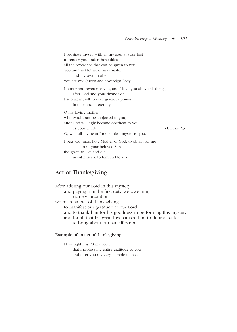I prostrate myself with all my soul at your feet to render you under these titles all the reverence that can be given to you. You are the Mother of my Creator and my own mother; you are my Queen and sovereign Lady. I honor and reverence you, and I love you above all things, after God and your divine Son. I submit myself to your gracious power in time and in eternity. O my loving mother, who would not be subjected to you, after God willingly became obedient to you as your child? cf. Luke 2:51 O, with all my heart I too subject myself to you. I beg you, most holy Mother of God, to obtain for me from your beloved Son the grace to live and die in submission to him and to you.

## Act of Thanksgiving

After adoring our Lord in this mystery and paying him the first duty we owe him, namely, adoration, we make an act of thanksgiving to manifest our gratitude to our Lord and to thank him for his goodness in performing this mystery and for all that his great love caused him to do and suffer to bring about our sanctification.

### Example of an act of thanksgiving

How right it is, O my Lord, that I profess my entire gratitude to you and offer you my very humble thanks,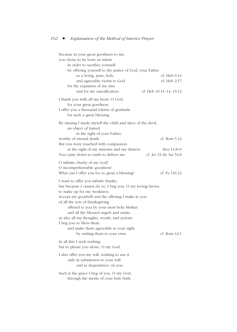| because in your great goodness to me,<br>you chose to be born an infant<br>in order to sacrifice yourself<br>by offering yourself to the justice of God, your Father                                                                                                                                                                                                                                                                                               |                                         |
|--------------------------------------------------------------------------------------------------------------------------------------------------------------------------------------------------------------------------------------------------------------------------------------------------------------------------------------------------------------------------------------------------------------------------------------------------------------------|-----------------------------------------|
| as a living, pure, holy,                                                                                                                                                                                                                                                                                                                                                                                                                                           | cf. Heb 9:14                            |
| and agreeable victim to God                                                                                                                                                                                                                                                                                                                                                                                                                                        | cf. Heb 2:17                            |
| for the explation of my sins<br>and for my sanctification.                                                                                                                                                                                                                                                                                                                                                                                                         | cf. Heb 10:11–14; 13:12                 |
| I thank you with all my heart, O God,<br>for your great goodness.<br>I offer you a thousand tokens of gratitude<br>for such a great blessing.                                                                                                                                                                                                                                                                                                                      |                                         |
| By sinning I made myself the child and slave of the devil,<br>an object of hatred                                                                                                                                                                                                                                                                                                                                                                                  |                                         |
| in the sight of your Father,<br>worthy of eternal death.<br>But you were touched with compassion                                                                                                                                                                                                                                                                                                                                                                   | cf. Rom 5:12                            |
| at the sight of my miseries and my distress.<br>You came down to earth to deliver me.                                                                                                                                                                                                                                                                                                                                                                              | Hos $11:8-9$<br>cf. Jer 31:20; Isa 54:8 |
| O infinite charity of my God!<br>O incomprehensible goodness!<br>What can I offer you for so great a blessing?                                                                                                                                                                                                                                                                                                                                                     | cf. Ps 116:12                           |
| I want to offer you infinite thanks,<br>but because I cannot do so, I beg you, O my loving Savior,<br>to make up for my weakness.<br>Accept my goodwill and the offering I make to you<br>of all the acts of thanksgiving<br>offered to you by your most holy Mother<br>and all the blessed angels and saints,<br>as also all my thoughts, words, and actions.<br>I beg you to bless them<br>and make them agreeable in your sight<br>by uniting them to your own. | $cf.$ Rom $12:1$                        |
| In all this I seek nothing<br>but to please you alone, O my God.                                                                                                                                                                                                                                                                                                                                                                                                   |                                         |
| I also offer you my will, wishing to use it<br>only in submission to your will<br>and in dependence on you.                                                                                                                                                                                                                                                                                                                                                        |                                         |
| Such is the grace I beg of you, O my God,<br>through the merits of your holy birth.                                                                                                                                                                                                                                                                                                                                                                                |                                         |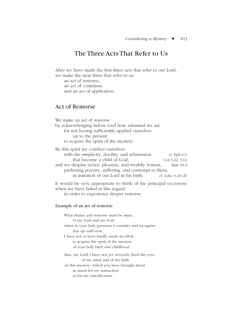# The Three Acts That Refer to Us

After we have made the first three acts that refer to our Lord, we make the next three that refer to us: an act of remorse, an act of contrition, and an act of application. Act of Remorse We make an act of remorse by acknowledging before God how ashamed we are for not having sufficiently applied ourselves up to the present to acquire the spirit of the mystery. By this spirit we conduct ourselves with the simplicity, docility, and submission cf. Eph 6;5 that become a child of God,  $\qquad \qquad \text{Col } 3:22; 3:12$ and we despise riches, pleasure, and worldly honors, Matt 18:3 preferring poverty, suffering, and contempt to them, in imitation of our Lord in his birth. cf. Luke 6:20–26 It would be very appropriate to think of the principal occasions when we have failed in this regard,

in order to experience deeper remorse.

#### Example of an act of remorse

What shame and remorse must be mine, O my Lord and my God, when in your holy presence I consider and recognize that up until now, I have not or have hardly made an effort to acquire the spirit of the mystery of your holy birth and childhood. Alas, my Lord! I have not yet seriously fixed the eyes of my mind and of my faith on this mystery, which you have brought about as much for my instruction as for my sanctification.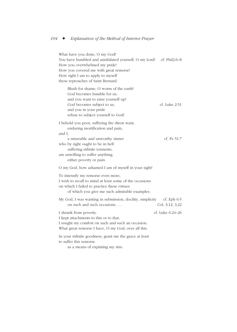What have you done, O my God? You have humbled and annihilated yourself, O my Lord! cf. Phil2:6–8 How you overwhelmed my pride! How you covered me with great remorse! How right I am to apply to myself these reproaches of Saint Bernard: Blush for shame, O worm of the earth! God becomes humble for us, and you want to raise yourself up! God becomes subject to us, cf. Luke 2:51 and you in your pride refuse to subject yourself to God! I behold you poor, suffering the direst want, enduring mortification and pain, and I, a miserable and unworthy sinner cf. Ps 51:7 who by right ought to be in hell suffering infinite torments, am unwilling to suffer anything, either poverty or pain. O my God, how ashamed I am of myself in your sight! To intensify my remorse even more, I wish to recall to mind at least some of the occasions on which I failed to practice these virtues of which you give me such admirable examples. My God, I was wanting in submission, docility, simplicity cf. Eph 6:5 on such and such occasions. . . . Col. 3:12; 3,22 I shrank from poverty. cf. Luke 6:24–26 I kept attachments to this or to that. I sought my comfort on such and such an occasion. What great remorse I have, O my God, over all this. In your infinite goodness, grant me the grace at least to suffer this remorse

as a means of expiating my sins.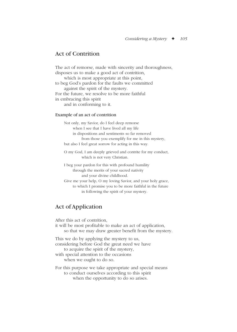## Act of Contrition

The act of remorse, made with sincerity and thoroughness, disposes us to make a good act of contrition, which is most appropriate at this point, to beg God's pardon for the faults we committed against the spirit of the mystery. For the future, we resolve to be more faithful in embracing this spirit and in conforming to it.

### Example of an act of contrition

Not only, my Savior, do I feel deep remorse when I see that I have lived all my life in dispositions and sentiments so far removed from those you exemplify for me in this mystery, but also I feel great sorrow for acting in this way.

O my God, I am deeply grieved and contrite for my conduct, which is not very Christian.

I beg your pardon for this with profound humility through the merits of your sacred nativity and your divine childhood.

Give me your help, O my loving Savior, and your holy grace, to which I promise you to be more faithful in the future in following the spirit of your mystery.

# Act of Application

After this act of contrition, it will be most profitable to make an act of application, so that we may draw greater benefit from the mystery. This we do by applying the mystery to us, considering before God the great need we have to acquire the spirit of the mystery, with special attention to the occasions when we ought to do so. For this purpose we take appropriate and special means to conduct ourselves according to this spirit

when the opportunity to do so arises.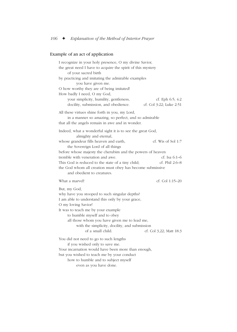## Example of an act of application

| I recognize in your holy presence, O my divine Savior,<br>the great need I have to acquire the spirit of this mystery<br>of your sacred birth              |                         |
|------------------------------------------------------------------------------------------------------------------------------------------------------------|-------------------------|
| by practicing and imitating the admirable examples<br>you have given me.                                                                                   |                         |
| O how worthy they are of being imitated!<br>How badly I need, O my God,                                                                                    |                         |
| your simplicity, humility, gentleness,                                                                                                                     | cf. Eph 6:5; 4:2        |
| docility, submission, and obedience.                                                                                                                       | cf. Col 3:22; Luke 2:51 |
| All these virtues shine forth in you, my Lord,<br>in a manner so amazing, so perfect, and so admirable<br>that all the angels remain in awe and in wonder. |                         |
| Indeed, what a wonderful sight it is to see the great God,<br>almighty and eternal,                                                                        |                         |
| whose grandeur fills heaven and earth,<br>the Sovereign Lord of all things                                                                                 | $cf.$ Wis of Sol 1:7    |
| before whose majesty the cherubim and the powers of heaven                                                                                                 |                         |
| tremble with veneration and awe.                                                                                                                           | cf. Isa $6:1-6$         |
| This God is reduced to the state of a tiny child;                                                                                                          | cf. Phil 2:6–8          |
| the God whom all creation must obey has become submissive<br>and obedient to creatures.                                                                    |                         |
| What a marvel!                                                                                                                                             | cf. Col 1:15–20         |
| But, my God,                                                                                                                                               |                         |
| why have you stooped to such singular depths?                                                                                                              |                         |
| I am able to understand this only by your grace,                                                                                                           |                         |
| O my loving Savior!                                                                                                                                        |                         |
| It was to teach me by your example                                                                                                                         |                         |
| to humble myself and to obey                                                                                                                               |                         |
| all those whom you have given me to lead me,                                                                                                               |                         |
| with the simplicity, docility, and submission<br>of a small child.                                                                                         |                         |
|                                                                                                                                                            | cf. Col 3,22; Matt 18:3 |
| You did not need to go to such lengths                                                                                                                     |                         |
| if you wished only to save me.                                                                                                                             |                         |
| Your incarnation would have been more than enough,                                                                                                         |                         |
| but you wished to teach me by your conduct                                                                                                                 |                         |
| how to humble and to subject myself                                                                                                                        |                         |
| even as you have done.                                                                                                                                     |                         |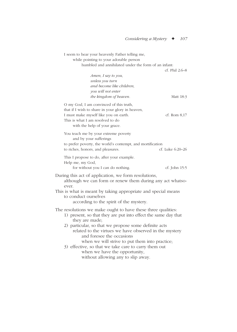| I seem to hear your heavenly Father telling me,<br>while pointing to your adorable person<br>humbled and annihilated under the form of an infant:                                                                                                                                                                                                                                                                                                                                | cf. Phil 2:6-8   |
|----------------------------------------------------------------------------------------------------------------------------------------------------------------------------------------------------------------------------------------------------------------------------------------------------------------------------------------------------------------------------------------------------------------------------------------------------------------------------------|------------------|
| Amen, I say to you,<br>unless you turn<br>and become like children,<br>you will not enter<br>the kingdom of heaven.                                                                                                                                                                                                                                                                                                                                                              | Matt 18:3        |
| O my God, I am convinced of this truth,<br>that if I wish to share in your glory in heaven,<br>I must make myself like you on earth.<br>This is what I am resolved to do<br>with the help of your grace.                                                                                                                                                                                                                                                                         | cf. Rom $8,17$   |
| You teach me by your extreme poverty<br>and by your sufferings<br>to prefer poverty, the world's contempt, and mortification<br>to riches, honors, and pleasures.                                                                                                                                                                                                                                                                                                                | cf. Luke 6:20-26 |
| This I propose to do, after your example.<br>Help me, my God,<br>for without you I can do nothing.                                                                                                                                                                                                                                                                                                                                                                               | cf. John 15:5    |
| During this act of application, we form resolutions,<br>although we can form or renew them during any act whatso-<br>ever.<br>This is what is meant by taking appropriate and special means                                                                                                                                                                                                                                                                                      |                  |
| to conduct ourselves<br>according to the spirit of the mystery.                                                                                                                                                                                                                                                                                                                                                                                                                  |                  |
| The resolutions we make ought to have these three qualities:<br>1) present, so that they are put into effect the same day that<br>they are made;<br>2) particular, so that we propose some definite acts<br>related to the virtues we have observed in the mystery<br>and foresee the occasions<br>when we will strive to put them into practice;<br>3) effective, so that we take care to carry them out<br>when we have the opportunity,<br>without allowing any to slip away. |                  |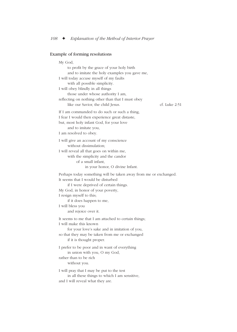## Example of forming resolutions

| My God,<br>to profit by the grace of your holy birth<br>and to imitate the holy examples you gave me,<br>I will today accuse myself of my faults<br>with all possible simplicity.<br>I will obey blindly in all things<br>those under whose authority I am,<br>reflecting on nothing other than that I must obey<br>like our Savior, the child Jesus. | cf. Luke 2:51 |
|-------------------------------------------------------------------------------------------------------------------------------------------------------------------------------------------------------------------------------------------------------------------------------------------------------------------------------------------------------|---------------|
| If I am commanded to do such or such a thing,<br>I fear I would then experience great distaste,<br>but, most holy infant God, for your love<br>and to imitate you,<br>I am resolved to obey.                                                                                                                                                          |               |
| I will give an account of my conscience<br>without dissimulation;<br>I will reveal all that goes on within me,<br>with the simplicity and the candor<br>of a small infant.<br>in your honor, O divine Infant.                                                                                                                                         |               |
| Perhaps today something will be taken away from me or exchanged.<br>It seems that I would be disturbed<br>if I were deprived of certain things.<br>My God, in honor of your poverty,<br>I resign myself to this;<br>if it does happen to me,<br>I will bless you<br>and rejoice over it.                                                              |               |
| It seems to me that I am attached to certain things;<br>I will make this known<br>for your love's sake and in imitation of you,<br>so that they may be taken from me or exchanged<br>if it is thought proper.                                                                                                                                         |               |
| I prefer to be poor and in want of everything<br>in union with you, O my God,<br>rather than to be rich<br>without you.                                                                                                                                                                                                                               |               |
| I will pray that I may be put to the test<br>in all these things to which I am sensitive,<br>and I will reveal what they are.                                                                                                                                                                                                                         |               |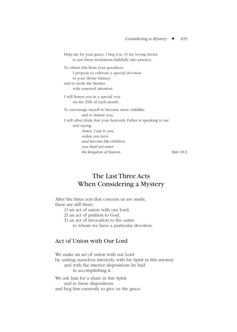Help me by your grace, I beg you, O my loving Savior, to put these resolutions faithfully into practice. To obtain this from your goodness, I propose to cultivate a special devotion to your divine Infancy and to recite the litanies with renewed attention. I will honor you in a special way on the 25th of each month. To encourage myself to become more childlike and to imitate you, I will often think that your heavenly Father is speaking to me and saying: *Amen, I say to you, unless you turn and become like children, you shall not enter the kingdom of heaven.* Matt 18:3

# The Last Three Acts When Considering a Mystery

After the three acts that concern us are made, there are still three:

- 1) an act of union with our Lord,
- 2) an act of petition to God,
- 3) an act of invocation to the saints to whom we have a particular devotion.

## Act of Union with Our Lord

We make an act of union with our Lord by uniting ourselves interiorly with his Spirit in this mystery and with the interior dispositions he had in accomplishing it.

We ask him for a share in this Spirit and in these dispositions and beg him earnestly to give us the grace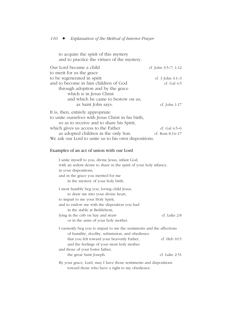to acquire the spirit of this mystery and to practice the virtues of the mystery.

| Our Lord became a child                              | cf. John $3:5-7$ ; 1:12 |
|------------------------------------------------------|-------------------------|
| to merit for us the grace                            |                         |
| to be regenerated in spirit                          | cf. 1 John $3:1-3$      |
| and to become in him children of God                 | cf. Gal 4:5             |
| through adoption and by the grace                    |                         |
| which is in Jesus Christ                             |                         |
| and which he came to bestow on us,                   |                         |
| as Saint John says.                                  | cf. John $1:17$         |
| It is, then, entirely appropriate                    |                         |
| to unite ourselves with Jesus Christ in his birth,   |                         |
| so as to receive and to share his Spirit,            |                         |
| which gives us access to the Father                  | cf. Gal $4:5-6$         |
| as adopted children in the only Son.                 | cf. Rom $8:14-17$       |
| We ask our Lord to unite us to his own dispositions. |                         |

## Examples of an act of union with our Lord

| I unite myself to you, divine Jesus, infant God,                      |               |
|-----------------------------------------------------------------------|---------------|
| with an ardent desire to share in the spirit of your holy infancy,    |               |
| in your dispositions,                                                 |               |
| and in the grace you merited for me                                   |               |
| in the mystery of your holy birth.                                    |               |
| I most humbly beg you, loving child Jesus,                            |               |
| to draw me into your divine heart,                                    |               |
| to impart to me your Holy Spirit,                                     |               |
| and to endow me with the disposition you had                          |               |
| in the stable at Bethlehem,                                           |               |
| lying in the crib on hay and straw                                    | cf. Luke 2:8  |
| or in the arms of your holy mother.                                   |               |
| I earnestly beg you to impart to me the sentiments and the affections |               |
| of humility, docility, submission, and obedience                      |               |
| that you felt toward your heavenly Father,                            | cf. Heb 10:5  |
| and the feelings of your most holy mother                             |               |
| and those of your foster father,                                      |               |
| the great Saint Joseph.                                               | cf. Luke 2:51 |
| By your grace, Lord, may I have those sentiments and dispositions     |               |
| toward those who have a right to my obedience.                        |               |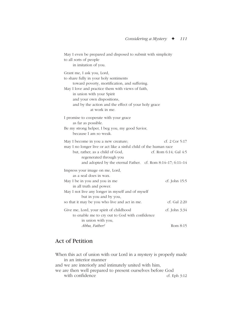| May I even be prepared and disposed to submit with simplicity<br>to all sorts of people<br>in imitation of you.                                                                                                                                                                                                |                                             |
|----------------------------------------------------------------------------------------------------------------------------------------------------------------------------------------------------------------------------------------------------------------------------------------------------------------|---------------------------------------------|
| Grant me, I ask you, Lord,<br>to share fully in your holy sentiments<br>toward poverty, mortification, and suffering.<br>May I love and practice them with views of faith,<br>in union with your Spirit<br>and your own dispositions,<br>and by the action and the effect of your holy grace<br>at work in me. |                                             |
| I promise to cooperate with your grace<br>as far as possible.<br>Be my strong helper, I beg you, my good Savior,<br>because I am so weak.                                                                                                                                                                      |                                             |
| May I become in you a new creature;<br>may I no longer live or act like a sinful child of the human race<br>but, rather, as a child of God,<br>regenerated through you<br>and adopted by the eternal Father. cf. Rom 8:14-17; 6:11-14                                                                          | cf. $2$ Cor $5:17$<br>cf. Rom 6:14; Gal 4:5 |
| Impress your image on me, Lord,<br>as a seal does in wax.<br>May I be in you and you in me<br>in all truth and power.<br>May I not live any longer in myself and of myself                                                                                                                                     | cf. John 15:5                               |
| but in you and by you,<br>so that it may be you who live and act in me.                                                                                                                                                                                                                                        | cf. Gal 2:20                                |
| Give me, Lord, your spirit of childhood<br>to enable me to cry out to God with confidence<br>in union with you,                                                                                                                                                                                                | cf. John 3:34                               |
| Abba, Father!                                                                                                                                                                                                                                                                                                  | Rom 8:15                                    |

# Act of Petition

When this act of union with our Lord in a mystery is properly made in an interior manner and we are interiorly and intimately united with him, we are then well prepared to present ourselves before God with confidence cf. Eph 3:12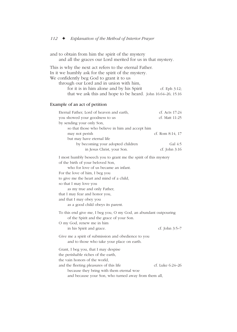and to obtain from him the spirit of the mystery and all the graces our Lord merited for us in that mystery.

This is why the next act refers to the eternal Father. In it we humbly ask for the spirit of the mystery. We confidently beg God to grant it to us through our Lord and in union with him, for it is in him alone and by his Spirit cf. Eph  $3:12$ ; that we ask this and hope to be heard. John 16:64–26; 15:16

### Example of an act of petition

| Eternal Father, Lord of heaven and earth,       | cf. Acts $17:24$ |
|-------------------------------------------------|------------------|
| you showed your goodness to us                  | cf. Matt 11:25   |
| by sending your only Son,                       |                  |
| so that those who believe in him and accept him |                  |
| may not perish                                  | cf. Rom 8:14, 17 |
| but may have eternal life                       |                  |
| by becoming your adopted children               | Gal $4:5$        |
| in Jesus Christ, your Son.                      | cf. John $3:16$  |
|                                                 |                  |

I most humbly beseech you to grant me the spirit of this mystery of the birth of your beloved Son,

who for love of us became an infant.

For the love of him, I beg you

to give me the heart and mind of a child,

so that I may love you

as my true and only Father,

that I may fear and honor you,

and that I may obey you

as a good child obeys its parent.

To this end give me, I beg you, O my God, an abundant outpouring of the Spirit and the grace of your Son.

O my God, renew me in him

in his Spirit and grace. cf. John 3:5–7

Give me a spirit of submission and obedience to you and to those who take your place on earth.

Grant, I beg you, that I may despise

the perishable riches of the earth,

the vain honors of the world,

and the fleeting pleasures of this life  $\qquad \qquad$  cf. Luke 6:24–26 because they bring with them eternal woe

and because your Son, who turned away from them all,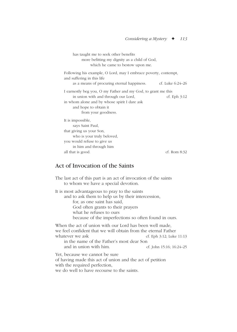has taught me to seek other benefits more befitting my dignity as a child of God, which he came to bestow upon me. Following his example, O Lord, may I embrace poverty, contempt, and suffering in this life as a means of procuring eternal happiness. cf. Luke 6:24–26 I earnestly beg you, O my Father and my God, to grant me this in union with and through our Lord, ef. Eph 3:12 in whom alone and by whose spirit I dare ask and hope to obtain it from your goodness. It is impossible, says Saint Paul, that giving us your Son, who is your truly beloved, you would refuse to give us in him and through him all that is good. cf. Rom 8:32

## Act of Invocation of the Saints

The last act of this part is an act of invocation of the saints to whom we have a special devotion. It is most advantageous to pray to the saints and to ask them to help us by their intercession, for, as one saint has said, God often grants to their prayers what he refuses to ours because of the imperfections so often found in ours. When the act of union with our Lord has been well made, we feel confident that we will obtain from the eternal Father whatever we ask cf. Eph 3:12; Luke 11:13 in the name of the Father's most dear Son and in union with him.  $C_1$  of John 15:16; 16:24–25 Yet, because we cannot be sure of having made this act of union and the act of petition with the required perfection, we do well to have recourse to the saints.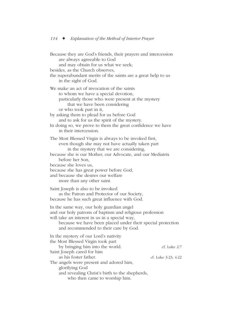Because they are God's friends, their prayers and intercession are always agreeable to God and may obtain for us what we seek; besides, as the Church observes, the superabundant merits of the saints are a great help to us in the sight of God. We make an act of invocation of the saints to whom we have a special devotion, particularly those who were present at the mystery that we have been considering or who took part in it, by asking them to plead for us before God and to ask for us the spirit of the mystery. In doing so, we prove to them the great confidence we have in their intercession. The Most Blessed Virgin is always to be invoked first, even though she may not have actually taken part in the mystery that we are considering, because she is our Mother, our Advocate, and our Mediatrix before her Son, because she loves us, because she has great power before God, and because she desires our welfare more than any other saint. Saint Joseph is also to be invoked as the Patron and Protector of our Society, because he has such great influence with God. In the same way, our holy guardian angel and our holy patrons of baptism and religious profession will take an interest in us in a special way, because we have been placed under their special protection and recommended to their care by God. In the mystery of our Lord's nativity the Most Blessed Virgin took part by bringing him into the world. cf. Luke 2:7 Saint Joseph cared for him as his foster father. cf. Luke 3:23; 4:22 The angels were present and adored him, glorifying God and revealing Christ's birth to the shepherds, who then came to worship him.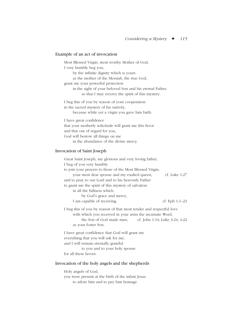## Example of an act of invocation

| Most Blessed Virgin, most worthy Mother of God,          |
|----------------------------------------------------------|
| I very humbly beg you,                                   |
| by the infinite dignity which is yours                   |
| as the mother of the Messiah, the true God,              |
| grant me your powerful protection                        |
| in the sight of your beloved Son and his eternal Father, |
| so that I may receive the spirit of this mystery.        |
| I beg this of you by reason of your cooperation          |
| in the sacred mystery of his nativity,                   |
| because while yet a virgin you gave him birth.           |
| I have great confidence                                  |
| that your motherly solicitude will grant me this favor   |
| and that out of regard for you,                          |
| God will bestow all things on me                         |
| in the abundance of the divine mercy.                    |

### Invocation of Saint Joseph

| Great Saint Joseph, my glorious and very loving father,                                                                                                                            |                                |
|------------------------------------------------------------------------------------------------------------------------------------------------------------------------------------|--------------------------------|
| I beg of you very humbly                                                                                                                                                           |                                |
| to join your prayers to those of the Most Blessed Virgin,                                                                                                                          |                                |
| your most dear spouse and my exalted queen,                                                                                                                                        | cf. Luke 1:27                  |
| and to pray to our Lord and to his heavenly Father                                                                                                                                 |                                |
| to grant me the spirit of this mystery of salvation                                                                                                                                |                                |
| in all the fullness which,                                                                                                                                                         |                                |
| by God's grace and mercy,                                                                                                                                                          |                                |
| I am capable of receiving.                                                                                                                                                         | cf. Eph $1:1-23$               |
| I beg this of you by reason of that most tender and respectful love<br>with which you received in your arms the incarnate Word,<br>the Son of God made man,<br>as your foster Son. | cf. John 1:14; Luke 3:24; 4:22 |
|                                                                                                                                                                                    |                                |

I have great confidence that God will grant me everything that you will ask for me, and I will remain eternally grateful to you and to your holy spouse for all these favors.

## Invocation of the holy angels and the shepherds

Holy angels of God, you were present at the birth of the infant Jesus to adore him and to pay him homage.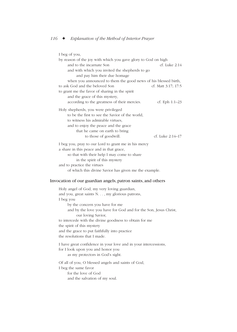| I beg of you,                                                  |                     |
|----------------------------------------------------------------|---------------------|
| by reason of the joy with which you gave glory to God on high  |                     |
| and to the incarnate Son                                       | $cf.$ Luke $2:14$   |
| and with which you invited the shepherds to go                 |                     |
| and pay him their due homage                                   |                     |
| when you announced to them the good news of his blessed birth, |                     |
| to ask God and the beloved Son                                 | cf. Matt 3:17; 17:5 |
| to grant me the favor of sharing in the spirit                 |                     |
| and the grace of this mystery,                                 |                     |
| according to the greatness of their mercies.                   | cf. Eph $1:1-23$    |
| Holy shepherds, you were privileged                            |                     |
| to be the first to see the Savior of the world,                |                     |
| to witness his admirable virtues,                              |                     |
| and to enjoy the peace and the grace                           |                     |
| that he came on earth to bring                                 |                     |
| to those of goodwill.                                          | cf. Luke 2:14–17    |
| I beg you, pray to our Lord to grant me in his mercy           |                     |
| a share in this peace and in that grace,                       |                     |
| so that with their help I may come to share                    |                     |
| in the spirit of this mystery                                  |                     |
| and to practice the virtues                                    |                     |
| of which this divine Savior has given me the example.          |                     |

### Invocation of our guardian angels, patron saints, and others

Holy angel of God, my very loving guardian, and you, great saints N. . . , my glorious patrons, I beg you by the concern you have for me and by the love you have for God and for the Son, Jesus Christ, our loving Savior, to intercede with the divine goodness to obtain for me the spirit of this mystery and the grace to put faithfully into practice the resolutions that I made. I have great confidence in your love and in your intercessions, for I look upon you and honor you as my protectors in God's sight.

Of all of you, O blessed angels and saints of God, I beg the same favor for the love of God and the salvation of my soul.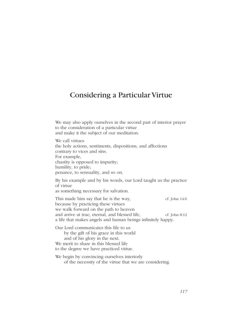# Considering a Particular Virtue

We may also apply ourselves in the second part of interior prayer to the consideration of a particular virtue and make it the subject of our meditation. We call virtues the holy actions, sentiments, dispositions, and affections contrary to vices and sins. For example, chastity is opposed to impurity; humility, to pride; penance, to sensuality, and so on. By his example and by his words, our Lord taught us the practice of virtue as something necessary for salvation. This made him say that he is the way,  $\qquad \qquad$  cf. John 14:6 because by practicing these virtues we walk forward on the path to heaven and arrive at true, eternal, and blessed life, ef. John 8:12 a life that makes angels and human beings infinitely happy. Our Lord communicates this life to us by the gift of his grace in this world and of his glory in the next. We merit to share in this blessed life to the degree we have practiced virtue. We begin by convincing ourselves interiorly of the necessity of the virtue that we are considering.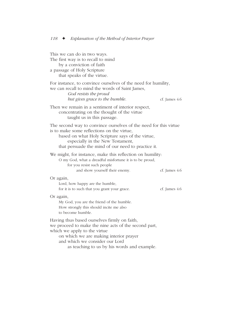| This we can do in two ways.<br>The first way is to recall to mind<br>by a conviction of faith<br>a passage of Holy Scripture<br>that speaks of the virtue.                                                                                                      |               |
|-----------------------------------------------------------------------------------------------------------------------------------------------------------------------------------------------------------------------------------------------------------------|---------------|
| For instance, to convince ourselves of the need for humility,<br>we can recall to mind the words of Saint James,<br>God resists the proud<br>but gives grace to the humble.                                                                                     | cf. James 4:6 |
| Then we remain in a sentiment of interior respect,<br>concentrating on the thought of the virtue<br>taught us in this passage.                                                                                                                                  |               |
| The second way to convince ourselves of the need for this virtue<br>is to make some reflections on the virtue,<br>based on what Holy Scripture says of the virtue,<br>especially in the New Testament,<br>that persuade the mind of our need to practice it.    |               |
| We might, for instance, make this reflection on humility:<br>O my God, what a dreadful misfortune it is to be proud,<br>for you resist such people<br>and show yourself their enemy.                                                                            | cf. James 4:6 |
| Or again,<br>Lord, how happy are the humble,<br>for it is to such that you grant your grace.                                                                                                                                                                    | cf. James 4:6 |
| Or again,<br>My God, you are the friend of the humble.<br>How strongly this should incite me also<br>to become humble.                                                                                                                                          |               |
| Having thus based ourselves firmly on faith,<br>we proceed to make the nine acts of the second part,<br>which we apply to the virtue<br>on which we are making interior prayer<br>and which we consider our Lord<br>as teaching to us by his words and example. |               |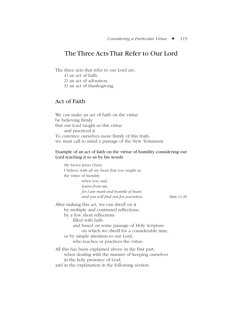# The Three Acts That Refer to Our Lord

The three acts that refer to our Lord are:

- 1) an act of faith,
- 2) an act of adoration,
- 3) an act of thanksgiving.

## Act of Faith

We can make an act of faith on the virtue by believing firmly that our Lord taught us this virtue and practiced it. To convince ourselves more firmly of this truth, we must call to mind a passage of the New Testament.

### Example of an act of faith on the virtue of humility, considering our Lord teaching it to us by his words

My Savior Jesus Christ, I believe with all my heart that you taught us the virtue of humility when you said, *Learn from me, for I am meek and humble of heart, and you will find rest for yourselves.* Matt 11:29 After making this act, we can dwell on it by multiple and continued reflections,

by a few short reflections filled with faith and based on some passage of Holy Scripture on which we dwell for a considerable time, or by simple attention to our Lord, who teaches or practices the virtue.

All this has been explained above in the first part, when dealing with the manner of keeping ourselves in the holy presence of God, and in the explanation in the following section.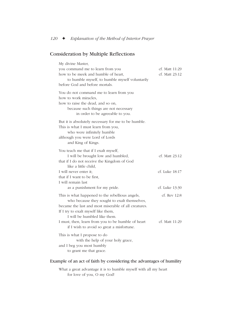## Consideration by Multiple Reflections

| My divine Master,                                                                                                                                                                                                              |                                  |
|--------------------------------------------------------------------------------------------------------------------------------------------------------------------------------------------------------------------------------|----------------------------------|
| you command me to learn from you<br>how to be meek and humble of heart,<br>to humble myself, to humble myself voluntarily<br>before God and before mortals.                                                                    | cf. Matt 11:29<br>cf. Matt 23:12 |
| You do not command me to learn from you<br>how to work miracles.<br>how to raise the dead, and so on,<br>because such things are not necessary<br>in order to be agreeable to you.                                             |                                  |
| But it is absolutely necessary for me to be humble.<br>This is what I must learn from you,<br>who were infinitely humble<br>although you were Lord of Lords<br>and King of Kings.                                              |                                  |
| You teach me that if I exalt myself,<br>I will be brought low and humbled,<br>that if I do not receive the Kingdom of God<br>like a little child,                                                                              | cf. Matt 23:12                   |
| I will never enter it;<br>that if I want to be first,<br>I will remain last<br>as a punishment for my pride.                                                                                                                   | cf. Luke 18:17<br>cf. Luke 13:30 |
| This is what happened to the rebellious angels,<br>who because they sought to exalt themselves,<br>became the last and most miserable of all creatures.<br>If I try to exalt myself like them,<br>I will be humbled like them. | cf. Rev 12:8                     |
| I must, then, learn from you to be humble of heart<br>if I wish to avoid so great a misfortune.                                                                                                                                | cf. Matt 11:29                   |
| This is what I propose to do<br>with the help of your holy grace,<br>and I beg you most humbly<br>to grant me that grace.                                                                                                      |                                  |

### Example of an act of faith by considering the advantages of humility

What a great advantage it is to humble myself with all my heart for love of you, O my God!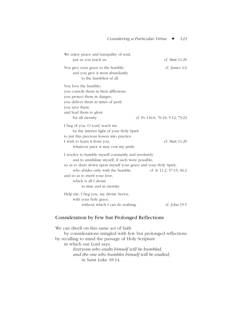| We enjoy peace and tranquility of soul,<br>just as you teach us.                                                                                                                                                                                                                                      | cf. Matt 11:29                   |
|-------------------------------------------------------------------------------------------------------------------------------------------------------------------------------------------------------------------------------------------------------------------------------------------------------|----------------------------------|
| You give your grace to the humble,<br>and you give it most abundantly<br>to the humblest of all.                                                                                                                                                                                                      | cf. James 4:6                    |
| You love the humble;<br>you console them in their afflictions;<br>you protect them in danger;<br>you deliver them in times of peril;<br>you save them<br>and lead them to glory<br>for all eternity.                                                                                                  | cf. Ps 116:6; 76:10; 5:12; 73:23 |
| I beg of you, O Lord, teach me<br>by the interior light of your Holy Spirit<br>to put this precious lesson into practice.<br>I wish to learn it from you,<br>whatever price it may cost my pride.                                                                                                     | cf. Matt 11:29                   |
| I resolve to humble myself constantly and resolutely<br>and to annihilate myself, if such were possible,<br>so as to draw down upon myself your grace and your Holy Spirit,<br>who abides only with the humble,<br>and so as to merit your love,<br>which is all I desire<br>in time and in eternity. | cf. Is $11:2$ ; $57:15$ ; $66:2$ |
| Help me, I beg you, my divine Savior,<br>with your holy grace,<br>without which I can do nothing.                                                                                                                                                                                                     | cf. John 15:5                    |

## Consideration by Few but Prolonged Reflections

We can dwell on this same act of faith by considerations mingled with few but prolonged reflections by recalling to mind the passage of Holy Scripture in which our Lord says, *Everyone who exalts himself will be humbled, and the one who humbles himself will be exalted,* in Saint Luke 18:14.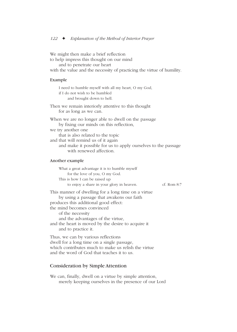We might then make a brief reflection to help impress this thought on our mind and to penetrate our heart with the value and the necessity of practicing the virtue of humility. Example I need to humble myself with all my heart, O my God, if I do not wish to be humbled and brought down to hell. Then we remain interiorly attentive to this thought for as long as we can. When we are no longer able to dwell on the passage by fixing our minds on this reflection, we try another one that is also related to the topic and that will remind us of it again and make it possible for us to apply ourselves to the passage with renewed affection. Another example What a great advantage it is to humble myself for the love of you, O my God. This is how I can be raised up to enjoy a share in your glory in heaven. cf. Rom 8:7 This manner of dwelling for a long time on a virtue by using a passage that awakens our faith produces this additional good effect: the mind becomes convinced of the necessity and the advantages of the virtue, and the heart is moved by the desire to acquire it and to practice it. Thus, we can by various reflections dwell for a long time on a single passage, which contributes much to make us relish the virtue

## and the word of God that teaches it to us.

## Consideration by Simple Attention

We can, finally, dwell on a virtue by simple attention, merely keeping ourselves in the presence of our Lord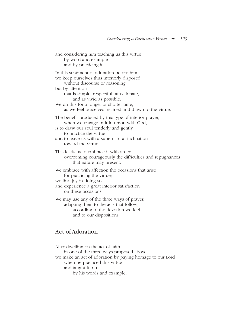and considering him teaching us this virtue by word and example and by practicing it.

In this sentiment of adoration before him, we keep ourselves thus interiorly disposed, without discourse or reasoning but by attention that is simple, respectful, affectionate, and as vivid as possible. We do this for a longer or shorter time. as we feel ourselves inclined and drawn to the virtue. The benefit produced by this type of interior prayer, when we engage in it in union with God, is to draw our soul tenderly and gently to practice the virtue and to leave us with a supernatural inclination toward the virtue. This leads us to embrace it with ardor,

overcoming courageously the difficulties and repugnances that nature may present.

We embrace with affection the occasions that arise for practicing the virtue; we find joy in doing so

and experience a great interior satisfaction on these occasions.

We may use any of the three ways of prayer, adapting them to the acts that follow, according to the devotion we feel and to our dispositions.

# Act of Adoration

After dwelling on the act of faith in one of the three ways proposed above, we make an act of adoration by paying homage to our Lord when he practiced this virtue and taught it to us by his words and example.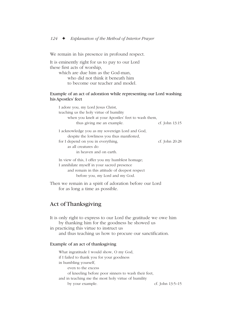We remain in his presence in profound respect.

It is eminently right for us to pay to our Lord these first acts of worship,

which are due him as the God-man, who did not think it beneath him to become our teacher and model.

### Example of an act of adoration while representing our Lord washing his Apostles' feet

| I adore you, my Lord Jesus Christ,                                                                                                   |                |
|--------------------------------------------------------------------------------------------------------------------------------------|----------------|
| teaching us the holy virtue of humility                                                                                              |                |
| when you knelt at your Apostles' feet to wash them,                                                                                  |                |
| thus giving me an example.                                                                                                           | cf. John 13:15 |
| I acknowledge you as my sovereign Lord and God,                                                                                      |                |
| despite the lowliness you thus manifested,                                                                                           |                |
| for I depend on you in everything,                                                                                                   | cf. John 20:28 |
| as all creatures do                                                                                                                  |                |
| in heaven and on earth.                                                                                                              |                |
| $\tau$ , $\tau$ , $\tau$ , $\tau$ , $\tau$ , $\tau$ , $\tau$ , $\tau$ , $\tau$ , $\tau$ , $\tau$ , $\tau$ , $\tau$ , $\tau$ , $\tau$ |                |

In view of this, I offer you my humblest homage; I annihilate myself in your sacred presence and remain in this attitude of deepest respect before you, my Lord and my God.

Then we remain in a spirit of adoration before our Lord for as long a time as possible.

# Act of Thanksgiving

It is only right to express to our Lord the gratitude we owe him by thanking him for the goodness he showed us in practicing this virtue to instruct us and thus teaching us how to procure our sanctification.

### Example of an act of thanksgiving

What ingratitude I would show, O my God, if I failed to thank you for your goodness in humbling yourself, even to the excess of kneeling before poor sinners to wash their feet, and in teaching me the most holy virtue of humility by your example. cf. John 13:5–15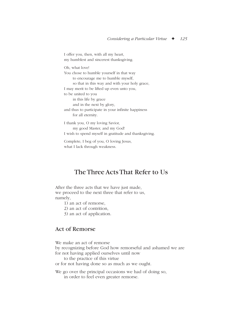I offer you, then, with all my heart, my humblest and sincerest thanksgiving. Oh, what love! You chose to humble yourself in that way to encourage me to humble myself, so that in this way and with your holy grace, I may merit to be lifted up even unto you, to be united to you in this life by grace and in the next by glory, and thus to participate in your infinite happiness for all eternity. I thank you, O my loving Savior, my good Master, and my God! I wish to spend myself in gratitude and thanksgiving. Complete, I beg of you, O loving Jesus, what I lack through weakness.

# The Three Acts That Refer to Us

After the three acts that we have just made, we proceed to the next three that refer to us, namely,

1) an act of remorse,

2) an act of contrition,

3) an act of application.

## Act of Remorse

We make an act of remorse

by recognizing before God how remorseful and ashamed we are for not having applied ourselves until now

to the practice of this virtue

or for not having done so as much as we ought.

We go over the principal occasions we had of doing so, in order to feel even greater remorse.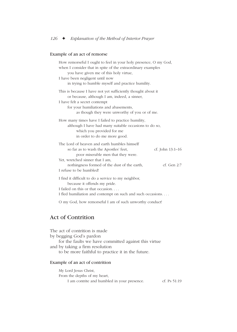### Example of an act of remorse

| How remorseful I ought to feel in your holy presence, O my God,<br>when I consider that in spite of the extraordinary examples<br>you have given me of this holy virtue,<br>I have been negligent until now<br>in trying to humble myself and practice humility. |
|------------------------------------------------------------------------------------------------------------------------------------------------------------------------------------------------------------------------------------------------------------------|
| This is because I have not yet sufficiently thought about it<br>or because, although I am, indeed, a sinner,<br>I have felt a secret contempt<br>for your humiliations and abasements,<br>as though they were unworthy of you or of me.                          |
| How many times have I failed to practice humility,<br>although I have had many suitable occasions to do so,<br>which you provided for me<br>in order to do me more good.                                                                                         |
| The Lord of heaven and earth humbles himself<br>cf. John 13:1-16<br>so far as to wash the Apostles' feet,<br>poor miserable men that they were.                                                                                                                  |
| Yet, wretched sinner that I am,<br>nothingness formed of the dust of the earth,<br>cf. Gen 2:7<br>I refuse to be humbled!                                                                                                                                        |
| I find it difficult to do a service to my neighbor,<br>because it offends my pride.<br>I failed on this or that occasion<br>I fled humiliation and contempt on such and such occasions                                                                           |

O my God, how remorseful I am of such unworthy conduct!

# Act of Contrition

The act of contrition is made by begging God's pardon for the faults we have committed against this virtue and by taking a firm resolution to be more faithful to practice it in the future. Example of an act of contrition My Lord Jesus Christ,

From the depths of my heart, I am contrite and humbled in your presence. cf. Ps 51:19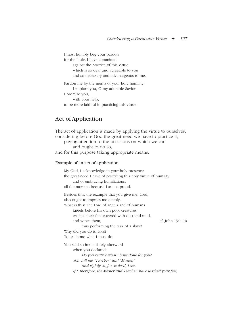I most humbly beg your pardon for the faults I have committed against the practice of this virtue, which is so dear and agreeable to you and so necessary and advantageous to me. Pardon me by the merits of your holy humility, I implore you, O my adorable Savior. I promise you, with your help,

to be more faithful in practicing this virtue.

## Act of Application

The act of application is made by applying the virtue to ourselves, considering before God the great need we have to practice it, paying attention to the occasions on which we can and ought to do so, and for this purpose taking appropriate means. Example of an act of application My God, I acknowledge in your holy presence the great need I have of practicing this holy virtue of humility and of embracing humiliations, all the more so because I am so proud. Besides this, the example that you give me, Lord, also ought to impress me deeply. What is this! The Lord of angels and of humans kneels before his own poor creatures, washes their feet covered with dust and mud, and wipes them, cf. John 13:1–16 thus performing the task of a slave! Why did you do it, Lord? To teach me what I must do. You said so immediately afterward when you declared: *Do you realize what I have done for you? You call me "Teacher" and "Master," and rightly so, for, indeed, I am. If I, therefore, the Master and Teacher, have washed your feet,*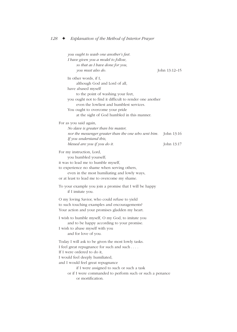*you ought to wash one another's feet. I have given you a model to follow, so that as I have done for you, you must also do.* John 13:12–15 In other words, if I, although God and Lord of all, have abased myself to the point of washing your feet, you ought not to find it difficult to render one another even the lowliest and humblest services. You ought to overcome your pride at the sight of God humbled in this manner. For as you said again, *No slave is greater than his master, nor the messenger greater than the one who sent him.* John 13:16 *If you understand this, blessed are you if you do it.* John 13:17 For my instruction, Lord, you humbled yourself; it was to lead me to humble myself, to experience no shame when serving others, even in the most humiliating and lowly ways, or at least to lead me to overcome my shame. To your example you join a promise that I will be happy if I imitate you. O my loving Savior, who could refuse to yield to such touching examples and encouragements? Your action and your promises gladden my heart. I wish to humble myself, O my God, to imitate you and to be happy according to your promise. I wish to abase myself with you and for love of you. Today I will ask to be given the most lowly tasks. I feel great repugnance for such and such . . . . If I were ordered to do it, I would feel deeply humiliated, and I would feel great repugnance if I were assigned to such or such a task or if I were commanded to perform such or such a penance or mortification.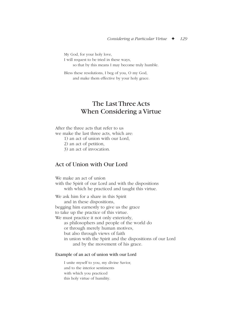My God, for your holy love, I will request to be tried in these ways, so that by this means I may become truly humble.

Bless these resolutions, I beg of you, O my God, and make them effective by your holy grace.

# The Last Three Acts When Considering a Virtue

After the three acts that refer to us we make the last three acts, which are:

1) an act of union with our Lord,

2) an act of petition,

3) an act of invocation.

# Act of Union with Our Lord

We make an act of union with the Spirit of our Lord and with the dispositions with which he practiced and taught this virtue. We ask him for a share in this Spirit and in these dispositions, begging him earnestly to give us the grace to take up the practice of this virtue. We must practice it not only exteriorly, as philosophers and people of the world do or through merely human motives, but also through views of faith in union with the Spirit and the dispositions of our Lord and by the movement of his grace.

#### Example of an act of union with our Lord

I unite myself to you, my divine Savior, and to the interior sentiments with which you practiced this holy virtue of humility.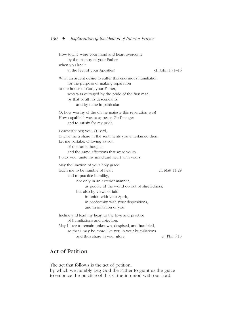How totally were your mind and heart overcome by the majesty of your Father when you knelt at the feet of your Apostles! cf. John 13:1–16 What an ardent desire to suffer this enormous humiliation for the purpose of making reparation to the honor of God, your Father, who was outraged by the pride of the first man, by that of all his descendants, and by mine in particular. O, how worthy of the divine majesty this reparation was! How capable it was to appease God's anger and to satisfy for my pride! I earnestly beg you, O Lord, to give me a share in the sentiments you entertained then. Let me partake, O loving Savior, of the same thoughts and the same affections that were yours. I pray you, unite my mind and heart with yours. May the unction of your holy grace teach me to be humble of heart cf. Matt 11:29 and to practice humility, not only in an exterior manner, as people of the world do out of shrewdness, but also by views of faith in union with your Spirit, in conformity with your dispositions, and in imitation of you. Incline and lead my heart to the love and practice of humiliations and abjection. May I love to remain unknown, despised, and humbled, so that I may be more like you in your humiliations and thus share in your glory. cf. Phil 3:10

# Act of Petition

The act that follows is the act of petition, by which we humbly beg God the Father to grant us the grace to embrace the practice of this virtue in union with our Lord,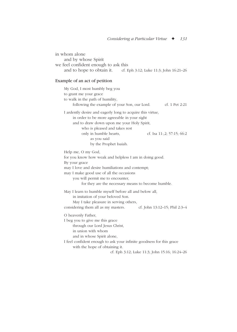in whom alone and by whose Spirit we feel confident enough to ask this and to hope to obtain it. cf. Eph  $3:12$ ; Luke 11:3; John 16:21–26

#### Example of an act of petition

My God, I most humbly beg you to grant me your grace to walk in the path of humility, following the example of your Son, our Lord. cf. 1 Pet 2:21 I ardently desire and eagerly long to acquire this virtue, in order to be more agreeable in your sight and to draw down upon me your Holy Spirit, who is pleased and takes rest only in humble hearts, cf. Isa 11:,2; 57:15; 66:2 as you said by the Prophet Isaiah. Help me, O my God, for you know how weak and helpless I am in doing good. By your grace may I love and desire humiliations and contempt; may I make good use of all the occasions you will permit me to encounter, for they are the necessary means to become humble. May I learn to humble myself before all and below all, in imitation of your beloved Son. May I take pleasure in serving others, considering them all as my masters. cf. John 13:12–15; Phil 2:3–4 O heavenly Father, I beg you to give me this grace through our Lord Jesus Christ, in union with whom and in whose Spirit alone, I feel confident enough to ask your infinite goodness for this grace with the hope of obtaining it. cf. Eph 3:12; Luke 11:3; John 15:16; 16:24–26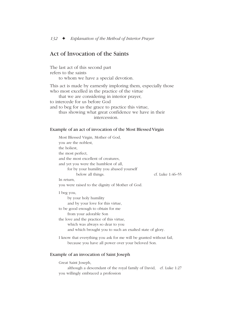## Act of Invocation of the Saints

The last act of this second part refers to the saints to whom we have a special devotion. This act is made by earnestly imploring them, especially those who most excelled in the practice of the virtue that we are considering in interior prayer, to intercede for us before God and to beg for us the grace to practice this virtue, thus showing what great confidence we have in their

intercession.

#### Example of an act of invocation of the Most Blessed Virgin

Most Blessed Virgin, Mother of God, you are the noblest, the holiest, the most perfect, and the most excellent of creatures, and yet you were the humblest of all, for by your humility you abased yourself below all things. cf. Luke 1:46–55 In return, you were raised to the dignity of Mother of God. I beg you, by your holy humility and by your love for this virtue, to be good enough to obtain for me from your adorable Son the love and the practice of this virtue, which was always so dear to you and which brought you to such an exalted state of glory.

I know that everything you ask for me will be granted without fail, because you have all power over your beloved Son.

#### Example of an invocation of Saint Joseph

Great Saint Joseph,

although a descendant of the royal family of David, cf. Luke 1:27 you willingly embraced a profession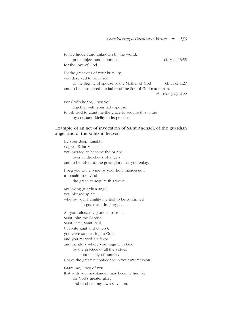to live hidden and unknown by the world, poor, abject, and laborious, example and cf. Matt 13:55 for the love of God. By the greatness of your humility, you deserved to be raised to the dignity of spouse of the Mother of God cf. Luke 1:27 and to be considered the father of the Son of God made man. cf. Luke 3:23; 4:22 For God's honor, I beg you, together with your holy spouse,

to ask God to grant me the grace to acquire this virtue by constant fidelity to its practice.

#### Example of an act of invocation of Saint Michael, of the guardian angel, and of the saints in heaven

By your deep humility, O great Saint Michael, you merited to become the prince over all the choirs of angels and to be raised to the great glory that you enjoy. I beg you to help me by your holy intercession to obtain from God the grace to acquire this virtue. My loving guardian angel, you blessed spirits who by your humility merited to be confirmed in grace and in glory, . . . All you saints, my glorious patrons, Saint John the Baptist, Saint Peter, Saint Paul, (favorite saint and others), you were so pleasing to God, and you merited his favor and the glory where you reign with God, by the practice of all the virtues but mainly of humility. I have the greatest confidence in your intercession. Grant me, I beg of you, that with your assistance I may become humble for God's greater glory and to obtain my own salvation.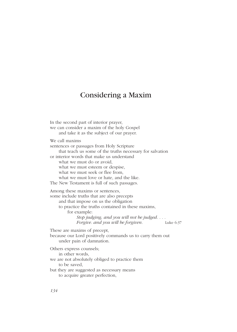# Considering a Maxim

In the second part of interior prayer, we can consider a maxim of the holy Gospel and take it as the subject of our prayer. We call maxims sentences or passages from Holy Scripture that teach us some of the truths necessary for salvation or interior words that make us understand what we must do or avoid, what we must esteem or despise, what we must seek or flee from, what we must love or hate, and the like. The New Testament is full of such passages. Among these maxims or sentences, some include truths that are also precepts and that impose on us the obligation to practice the truths contained in these maxims, for example: *Stop judging, and you will not be judged. . . . Forgive. and you will be forgiven.* Luke 6:37 These are maxims of precept, because our Lord positively commands us to carry them out under pain of damnation. Others express counsels; in other words, we are not absolutely obliged to practice them to be saved, but they are suggested as necessary means to acquire greater perfection,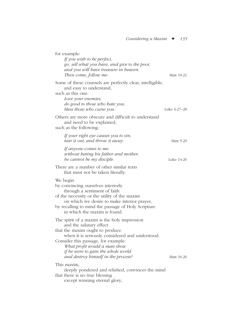| for example:<br>If you wish to be perfect,<br>go, sell what you have, and give to the poor,<br>and you will have treasure in heaven.<br>Then come, follow me.                                                                                                                                                     | Matt 19:21   |
|-------------------------------------------------------------------------------------------------------------------------------------------------------------------------------------------------------------------------------------------------------------------------------------------------------------------|--------------|
| Some of these counsels are perfectly clear, intelligible,<br>and easy to understand,<br>such as this one:<br>Love your enemies;<br>do good to those who hate you;<br>bless those who curse you.                                                                                                                   | Luke 6:27–28 |
| Others are more obscure and difficult to understand<br>and need to be explained,<br>such as the following:                                                                                                                                                                                                        |              |
| If your right eye causes you to sin,<br>tear it out, and throw it away.                                                                                                                                                                                                                                           | Matt 5:29    |
| If anyone comes to me<br>without hating his father and mother,<br>be cannot be my disciple.                                                                                                                                                                                                                       | Luke 14:26   |
| There are a number of other similar texts<br>that must not be taken literally.                                                                                                                                                                                                                                    |              |
| We begin<br>by convincing ourselves interiorly<br>through a sentiment of faith<br>of the necessity or the utility of the maxim<br>on which we desire to make interior prayer,<br>by recalling to mind the passage of Holy Scripture<br>in which the maxim is found.                                               |              |
| The spirit of a maxim is the holy impression<br>and the salutary effect<br>that the maxim ought to produce<br>when it is seriously considered and understood.<br>Consider this passage, for example:<br>What profit would a man show<br>if he were to gain the whole world<br>and destroy himself in the process? | Matt 16:26   |
| This maxim,<br>deeply pondered and relished, convinces the mind<br>that there is no true blessing<br>except winning eternal glory,                                                                                                                                                                                |              |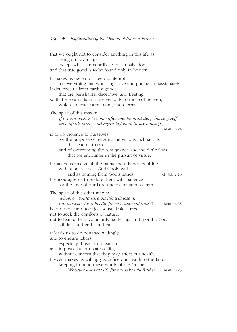that we ought not to consider anything in this life as being an advantage except what can contribute to our salvation and that true good is to be found only in heaven. It makes us develop a deep contempt for everything that worldlings love and pursue so passionately. It detaches us from earthly goods that are perishable, deceptive, and fleeting, so that we can attach ourselves only to those of heaven, which are true, permanent, and eternal. The spirit of this maxim, *If a man wishes to come after me, he must deny his very self, take up his cross, and begin to follow in my footsteps,* Matt 16:24 is to do violence to ourselves for the purpose of resisting the vicious inclinations that lead us to sin and of overcoming the repugnance and the difficulties that we encounter in the pursuit of virtue. It makes us receive all the pains and adversities of life with submission to God's holy will and as coming from God's hands. cf. Job 2:10 It encourages us to endure them with patience for the love of our Lord and in imitation of him. The spirit of this other maxim, *Whoever would save his life will lose it, but whoever loses his life for my sake will find it,* Matt 16:25 is to despise and to reject sensual pleasures, not to seek the comforts of nature, not to fear, at least voluntarily, sufferings and mortifications, still less, to flee from them. It leads us to do penance willingly and to endure labors, especially those of obligation and imposed by our state of life, without concern that they may affect our health. It even makes us willingly sacrifice our health to the Lord, keeping in mind these words of the Gospel: *Whoever loses his life for my sake will find it.* Matt 16:25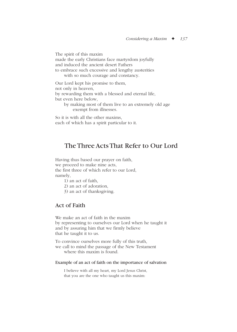The spirit of this maxim made the early Christians face martyrdom joyfully and induced the ancient desert Fathers to embrace such excessive and lengthy austerities with so much courage and constancy. Our Lord kept his promise to them, not only in heaven, by rewarding them with a blessed and eternal life, but even here below, by making most of them live to an extremely old age exempt from illnesses.

So it is with all the other maxims, each of which has a spirit particular to it.

# The Three Acts That Refer to Our Lord

Having thus based our prayer on faith, we proceed to make nine acts, the first three of which refer to our Lord, namely,

1) an act of faith,

2) an act of adoration,

3) an act of thanksgiving.

### Act of Faith

We make an act of faith in the maxim by representing to ourselves our Lord when he taught it and by assuring him that we firmly believe that he taught it to us.

To convince ourselves more fully of this truth, we call to mind the passage of the New Testament where this maxim is found.

#### Example of an act of faith on the importance of salvation

I believe with all my heart, my Lord Jesus Christ, that you are the one who taught us this maxim: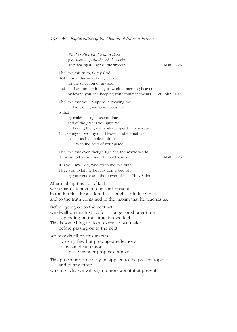| What profit would a man show<br>if he were to gain the whole world<br>and destroy himself in the process?                                                                                                                                                                                                                                 | Matt 16:26     |
|-------------------------------------------------------------------------------------------------------------------------------------------------------------------------------------------------------------------------------------------------------------------------------------------------------------------------------------------|----------------|
| I believe this truth, O my God,<br>that I am in this world only to labor<br>for the salvation of my soul<br>and that I am on earth only to work at meriting heaven<br>by loving you and keeping your commandments.                                                                                                                        | cf. John 14:15 |
| I believe that your purpose in creating me<br>and in calling me to religious life<br>is that<br>by making a right use of time<br>and of the graces you give me<br>and doing the good works proper to my vocation,<br>I make myself worthy of a blessed and eternal life,<br>insofar as I am able to do so<br>with the help of your grace. |                |
| I believe that even though I gained the whole world,<br>if I were to lose my soul, I would lose all.                                                                                                                                                                                                                                      | cf. Matt 16:26 |
| It is you, my God, who teach me this truth.<br>I beg you to let me be fully convinced of it<br>by your grace and the power of your Holy Spirit.                                                                                                                                                                                           |                |
| After making this act of faith,<br>we remain attentive to our Lord present<br>in the interior disposition that it ought to induce in us<br>and to the truth contained in the maxim that he teaches us.                                                                                                                                    |                |
| Before going on to the next act,<br>we dwell on this first act for a longer or shorter time,<br>depending on the attraction we feel.<br>This is something to do at every act we make<br>before passing on to the next.                                                                                                                    |                |
| We may dwell on this maxim<br>by using few but prolonged reflections<br>or by simple attention,<br>in the manner proposed above.                                                                                                                                                                                                          |                |
| This procedure can easily be applied to the present topic<br>and to any other,<br>which is why we will say no more about it at present.                                                                                                                                                                                                   |                |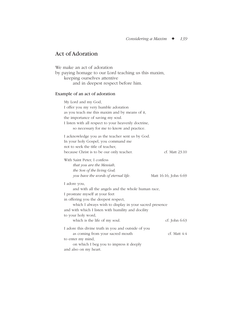# Act of Adoration

We make an act of adoration by paying homage to our Lord teaching us this maxim, keeping ourselves attentive and in deepest respect before him.

#### Example of an act of adoration

| My Lord and my God,<br>I offer you my very humble adoration<br>as you teach me this maxim and by means of it,<br>the importance of saving my soul.<br>I listen with all respect to your heavenly doctrine,<br>so necessary for me to know and practice.                                                             |                       |
|---------------------------------------------------------------------------------------------------------------------------------------------------------------------------------------------------------------------------------------------------------------------------------------------------------------------|-----------------------|
| I acknowledge you as the teacher sent us by God.<br>In your holy Gospel, you command me<br>not to seek the title of teacher,<br>because Christ is to be our only teacher.                                                                                                                                           | cf. Matt $23:10$      |
| With Saint Peter, I confess<br>that you are the Messiah,<br>the Son of the living God;<br>you have the words of eternal life.                                                                                                                                                                                       | Matt 16:16; John 6:69 |
| I adore you,<br>and with all the angels and the whole human race,<br>I prostrate myself at your feet<br>in offering you the deepest respect,<br>which I always wish to display in your sacred presence<br>and with which I listen with humility and docility<br>to your holy word,<br>which is the life of my soul. | $cf.$ John 6:63       |
| I adore this divine truth in you and outside of you<br>as coming from your sacred mouth<br>to enter my mind,<br>on which I beg you to impress it deeply<br>and also on my heart.                                                                                                                                    | $cf.$ Matt $4:4$      |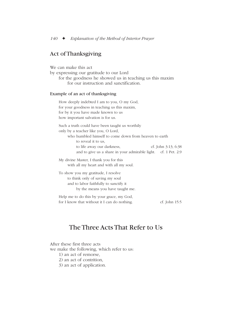# Act of Thanksgiving

We can make this act by expressing our gratitude to our Lord for the goodness he showed us in teaching us this maxim for our instruction and sanctification.

#### Example of an act of thanksgiving

How deeply indebted I am to you, O my God, for your goodness in teaching us this maxim, for by it you have made known to us how important salvation is for us. Such a truth could have been taught us worthily only by a teacher like you, O Lord, who humbled himself to come down from heaven to earth to reveal it to us, to life away our darkness, cf. John 3:13; 6:38 and to give us a share in your admirable light. cf. 1 Pet. 2:9 My divine Master, I thank you for this

with all my heart and with all my soul.

To show you my gratitude, I resolve to think only of saving my soul and to labor faithfully to sanctify it by the means you have taught me.

Help me to do this by your grace, my God, for I know that without it I can do nothing. cf. John 15:5

# The Three Acts That Refer to Us

After these first three acts we make the following, which refer to us: 1) an act of remorse, 2) an act of contrition,

3) an act of application.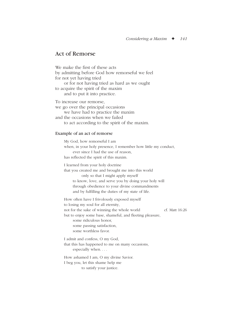### Act of Remorse

We make the first of these acts by admitting before God how remorseful we feel for not yet having tried or for not having tried as hard as we ought to acquire the spirit of the maxim and to put it into practice. To increase our remorse, we go over the principal occasions we have had to practice the maxim and the occasions when we failed

to act according to the spirit of the maxim.

#### Example of an act of remorse

My God, how remorseful I am when, in your holy presence, I remember how little my conduct, ever since I had the use of reason, has reflected the spirit of this maxim. I learned from your holy doctrine that you created me and brought me into this world only so that I might apply myself to know, love, and serve you by doing your holy will through obedience to your divine commandments and by fulfilling the duties of my state of life. How often have I frivolously exposed myself to losing my soul for all eternity, not for the sake of winning the whole world cf. Matt 16:26 but to enjoy some base, shameful, and fleeting pleasure, some ridiculous honor, some passing satisfaction, some worthless favor. I admit and confess, O my God, that this has happened to me on many occasions, especially when. . . . How ashamed I am, O my divine Savior.

I beg you, let this shame help me

to satisfy your justice.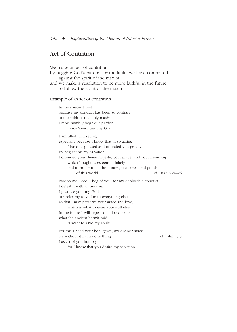# Act of Contrition

We make an act of contrition by begging God's pardon for the faults we have committed against the spirit of the maxim, and we make a resolution to be more faithful in the future to follow the spirit of the maxim.

#### Example of an act of contrition

In the sorrow I feel because my conduct has been so contrary to the spirit of this holy maxim, I most humbly beg your pardon, O my Savior and my God. I am filled with regret, especially because I know that in so acting I have displeased and offended you greatly. By neglecting my salvation, I offended your divine majesty, your grace, and your friendship, which I ought to esteem infinitely and to prefer to all the honors, pleasures, and goods of this world. cf. Luke 6:24–26 Pardon me, Lord, I beg of you, for my deplorable conduct. I detest it with all my soul. I promise you, my God, to prefer my salvation to everything else, so that I may preserve your grace and love, which is what I desire above all else. In the future I will repeat on all occasions what the ancient hermit said, "I want to save my soul!" For this I need your holy grace, my divine Savior, for without it I can do nothing. cf. John 15:5 I ask it of you humbly,

for I know that you desire my salvation.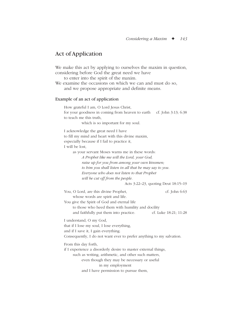### Act of Application

We make this act by applying to ourselves the maxim in question, considering before God the great need we have

to enter into the spirit of the maxim.

We examine the occasions on which we can and must do so, and we propose appropriate and definite means.

#### Example of an act of application

How grateful I am, O Lord Jesus Christ, for your goodness in coming from heaven to earth cf. John 3:13; 6:38 to teach me this truth, which is so important for my soul.

I acknowledge the great need I have to fill my mind and heart with this divine maxim,

especially because if I fail to practice it,

I will be lost,

as your servant Moses warns me in these words:

*A Prophet like me will the Lord, your God, raise up for you from among your own kinsmen; to him you shall listen in all that he may say to you. Everyone who does not listen to that Prophet will be cut off from the people.*

Acts 3:22–23, quoting Deut 18:15–19

You, O Lord, are this divine Prophet, cf. John 6:63 whose words are spirit and life. You give the Spirit of God and eternal life to those who heed them with humility and docility and faithfully put them into practice. cf. Luke 18:21; 11:28 I understand, O my God, that if I lose my soul, I lose everything, and if I save it, I gain everything. Consequently, I do not want ever to prefer anything to my salvation. From this day forth, if I experience a disorderly desire to master external things, such as writing, arithmetic, and other such matters, even though they may be necessary or useful in my employment and I have permission to pursue them,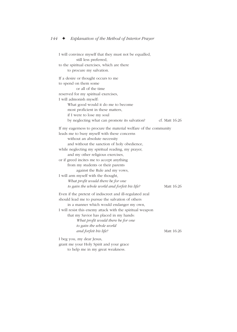I will convince myself that they must not be equalled, still less preferred, to the spiritual exercises, which are there to procure my salvation. If a desire or thought occurs to me to spend on them some or all of the time reserved for my spiritual exercises, I will admonish myself: What good would it do me to become most proficient in these matters, if I were to lose my soul by neglecting what can promote its salvation? cf. Matt 16:26 If my eagerness to procure the material welfare of the community leads me to busy myself with these concerns without an absolute necessity and without the sanction of holy obedience, while neglecting my spiritual reading, my prayer, and my other religious exercises, or if greed incites me to accept anything from my students or their parents against the Rule and my vows, I will arm myself with the thought, *What profit would there be for one to gain the whole world and forfeit his life?* Matt 16:26 Even if the pretext of indiscreet and ill-regulated zeal should lead me to pursue the salvation of others in a manner which would endanger my own, I will resist this enemy attack with the spiritual weapon that my Savior has placed in my hands: *What profit would there be for one to gain the whole world and forfeit his life?* Matt 16:26 I beg you, my dear Jesus, grant me your Holy Spirit and your grace

to help me in my great weakness.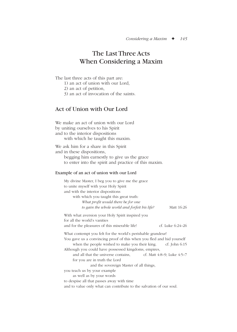# The Last Three Acts When Considering a Maxim

The last three acts of this part are:

- 1) an act of union with our Lord,
- 2) an act of petition,
- 3) an act of invocation of the saints.

# Act of Union with Our Lord

We make an act of union with our Lord by uniting ourselves to his Spirit and to the interior dispositions with which he taught this maxim.

We ask him for a share in this Spirit and in these dispositions, begging him earnestly to give us the grace

to enter into the spirit and practice of this maxim.

#### Example of an act of union with our Lord

| My divine Master, I beg you to give me the grace                        |  |  |
|-------------------------------------------------------------------------|--|--|
| to unite myself with your Holy Spirit                                   |  |  |
| and with the interior dispositions                                      |  |  |
| with which you taught this great truth:                                 |  |  |
| What profit would there be for one                                      |  |  |
| Matt 16:26<br>to gain the whole world and forfeit his life?             |  |  |
| With what aversion your Holy Spirit inspired you                        |  |  |
| for all the world's vanities                                            |  |  |
| cf. Luke 6:24–26<br>and for the pleasures of this miserable life!       |  |  |
| What contempt you felt for the world's perishable grandeur!             |  |  |
| You gave us a convincing proof of this when you fled and hid yourself   |  |  |
| when the people wished to make you their king. $cf.$ John 6:15          |  |  |
| Although you could have possessed kingdoms, empires,                    |  |  |
| and all that the universe contains, $\qquad$ cf. Matt 4:8–9; Luke 4:5–7 |  |  |
| for you are in truth the Lord                                           |  |  |
| and the sovereign Master of all things,                                 |  |  |
| you teach us by your example                                            |  |  |
| as well as by your words                                                |  |  |
| to despise all that passes away with time                               |  |  |
| and to value only what can contribute to the salvation of our soul.     |  |  |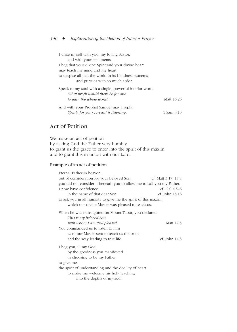| I unite myself with you, my loving Savior,              |            |
|---------------------------------------------------------|------------|
| and with your sentiments.                               |            |
| I beg that your divine Spirit and your divine heart     |            |
| may teach my mind and my heart                          |            |
| to despise all that the world in its blindness esteems  |            |
| and pursues with so much ardor.                         |            |
| Speak to my soul with a single, powerful interior word, |            |
| What profit would there be for one                      |            |
| to gain the whole world?                                | Matt 16:26 |
| And with your Prophet Samuel may I reply.               |            |
| Speak, for your servant is listening.                   | 1 Sam 3:10 |

# Act of Petition

We make an act of petition by asking God the Father very humbly to grant us the grace to enter into the spirit of this maxim and to grant this in union with our Lord.

### Example of an act of petition

| Eternal Father in heaven,                                              |                     |
|------------------------------------------------------------------------|---------------------|
| out of consideration for your beloved Son,                             | cf. Matt 3:17; 17:5 |
| you did not consider it beneath you to allow me to call you my Father. |                     |
| I now have confidence                                                  | cf. Gal $4:5-6$     |
| in the name of that dear Son                                           | cf. John $15:16$    |
| to ask you in all humility to give me the spirit of this maxim,        |                     |
| which our divine Master was pleased to teach us.                       |                     |
| When he was transfigured on Mount Tabor, you declared:                 |                     |
| This is my beloved Son,                                                |                     |
| with whom I am well pleased.                                           | Matt 17:5           |
| You commanded us to listen to him                                      |                     |
| as to our Master sent to teach us the truth                            |                     |
| and the way leading to true life.                                      | cf. John 14:6       |
| I beg you, O my God,                                                   |                     |
| by the goodness you manifested                                         |                     |
| in choosing to be my Father,                                           |                     |
| to give me                                                             |                     |
| the spirit of understanding and the docility of heart                  |                     |
| to make me welcome his holy teaching                                   |                     |
| into the depths of my soul.                                            |                     |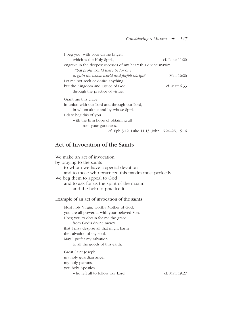| I beg you, with your divine finger,                              |                |
|------------------------------------------------------------------|----------------|
| which is the Holy Spirit,                                        | cf. Luke 11:20 |
| engrave in the deepest recesses of my heart this divine maximent |                |
| What profit would there be for one                               |                |
| to gain the whole world and forfeit his life?                    | Matt 16:26     |
| Let me not seek or desire anything                               |                |
| but the Kingdom and justice of God                               | cf. Matt 6:33  |
| through the practice of virtue.                                  |                |
| Grant me this grace                                              |                |
| in union with our Lord and through our Lord,                     |                |
| in whom alone and by whose Spirit                                |                |
| I dare beg this of you                                           |                |
| with the firm hope of obtaining all                              |                |
| from your goodness.                                              |                |
| cf. Eph 3:12; Luke 11:13; John 16:24–26; 15:16                   |                |

### Act of Invocation of the Saints

We make an act of invocation by praying to the saints to whom we have a special devotion and to those who practiced this maxim most perfectly. We beg them to appeal to God and to ask for us the spirit of the maxim and the help to practice it.

#### Example of an act of invocation of the saints

Most holy Virgin, worthy Mother of God, you are all powerful with your beloved Son. I beg you to obtain for me the grace from God's divine mercy that I may despise all that might harm the salvation of my soul. May I prefer my salvation to all the goods of this earth. Great Saint Joseph, my holy guardian angel, my holy patrons,

you holy Apostles

who left all to follow our Lord, cf. Matt 19:27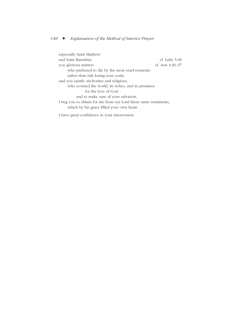especially Saint Matthew and Saint Barnabas, cf. Luke 5:28 you glorious martyrs cf. Acts 4:36–37 who preferred to die by the most cruel torments rather than risk losing your souls, and you saintly anchorites and religious, who scorned the world, its riches, and its promises for the love of God and to make sure of your salvation, I beg you to obtain for me from our Lord these same sentiments, which by his grace filled your own heart.

I have great confidence in your intercession.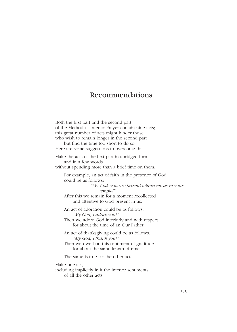# Recommendations

Both the first part and the second part of the Method of Interior Prayer contain nine acts; this great number of acts might hinder those who wish to remain longer in the second part

but find the time too short to do so. Here are some suggestions to overcome this.

Make the acts of the first part in abridged form and in a few words

without spending more than a brief time on them.

For example, an act of faith in the presence of God could be as follows:

> *"My God, you are present within me as in your temple!"*

After this we remain for a moment recollected and attentive to God present in us.

An act of adoration could be as follows: *"My God, I adore you!"*

Then we adore God interiorly and with respect for about the time of an Our Father.

An act of thanksgiving could be as follows: *"My God, I thank you!"*

Then we dwell on this sentiment of gratitude for about the same length of time.

The same is true for the other acts.

Make one act,

including implicitly in it the interior sentiments of all the other acts.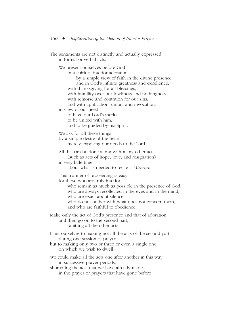The sentiments are not distinctly and actually expressed in formal or verbal acts.

We present ourselves before God

in a spirit of interior adoration

by a simple view of faith in the divine presence and in God's infinite greatness and excellence, with thanksgiving for all blessings, with humility over our lowliness and nothingness,

with remorse and contrition for our sins,

and with application, union, and invocation,

in view of our need

to have our Lord's merits,

to be united with him,

and to be guided by his Spirit.

We ask for all these things

by a simple desire of the heart,

merely exposing our needs to the Lord.

All this can be done along with many other acts (such as acts of hope, love, and resignation)

in very little time,

about what is needed to recite a *Miserere.*

This manner of proceeding is easy

for those who are truly interior,

who remain as much as possible in the presence of God, who are always recollected in the eyes and in the mind, who are exact about silence,

who do not bother with what does not concern them. and who are faithful to obedience.

Make only the act of God's presence and that of adoration, and then go on to the second part, omitting all the other acts.

Limit ourselves to making not all the acts of the second part during one session of prayer

but to making only two or three or even a single one on which we wish to dwell.

We could make all the acts one after another in this way in successive prayer periods,

shortening the acts that we have already made in the prayer or prayers that have gone before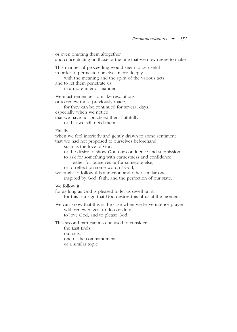or even omitting them altogether and concentrating on those or the one that we now desire to make. This manner of proceeding would seem to be useful in order to permeate ourselves more deeply with the meaning and the spirit of the various acts and to let them penetrate us in a more interior manner. We must remember to make resolutions or to renew those previously made, for they can be continued for several days, especially when we notice that we have not practiced them faithfully or that we still need them. Finally, when we feel interiorly and gently drawn to some sentiment that we had not proposed to ourselves beforehand, such as the love of God or the desire to show God our confidence and submission, to ask for something with earnestness and confidence, either for ourselves or for someone else, or to reflect on some word of God, we ought to follow this attraction and other similar ones inspired by God, faith, and the perfection of our state. We follow it for as long as God is pleased to let us dwell on it, for this is a sign that God desires this of us at the moment. We can know that this is the case when we leave interior prayer with renewed zeal to do our duty, to love God, and to please God. This second part can also be used to consider the Last Ends, our sins, one of the commandments, or a similar topic.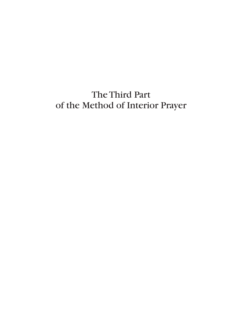# The Third Part of the Method of Interior Prayer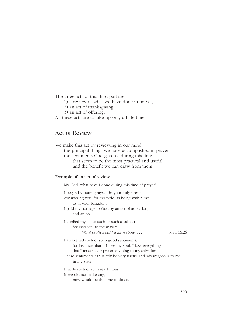The three acts of this third part are

- 1) a review of what we have done in prayer,
- 2) an act of thanksgiving,
- 3) an act of offering.

All these acts are to take up only a little time.

### Act of Review

We make this act by reviewing in our mind the principal things we have accomplished in prayer, the sentiments God gave us during this time that seem to be the most practical and useful, and the benefit we can draw from them.

#### Example of an act of review

My God, what have I done during this time of prayer? I began by putting myself in your holy presence, considering you, for example, as being within me as in your Kingdom. I paid my homage to God by an act of adoration, and so on. I applied myself to such or such a subject, for instance, to the maxim: *What profit would a man show....* Matt 16:26 I awakened such or such good sentiments, for instance, that if I lose my soul, I lose everything, that I must never prefer anything to my salvation. These sentiments can surely be very useful and advantageous to me in my state. I made such or such resolutions. . . . If we did not make any, now would be the time to do so.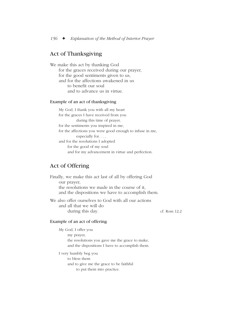# Act of Thanksgiving

We make this act by thanking God for the graces received during our prayer, for the good sentiments given to us, and for the affections awakened in us to benefit our soul and to advance us in virtue.

#### Example of an act of thanksgiving

My God, I thank you with all my heart for the graces I have received from you during this time of prayer, for the sentiments you inspired in me, for the affections you were good enough to infuse in me, especially for..., and for the resolutions I adopted for the good of my soul and for my advancement in virtue and perfection.

# Act of Offering

Finally, we make this act last of all by offering God our prayer, the resolutions we made in the course of it, and the dispositions we have to accomplish them.

We also offer ourselves to God with all our actions and all that we will do during this day. cf. Rom 12:2

#### Example of an act of offering

My God, I offer you my prayer, the resolutions you gave me the grace to make, and the dispositions I have to accomplish them.

I very humbly beg you to bless them and to give me the grace to be faithful to put them into practice.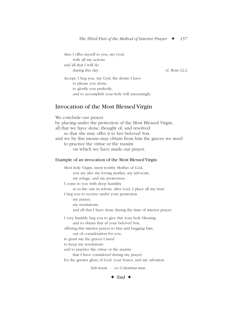Also I offer myself to you, my God, with all my actions and all that I will do during this day. cf. Rom 12:2 Accept, I beg you, my God, the desire I have to please you alone, to glorify you perfectly, and to accomplish your holy will unceasingly.

### Invocation of the Most Blessed Virgin

We conclude our prayer by placing under the protection of the Most Blessed Virgin, all that we have done, thought of, and resolved so that she may offer it to her beloved Son and we by this means may obtain from him the graces we need to practice the virtue or the maxim on which we have made our prayer. Example of an invocation of the Most Blessed Virgin Most holy Virgin, most worthy Mother of God, you are also my loving mother, my advocate, my refuge, and my protectress. I come to you with deep humility as to the one in whom, after God, I place all my trust. I beg you to receive under your protection my prayer, my resolutions, and all that I have done during the time of interior prayer. I very humbly beg you to give this your holy blessing and to obtain that of your beloved Son, offering this interior prayer to him and begging him, out of consideration for you, to grant me the graces I need to keep my resolutions and to practice the virtue or the maxim that I have considered during my prayer, for the greater glory of God, your honor, and my salvation.

*Sub tuum . . .* or *O domina mea.*

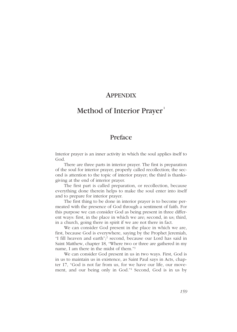# **APPENDIX**

# Method of Interior Prayer

# Preface

Interior prayer is an inner activity in which the soul applies itself to God.

There are three parts in interior prayer. The first is preparation of the soul for interior prayer, properly called recollection; the second is attention to the topic of interior prayer; the third is thanksgiving at the end of interior prayer.

The first part is called preparation, or recollection, because everything done therein helps to make the soul enter into itself and to prepare for interior prayer.

The first thing to be done in interior prayer is to become permeated with the presence of God through a sentiment of faith. For this purpose we can consider God as being present in three different ways: first, in the place in which we are; second, in us; third, in a church, going there in spirit if we are not there in fact.

We can consider God present in the place in which we are, first, because God is everywhere, saying by the Prophet Jeremiah, "I fill heaven and earth";2 second, because our Lord has said in Saint Matthew, chapter 18, "Where two or three are gathered in my name, I am there in the midst of them."3

We can consider God present in us in two ways. First, God is in us to maintain us in existence, as Saint Paul says in Acts, chapter 17, "God is not far from us, for we have our life, our movement, and our being only in God."4 Second, God is in us by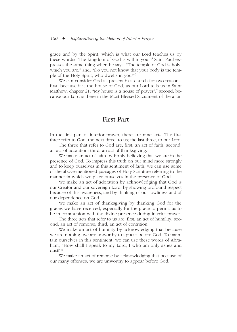grace and by the Spirit, which is what our Lord teaches us by these words: "The kingdom of God is within you."5 Saint Paul expresses the same thing when he says, "The temple of God is holy, which you are," and, "Do you not know that your body is the temple of the Holy Spirit, who dwells in you?"6

We can consider God as present in a church for two reasons: first, because it is the house of God, as our Lord tells us in Saint Matthew, chapter 21, "My house is a house of prayer";<sup>7</sup> second, because our Lord is there in the Most Blessed Sacrament of the altar.

# First Part

In the first part of interior prayer, there are nine acts. The first three refer to God; the next three, to us; the last three, to our Lord.

The three that refer to God are, first, an act of faith; second, an act of adoration; third, an act of thanksgiving.

We make an act of faith by firmly believing that we are in the presence of God. To impress this truth on our mind more strongly and to keep ourselves in this sentiment of faith, we can use some of the above-mentioned passages of Holy Scripture referring to the manner in which we place ourselves in the presence of God.

We make an act of adoration by acknowledging that God is our Creator and our sovereign Lord, by showing profound respect because of this awareness, and by thinking of our lowliness and of our dependence on God.

We make an act of thanksgiving by thanking God for the graces we have received, especially for the grace to permit us to be in communion with the divine presence during interior prayer.

The three acts that refer to us are, first, an act of humility; second, an act of remorse; third, an act of contrition.

We make an act of humility by acknowledging that because we are nothing, we are unworthy to appear before God. To maintain ourselves in this sentiment, we can use these words of Abraham, "How shall I speak to my Lord, I who am only ashes and dust?"8

We make an act of remorse by acknowledging that because of our many offenses, we are unworthy to appear before God.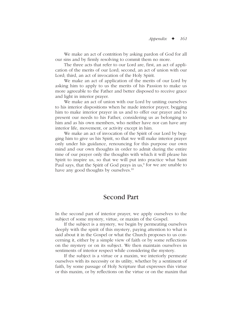We make an act of contrition by asking pardon of God for all our sins and by firmly resolving to commit them no more.

The three acts that refer to our Lord are, first, an act of application of the merits of our Lord; second, an act of union with our Lord; third, an act of invocation of the Holy Spirit.

We make an act of application of the merits of our Lord by asking him to apply to us the merits of his Passion to make us more agreeable to the Father and better disposed to receive grace and light in interior prayer.

We make an act of union with our Lord by uniting ourselves to his interior dispositions when he made interior prayer, begging him to make interior prayer in us and to offer our prayer and to present our needs to his Father, considering us as belonging to him and as his own members, who neither have nor can have any interior life, movement, or activity except in him.

We make an act of invocation of the Spirit of our Lord by begging him to give us his Spirit, so that we will make interior prayer only under his guidance, renouncing for this purpose our own mind and our own thoughts in order to admit during the entire time of our prayer only the thoughts with which it will please his Spirit to inspire us, so that we will put into practice what Saint Paul says, that the Spirit of God prays in us,<sup>9</sup> for we are unable to have any good thoughts by ourselves.<sup>10</sup>

# Second Part

In the second part of interior prayer, we apply ourselves to the subject of some mystery, virtue, or maxim of the Gospel.

If the subject is a mystery, we begin by permeating ourselves deeply with the spirit of this mystery, paying attention to what is said about it in the Gospel or what the Church proposes to us concerning it, either by a simple view of faith or by some reflections on the mystery or on its subject. We then maintain ourselves in sentiments of interior respect while considering the mystery.

If the subject is a virtue or a maxim, we interiorly permeate ourselves with its necessity or its utility, whether by a sentiment of faith, by some passage of Holy Scripture that expresses this virtue or this maxim, or by reflections on the virtue or on the maxim that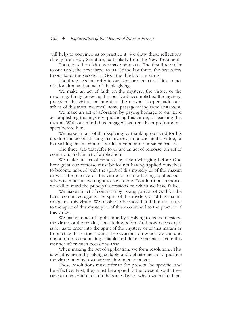will help to convince us to practice it. We draw these reflections chiefly from Holy Scripture, particularly from the New Testament.

Then, based on faith, we make nine acts. The first three refer to our Lord; the next three, to us. Of the last three, the first refers to our Lord; the second, to God; the third, to the saints.

The three acts that refer to our Lord are an act of faith, an act of adoration, and an act of thanksgiving.

We make an act of faith on the mystery, the virtue, or the maxim by firmly believing that our Lord accomplished the mystery, practiced the virtue, or taught us the maxim. To persuade ourselves of this truth, we recall some passage of the New Testament.

We make an act of adoration by paying homage to our Lord accomplishing this mystery, practicing this virtue, or teaching this maxim. With our mind thus engaged, we remain in profound respect before him.

We make an act of thanksgiving by thanking our Lord for his goodness in accomplishing this mystery, in practicing this virtue, or in teaching this maxim for our instruction and our sanctification.

The three acts that refer to us are an act of remorse, an act of contrition, and an act of application.

We make an act of remorse by acknowledging before God how great our remorse must be for not having applied ourselves to become imbued with the spirit of this mystery or of this maxim or with the practice of this virtue or for not having applied ourselves as much as we ought to have done. To add to our remorse, we call to mind the principal occasions on which we have failed.

We make an act of contrition by asking pardon of God for the faults committed against the spirit of this mystery or of this maxim or against this virtue. We resolve to be more faithful in the future to the spirit of this mystery or of this maxim and to the practice of this virtue.

We make an act of application by applying to us the mystery, the virtue, or the maxim, considering before God how necessary it is for us to enter into the spirit of this mystery or of this maxim or to practice this virtue, noting the occasions on which we can and ought to do so and taking suitable and definite means to act in this manner when such occasions arise.

When making the act of application, we form resolutions. This is what is meant by taking suitable and definite means to practice the virtue on which we are making interior prayer.

These resolutions must refer to the present, be specific, and be effective. First, they must be applied to the present, so that we can put them into effect on the same day on which we make them.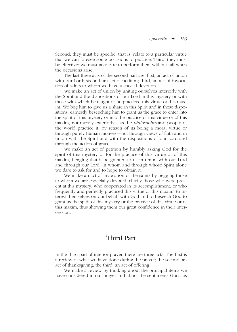Second, they must be specific, that is, relate to a particular virtue that we can foresee some occasions to practice. Third, they must be effective: we must take care to perform them without fail when the occasions arise.

The last three acts of the second part are, first, an act of union with our Lord; second, an act of petition; third, an act of invocation of saints to whom we have a special devotion.

We make an act of union by uniting ourselves interiorly with the Spirit and the dispositions of our Lord in this mystery or with those with which he taught or he practiced this virtue or this maxim. We beg him to give us a share in this Spirit and in these dispositions, earnestly beseeching him to grant us the grace to enter into the spirit of this mystery or into the practice of this virtue or of this maxim, not merely exteriorly—as the *philosophes* and people of the world practice it, by reason of its being a moral virtue or through purely human motives—but through views of faith and in union with the Spirit and with the dispositions of our Lord and through the action of grace.

We make an act of petition by humbly asking God for the spirit of this mystery or for the practice of this virtue or of this maxim, begging that it be granted to us in union with our Lord and through our Lord, in whom and through whose Spirit alone we dare to ask for and to hope to obtain it.

We make an act of invocation of the saints by begging those to whom we are especially devoted, chiefly those who were present at this mystery, who cooperated in its accomplishment, or who frequently and perfectly practiced this virtue or this maxim, to interest themselves on our behalf with God and to beseech God to grant us the spirit of this mystery or the practice of this virtue or of this maxim, thus showing them our great confidence in their intercession.

# Third Part

In the third part of interior prayer, there are three acts. The first is a review of what we have done during the prayer; the second, an act of thanksgiving; the third, an act of offering.

We make a review by thinking about the principal items we have considered in our prayer and about the sentiments God has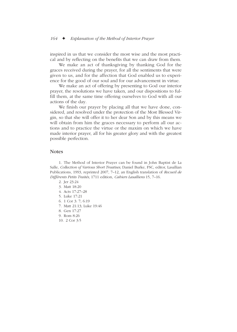inspired in us that we consider the most wise and the most practical and by reflecting on the benefits that we can draw from them.

We make an act of thanksgiving by thanking God for the graces received during the prayer, for all the sentiments that were given to us, and for the affection that God enabled us to experience for the good of our soul and for our advancement in virtue.

We make an act of offering by presenting to God our interior prayer, the resolutions we have taken, and our dispositions to fulfill them, at the same time offering ourselves to God with all our actions of the day.

We finish our prayer by placing all that we have done, considered, and resolved under the protection of the Most Blessed Virgin, so that she will offer it to her dear Son and by this means we will obtain from him the graces necessary to perform all our actions and to practice the virtue or the maxim on which we have made interior prayer, all for his greater glory and with the greatest possible perfection.

#### **Notes**

1. The Method of Interior Prayer can be found in John Baptist de La Salle, *Collection of Various Short Treatises,* Daniel Burke, FSC, editor, Lasallian Publications, 1993, reprinted 2007, 7–12, an English translation of *Recueil de Différents Petits Traités,* 1711 edition, *Cahiers Lasalliens* 15, 7–16.

- 2. Jer 23:24
- 3. Matt 18:20
- 4. Acts 17:27–28
- 5. Luke 17:21
- 6. 1 Cor 3: 7; 6:19
- 7. Matt 21:13; Luke 19:46
- 8. Gen 17:27
- 9. Rom 8:26
- 10. 2 Cor 3:5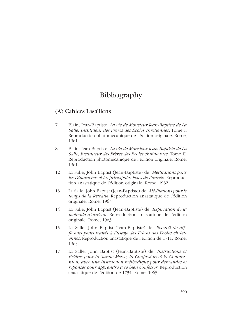# Bibliography

### (A) Cahiers Lasalliens

- 7 Blain, Jean-Baptiste. *La vie de Monsieur Jean-Baptiste de La Salle, Instituteur des Frères des Écoles chrétiennes.* Tome I. Reproduction photomécanique de l'édition originale. Rome, 1961.
- 8 Blain, Jean-Baptiste. *La vie de Monsieur Jean-Baptiste de La Salle, Instituteur des Frères des Écoles chrétiennes.* Tome II. Reproduction photomécanique de l'édition originale. Rome, 1961.
- 12 La Salle, John Baptist (Jean-Baptiste) de. *Méditations pour les Dimanches et les principales Fêtes de l'année.* Reproduction anastatique de l'édition originale. Rome, 1962.
- 13 La Salle, John Baptist (Jean-Baptiste) de. *Méditations pour le temps de la Retraite.* Reproduction anastatique de l'édition originale. Rome, 1963.
- 14 La Salle, John Baptist (Jean-Baptiste) de. *Explication de la méthode d'oraison.* Reproduction anastatique de l'édition originale. Rome, 1963.
- 15 La Salle, John Baptist (Jean-Baptiste) de. *Recueil de différents petits traités à l'usage des Frères des Écoles chrétiennes.* Reproduction anastatique de l'édition de 1711. Rome, 1963.
- 17 La Salle, John Baptist (Jean-Baptiste) de. *Instructions et Prières pour la Sainte Messe, la Confession et la Communion, avec une Instruction méthodique pour demandes et réponses pour apprendre à se bien confesser.* Reproduction anastatique de l'édition de 1734. Rome, 1963.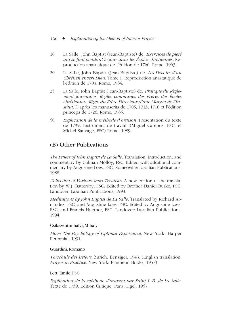- 18 La Salle, John Baptist (Jean-Baptiste) de. *Exercices de piété qui se font pendant le jour dans les Écoles chrétiennes.* Reproduction anastatique de l'édition de 1760. Rome, 1963.
- 20 La Salle, John Baptist (Jean-Baptiste) de. *Les Devoirs d'un Chrétien envers Dieu.* Tome I. Reproduction anastatique de l'édition de 1703. Rome, 1964.
- 25 La Salle, John Baptist (Jean-Baptiste) de. *Pratique du Règlement journalier. Règles communes des Frères des Écoles chrétiennes. Règle du Frère Directeur d'une Maison de l'Institut.* D'après les manuscrits de 1705, 1713, 1718 et l'édition princeps de 1726. Rome, 1965.
- 50 *Explication de la méthode d'oraison.* Presentation du texte de 1739. Instrument de travail. (Miguel Campos, FSC, et Michel Sauvage, FSC) Rome, 1989.

# (B) Other Publications

*The Letters of John Baptist de La Salle.* Translation, introduction, and commentary by Colman Molloy, FSC. Edited with additional commentary by Augustine Loes, FSC. Romeoville: Lasallian Publications, 1988.

*Collection of Various Short Treatises.* A new edition of the translation by W.J. Battersby, FSC. Edited by Brother Daniel Burke, FSC. Landover: Lasallian Publications, 1993.

*Meditations by John Baptist de La Salle.* Translated by Richard Arnandez, FSC, and Augustine Loes, FSC. Edited by Augustine Loes, FSC, and Francis Huether, FSC. Landover: Lasallian Publications. 1994.

### Csikszentmihalyi, Mihaly

*Flow: The Psychology of Optimal Experience.* New York: Harper Perennial, 1991.

#### Guardini, Romano

*Vorschule des Betens.* Zurich: Benziger, 1943. (English translation: *Prayer in Practice.* New York: Pantheon Books, 1957)

### Lett, Emile, FSC

*Explication de la méthode d'oraison par Saint J.-B. de La Salle.* Texte de 1739. Édition Critique. Paris: Ligel, 1957.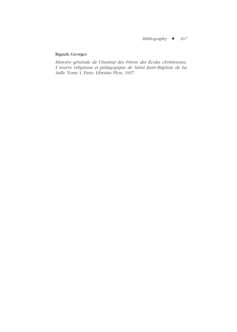## Rigault, Georges

*Histoire générale de l'Institut des Frères des Écoles chrétiennes; L'œuvre religieuse et pédagogique de Saint Jean-Baptiste de La Salle.* Tome I. Paris: Librairie Plon, 1937.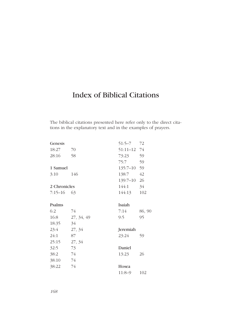## Index of Biblical Citations

The biblical citations presented here refer only to the direct citations in the explanatory text and in the examples of prayers.

| Genesis      |            | 51:5–7      | 72     |
|--------------|------------|-------------|--------|
| 18:27        | 70         | 51:11-12 74 |        |
| 28:16        | 58         | 73:23       | 59     |
|              |            | 75:7        | 59     |
| 1 Samuel     |            | $135:7-10$  | 59     |
| 3:10         | 146        | 138:7       | 42     |
|              |            | 139:7–10    | 26     |
| 2 Chronicles |            | 144:1       | 34     |
| $7:15 - 16$  | 63         | 144:13      | 102    |
|              |            |             |        |
| Psalms       |            | Isaiah      |        |
| 6:2          | 74         | 7:14        | 86, 90 |
| 16:8         | 27, 34, 49 | 9:5         | 95     |
| 18:35        | 34         |             |        |
| 23:4         | 27, 34     | Jeremiah    |        |
| 24:1         | 87         | 23:24       | 59     |
| 25:15        | 27, 34     |             |        |
| 32:5         | 73         | Daniel      |        |
| 38:2         | 74         | 13:23       | 26     |
| 38:10        | 74         |             |        |
| 38:22        | 74         | Hosea       |        |
|              |            | $11:8-9$    | 102    |